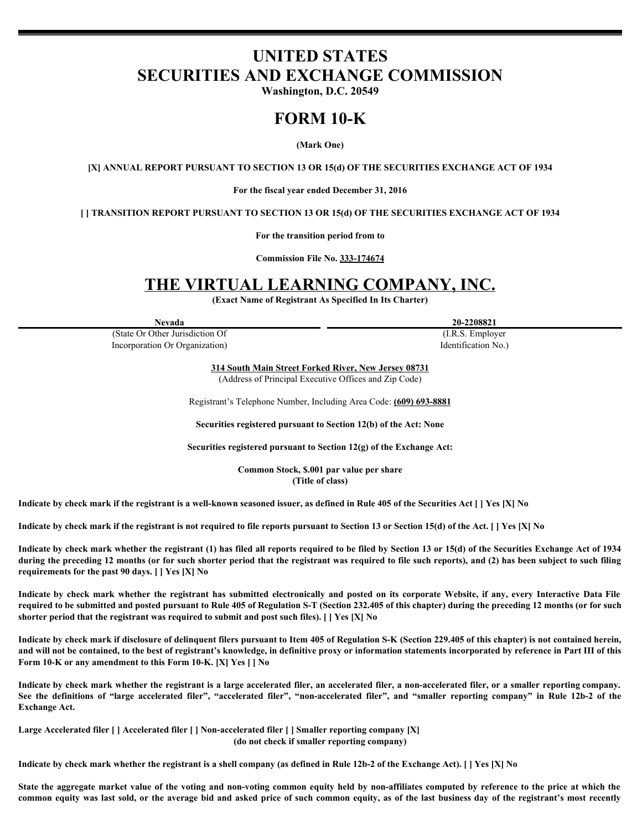# **UNITED STATES SECURITIES AND EXCHANGE COMMISSION**

**Washington, D.C. 20549**

# **FORM 10-K**

### **(Mark One)**

**[X] ANNUAL REPORT PURSUANT TO SECTION 13 OR 15(d) OF THE SECURITIES EXCHANGE ACT OF 1934**

**For the fiscal year ended December 31, 2016**

**[ ] TRANSITION REPORT PURSUANT TO SECTION 13 OR 15(d) OF THE SECURITIES EXCHANGE ACT OF 1934**

**For the transition period from to**

**Commission File No. 333-174674**

## **THE VIRTUAL LEARNING COMPANY, INC.**

**(Exact Name of Registrant As Specified In Its Charter)**

(State Or Other Jurisdiction Of Incorporation Or Organization)

**314 South Main Street Forked River, New Jersey 08731**

(Address of Principal Executive Offices and Zip Code)

Registrant's Telephone Number, Including Area Code: **(609) 693-8881**

**Securities registered pursuant to Section 12(b) of the Act: None**

**Securities registered pursuant to Section 12(g) of the Exchange Act:**

**Common Stock, \$.001 par value per share (Title of class)**

**Indicate by check mark if the registrant is a well-known seasoned issuer, as defined in Rule 405 of the Securities Act [ ] Yes [X] No**

**Indicate by check mark if the registrant is not required to file reports pursuant to Section 13 or Section 15(d) of the Act. [ ] Yes [X] No**

**Indicate by check mark whether the registrant (1) has filed all reports required to be filed by Section 13 or 15(d) of the Securities Exchange Act of 1934 during the preceding 12 months (or for such shorter period that the registrant was required to file such reports), and (2) has been subject to such filing requirements for the past 90 days. [ ] Yes [X] No IFFRE VIRTULEARNING COMPANY, INC.**<br>
INCRETE THE REVIEW INTO THE REVIEW INTO THE REVIEW INTO THE REVIEW (IRST IMPLIEMENT)<br>
(FOR THE CHECK COMPARTIES (EXECUTED INTO THE CHECK MARKED INTO THE REVIEW INTO THE PROPERTY (IRST I

**required to be submitted and posted pursuant to Rule 405 of Regulation S-T (Section 232.405 of this chapter) during the preceding 12 months (or for such shorter period that the registrant was required to submit and post such files). [ ] Yes [X] No**

**Indicate by check mark if disclosure of delinquent filers pursuant to Item 405 of Regulation S-K (Section 229.405 of this chapter) is not contained herein, and will not be contained, to the best of registrant's knowledge, in definitive proxy or information statements incorporated by reference in Part III of this Form 10-K or any amendment to this Form 10-K. [X] Yes [ ] No**

**Indicate by check mark whether the registrant is a large accelerated filer, an accelerated filer, a non-accelerated filer, or a smaller reporting company. See the definitions of "large accelerated filer"**, New Jersey 8821<br>
(Addets of Patietipa accelerate of Response Numeration Section 12(g) of the Act. Young<br>
Securities registered pursuant to Section 12(g) of the Act. You<br> **Exchange Act.**

**Large Accelerated filer [ ] Accelerated filer [ ] Non-accelerated filer [ ] Smaller reporting company [X] (do not check if smaller reporting company)**

**Indicate by check mark whether the registrant is a shell company (as defined in Rule 12b-2 of the Exchange Act). [ ] Yes [X] No**

**State the aggregate market value of the voting and non-voting common equity held by non-affiliates computed by reference to the price at which the common equity was last sold, or the average bid and asked price of such common equity, as of the last business day of the registrant's most recently**

**Nevada 20-2208821**

(I.R.S. Employer Identification No.)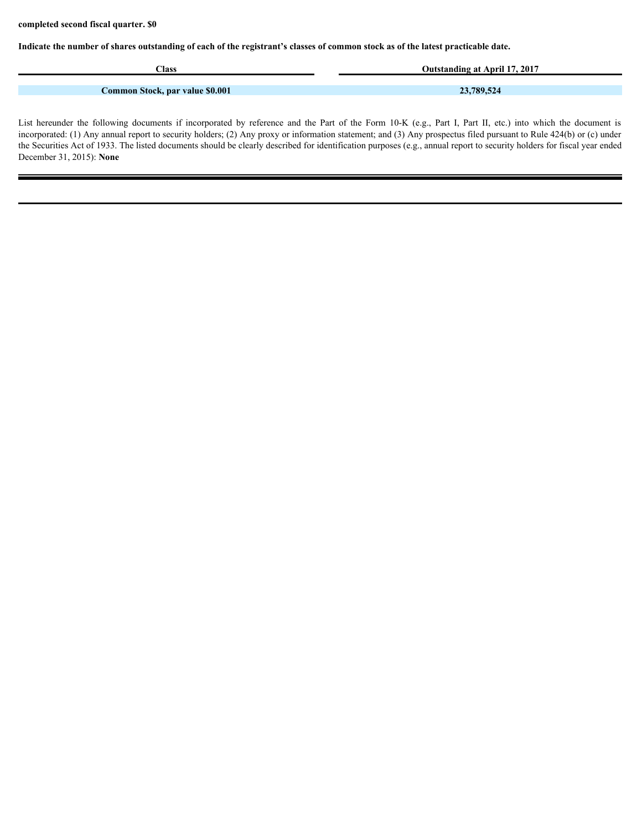**Indicate the number of shares outstanding of each of the registrant's classes of common stock as of the latest practicable date.**

| <b>Class</b>                    | Outstanding at April 17, 2017 |
|---------------------------------|-------------------------------|
|                                 |                               |
| Common Stock, par value \$0.001 | 23,789,524                    |

completed second fiscal quarter. \$0<br>
Indicate the number of shares outstanding of each of the registrant's classes of common stock as of the latest practicable date.<br>
Class<br>
Class<br>
Common Stock, par value \$0.001<br>
23,789,52 incorporated: (1) Any annual report to security holders; (2) Any proxy or information statement; and (3) Any prospectus filed pursuant to Rule 424(b) or (c) under the Securities Act of 1933. The listed documents should be clearly described for identification purposes (e.g., annual report to security holders for fiscal year ended December 31, 2015): **None**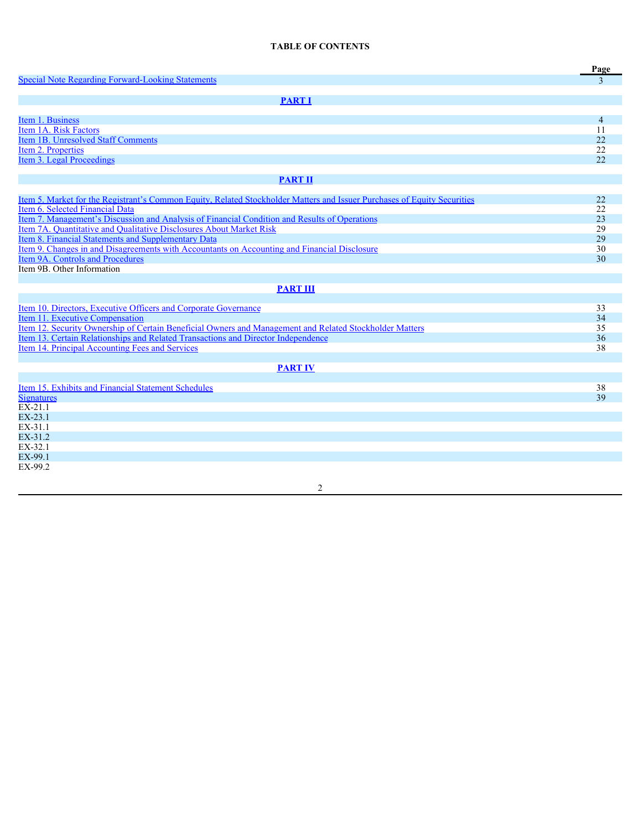### **TABLE OF CONTENTS**

|                                                                                                                          | Page           |
|--------------------------------------------------------------------------------------------------------------------------|----------------|
| <b>Special Note Regarding Forward-Looking Statements</b>                                                                 |                |
|                                                                                                                          |                |
| <b>PART</b>                                                                                                              |                |
|                                                                                                                          |                |
| Item 1. Business                                                                                                         | $\overline{4}$ |
| Item 1A. Risk Factors<br>Item 1B. Unresolved Staff Comments                                                              | 11<br>22       |
| Item 2. Properties                                                                                                       | 22             |
| Item 3. Legal Proceedings                                                                                                | 22             |
|                                                                                                                          |                |
| <b>PART II</b>                                                                                                           |                |
| Item 5. Market for the Registrant's Common Equity, Related Stockholder Matters and Issuer Purchases of Equity Securities | 22             |
| Item 6. Selected Financial Data                                                                                          | 22             |
| Item 7. Management's Discussion and Analysis of Financial Condition and Results of Operations                            | 23             |
| Item 7A. Quantitative and Qualitative Disclosures About Market Risk                                                      | 29             |
| Item 8. Financial Statements and Supplementary Data                                                                      | 29             |
| Item 9. Changes in and Disagreements with Accountants on Accounting and Financial Disclosure                             | 30             |
| Item 9A. Controls and Procedures                                                                                         | 30             |
| Item 9B. Other Information                                                                                               |                |
|                                                                                                                          |                |
| <b>PART III</b>                                                                                                          |                |
|                                                                                                                          |                |
| Item 10. Directors, Executive Officers and Corporate Governance                                                          | 33             |
| Item 11. Executive Compensation                                                                                          | 34             |
| Item 12. Security Ownership of Certain Beneficial Owners and Management and Related Stockholder Matters                  | 35             |
| Item 13. Certain Relationships and Related Transactions and Director Independence                                        | 36             |
| Item 14. Principal Accounting Fees and Services                                                                          | 38             |
|                                                                                                                          |                |
| <b>PART IV</b>                                                                                                           |                |
| Item 15. Exhibits and Financial Statement Schedules                                                                      | 38             |
| <b>Signatures</b>                                                                                                        | 39             |
| $EX-21.1$                                                                                                                |                |
| EX-23.1                                                                                                                  |                |
| EX-31.1                                                                                                                  |                |
| EX-31.2                                                                                                                  |                |
| EX-32.1                                                                                                                  |                |
| EX-99.1                                                                                                                  |                |
| EX-99.2                                                                                                                  |                |
|                                                                                                                          |                |
| 2                                                                                                                        |                |
|                                                                                                                          |                |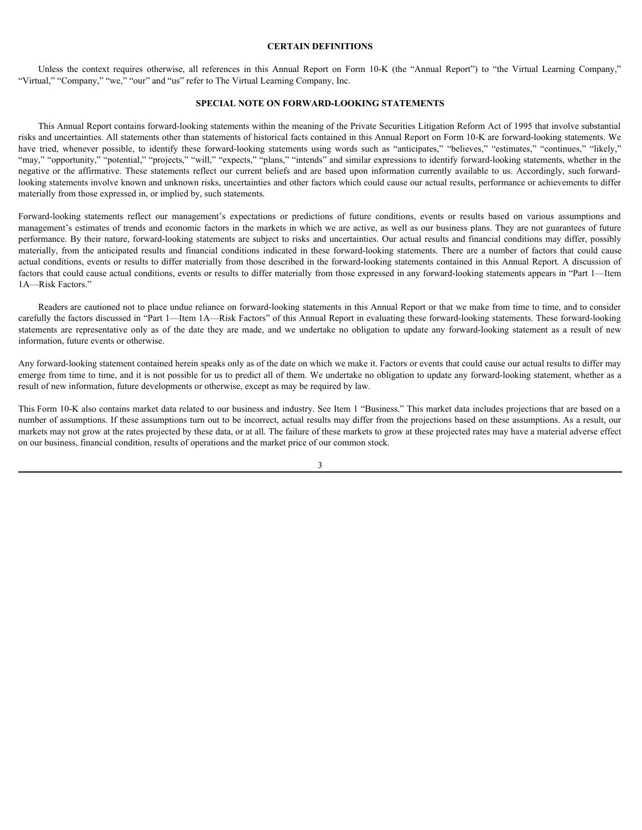### **CERTAIN DEFINITIONS**

"Virtual," "Company," "we," "our" and "us" refer to The Virtual Learning Company, Inc.

### **SPECIAL NOTE ON FORWARD-LOOKING STATEMENTS**

CERTAIN DEFINITIONS<br>Unless the context requires otherwise, all references in this Annual Report on Form 10-K (the "Annual Report") to "the Virtual Learning Company,"<br>ual," "Company," "we," "our" and "us" refer to The Virtu This Annual Report contains forward-looking statements within the meaning of the Private Securities Litigation Reform Act of 1995 that involve substantial risks and uncertainties. All statements other than statements of historical facts contained in this Annual Report on Form 10-K are forward-looking statements. We **ERTAIN DEFINITIONS**<br>
"Virtual," "Company," "Company," "our" and "us" refer to The Virtual Learning Company, Inc.<br>
"Wirtual," "Company," "we," "our" and "us" refer to The Virtual Learning Company, Inc.<br> **SPECIAL NOTE ON FO** "may," "opportunity," "potential," "projects," "will," "expects," "plans," "intends" and similar expressions to identify forward-looking statements, whether in the **CERTAIN DEFINITIONS**<br>
CHERATIVENENT UNISON CONTROVERT CONTINUES CONTROVER CONTROVER CONTROVERS CONTROVERT CONTROVERTING THE CONTROVERT CONTROVER CONTROVERTS<br>
This Amual Report contains forward-looking statements within th looking statements involve known and unknown risks, uncertainties and other factors which could cause our actual results, performance or achievements to differ materially from those expressed in, or implied by, such statements. **CERTAIN DEFINITIONS**<br> **CERTAIN DEFINITIONS**<br>
"Virtual," "Company," "ver," "our" and 'us" refer to The Virtual Learning Company, he.<br>
"Virtual," "Company," "ver," "our" and 'us" refer to The Virtual Learning Company, he.<br> **CERTAIN DEFINITIONS**<br>
CERTAIN DEFINITIONS<br>
"Virtual 1.enging Company,"<br>
"Virtual 1.enging Company," "wee," "our" and "we" refer to The Virtual 1.enting Company, Inc.<br> **SPICIAL NOTE ON FORWARD-LOOKING STATEMENTS**<br>
11bis A statements are representative only as of the date they are made, and we undertake no obligation to update any forward-looking statement as a result of new

management's estimates of trends and economic factors in the markets in which we are active, as well as our business plans. They are not guarantees of future performance. By their nature, forward-looking statements are subject to risks and uncertainties. Our actual results and financial conditions may differ, possibly actual conditions, events or results to differ materially from those described in the forward-looking statements contained in this Annual Report. A discussion of factors that could cause actual conditions, events or results to differ materially from those expressed in any forward-looking statements appears in "Part 1—Item 1A—Risk Factors."

Readers are cautioned not to place undue reliance on forward-looking statements in this Annual Report or that we make from time to time, and to consider carefully the factors discussed in "Part 1—Item 1A—Risk Factors" of this Annual Report in evaluating these forward-looking statements. These forward-looking information, future events or otherwise.

Any forward-looking statement contained herein speaks only as of the date on which we make it. Factors or events that could cause our actual results to differ may emerge from time to time, and it is not possible for us to predict all of them. We undertake no obligation to update any forward-looking statement, whether as a result of new information, future developments or otherwise, except as may be required by law.

This Form 10-K also contains market data related to our business and industry. See Item 1 "Business." This market data includes projections that are based on a number of assumptions. If these assumptions turn out to be incorrect, actual results may differ from the projections based on these assumptions. As a result, our markets may not grow at the rates projected by these data, or at all. The failure of these markets to grow at these projected rates may have a material adverse effect on our business, financial condition, results of operations and the market price of our common stock.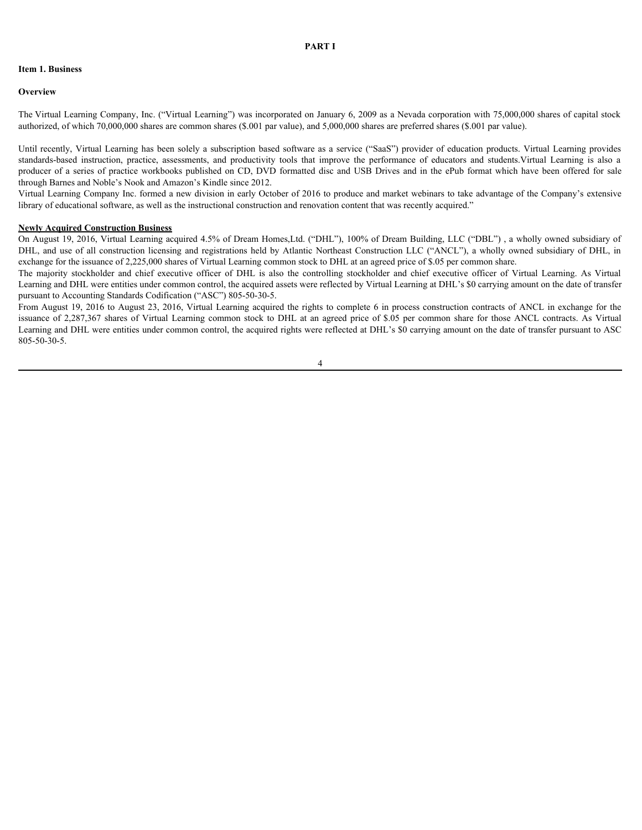### **Item 1. Business**

#### **Overview Overview**

The Virtual Learning Company, Inc. ("Virtual Learning") was incorporated on January 6, 2009 as a Nevada corporation with 75,000,000 shares of capital stock authorized, of which 70,000,000 shares are common shares (\$.001 par value), and 5,000,000 shares are preferred shares (\$.001 par value).

Until recently, Virtual Learning has been solely a subscription based software as a service ("SaaS") provider of education products. Virtual Learning provides **EXECT IDENT I**<br> **Solution**<br>
The Virtual Learning Company, Ine. ("Virtual Learning") was incorporated on January 6, 2009 as a Nevada corporation with 75,000,000 shares of capital stock<br>
utultvirtierald, of which 70,000,000 **PART I**<br> **PART I**<br> **ONCES ON SURFACT CONSULTED CONSULTED AS A SET AND FOR A SET AND FOR THE CONSULTED AND A SURFACT CONSULTED THE UNITED CONSULTED AND THE CONSULTED AND THE UNITED AND THE USE ON THE CONSULTED USE UNITED T** through Barnes and Noble's Nook and Amazon's Kindle since 2012. **EXEL IDENTIFY CONSTRANT CONSTRANT CONSTRANT CONSTRANT CONSTRANT CONSTRANT CONSTRANT CONSTRANT CONSTRANT CONSTRANT CONSTRANT CONSTRANT CONSTRANT CONSTRANT CONSTRANT CONSTRANT CONSTRANT CONSTRANT CONSTRANT CONSTRANT CONSTRA The majority of the majority of the majority of the majority of the majority of the majority of the majority of the stockholder and chief of the stockholder and chief of the stockholder and chief of the chief of the chief EXET I**<br> **EXET INTERNATIONAL CONSULTER CORPORATION** CONSULTER THE CONSULTER CONSULTER CONSULTER CONSULTER CONSULTER CONSULTER CONSULTER CONSULTER CONSULTER CONSULTER CONSULTER CONSULTER CONSULTER CONSULTER CONSULTER CONS

Virtual Learning Company Inc. formed a new division in early October of 2016 to produce and market webinars to take advantage of the Company's extensive library of educational software, as well as the instructional construction and renovation content that was recently acquired."

#### **Newly Acquired Construction Business**

On August 19, 2016, Virtual Learning acquired 4.5% of Dream Homes,Ltd. ("DHL"), 100% of Dream Building, LLC ("DBL") , a wholly owned subsidiary of exchange for the issuance of 2,225,000 shares of Virtual Learning common stock to DHL at an agreed price of \$.05 per common share.

Learning and DHL were entities under common control, the acquired assets were reflected by Virtual Learning at DHL's \$0 carrying amount on the date of transfer pursuant to Accounting Standards Codification ("ASC") 805-50-30-5.

From August 19, 2016 to August 23, 2016, Virtual Learning acquired the rights to complete 6 in process construction contracts of ANCL in exchange for the Learning and DHL were entities under common control, the acquired rights were reflected at DHL's \$0 carrying amount on the date of transfer pursuant to ASC 805-50-30-5.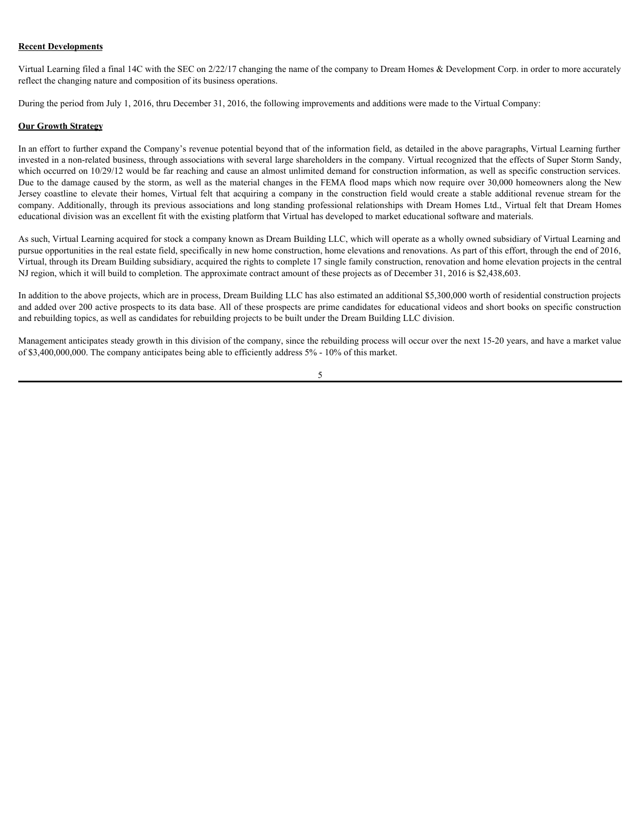### **Recent Developments**

Virtual Learning filed a final 14C with the SEC on 2/22/17 changing the name of the company to Dream Homes & Development Corp. in order to more accurately reflect the changing nature and composition of its business operations.

During the period from July 1, 2016, thru December 31, 2016, the following improvements and additions were made to the Virtual Company:

### **Our Growth Strategy**

In an effort to further expand the Company's revenue potential beyond that of the information field, as detailed in the above paragraphs, Virtual Learning further invested in a non-related business, through associations with several large shareholders in the company. Virtual recognized that the effects of Super Storm Sandy, which occurred on 10/29/12 would be far reaching and cause an almost unlimited demand for construction information, as well as specific construction services. Due to the damage caused by the storm, as well as the material changes in the FEMA flood maps which now require over 30,000 homeowners along the New **Excelt Developments**<br>
Virtual 1 carming fited a final 14C with the SFC on 2/22/17 changing the name of the company to Dream Homes & Development Corp. in order to more accurately<br>
reflect the changing nature and companysi company. Additionally, through its previous associations and long standing professional relationships with Dream Homes Ltd., Virtual felt that Dream Homes educational division was an excellent fit with the existing platform that Virtual has developed to market educational software and materials.

As such, Virtual Learning acquired for stock a company known as Dream Building LLC, which will operate as a wholly owned subsidiary of Virtual Learning and pursue opportunities in the real estate field, specifically in new home construction, home elevations and renovations. As part of this effort, through the end of 2016, Virtual, through its Dream Building subsidiary, acquired the rights to complete 17 single family construction, renovation and home elevation projects in the central NJ region, which it will build to completion. The approximate contract amount of these projects as of December 31, 2016 is \$2,438,603.

In addition to the above projects, which are in process, Dream Building LLC has also estimated an additional \$5,300,000 worth of residential construction projects and added over 200 active prospects to its data base. All of these prospects are prime candidates for educational videos and short books on specific construction and rebuilding topics, as well as candidates for rebuilding projects to be built under the Dream Building LLC division.

Management anticipates steady growth in this division of the company, since the rebuilding process will occur over the next 15-20 years, and have a market value of \$3,400,000,000. The company anticipates being able to efficiently address 5% - 10% of this market.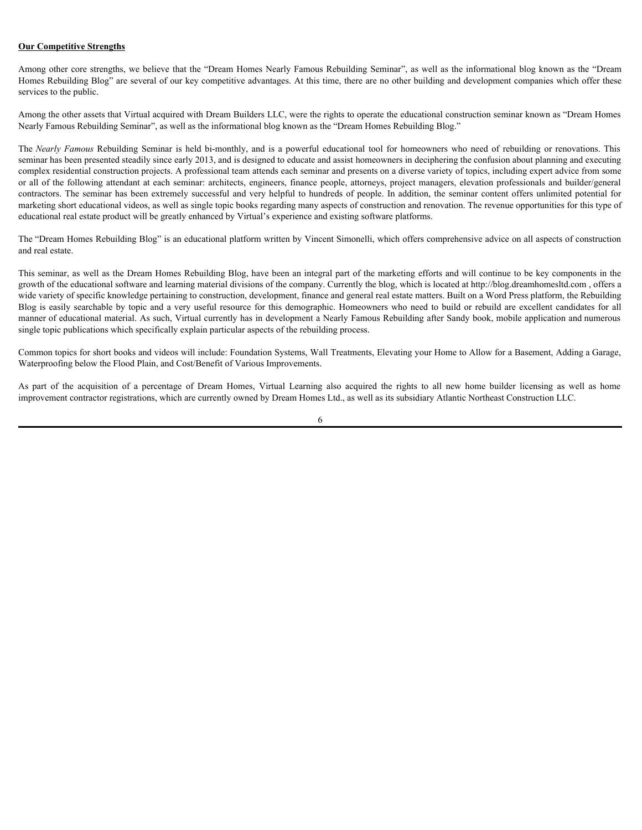### **Our Competitive Strengths**

Among other core strengths, we believe that the "Dream Homes Nearly Famous Rebuilding Seminar", as well as the informational blog known as the "Dream Homes Rebuilding Blog" are several of our key competitive advantages. At this time, there are no other building and development companies which offer these services to the public.

Among the other assets that Virtual acquired with Dream Builders LLC, were the rights to operate the educational construction seminar known as "Dream Homes Nearly Famous Rebuilding Seminar", as well as the informational blog known as the "Dream Homes Rebuilding Blog."

**Our Competitive Strengths**<br>Among other core strengths, we believe that the "Dream Homes Nearly Famous Rebuilding Seminar", as well as the informational blog known as the "Dream<br>Homes Rebuilding Biog" are several of our ke seminar has been presented steadily since early 2013, and is designed to educate and assist homeowners in deciphering the confusion about planning and executing complex residential construction projects. A professional team attends each seminar and presents on a diverse variety of topics, including expert advice from some or all of the following attendant at each seminar: architects, engineers, finance people, attorneys, project managers, elevation professionals and builder/general contractors. The seminar has been extremely successful and very helpful to hundreds of people. In addition, the seminar content offers unlimited potential for marketing short educational videos, as well as single topic books regarding many aspects of construction and renovation. The revenue opportunities for this type of educational real estate product will be greatly enhanced by Virtual's experience and existing software platforms. Our Competitive Strengths<br>Anony other cover trengts, we believe that the "Dream Homes Neutly Fanous Rebuilding Sensinar", as well as the informational plog-accord of the second of an key competitive advantage. At this tim

The "Dream Homes Rebuilding Blog" is an educational platform written by Vincent Simonelli, which offers comprehensive advice on all aspects of construction and real estate.

This seminar, as well as the Dream Homes Rebuilding Blog, have been an integral part of the marketing efforts and will continue to be key components in the growth of the educational software and learning material divisions of the company. Currently the blog, which is located at http://blog.dreamhomesltd.com , offers a wide variety of specific knowledge pertaining to construction, development, finance and general real estate matters. Built on a Word Press platform, the Rebuilding Blog is easily searchable by topic and a very useful resource for this demographic. Homeowners who need to build or rebuild are excellent candidates for all manner of educational material. As such, Virtual currently has in development a Nearly Famous Rebuilding after Sandy book, mobile application and numerous single topic publications which specifically explain particular aspects of the rebuilding process.

Common topics for short books and videos will include: Foundation Systems, Wall Treatments, Elevating your Home to Allow for a Basement, Adding a Garage, Waterproofing below the Flood Plain, and Cost/Benefit of Various Improvements.

improvement contractor registrations, which are currently owned by Dream Homes Ltd., as well as its subsidiary Atlantic Northeast Construction LLC.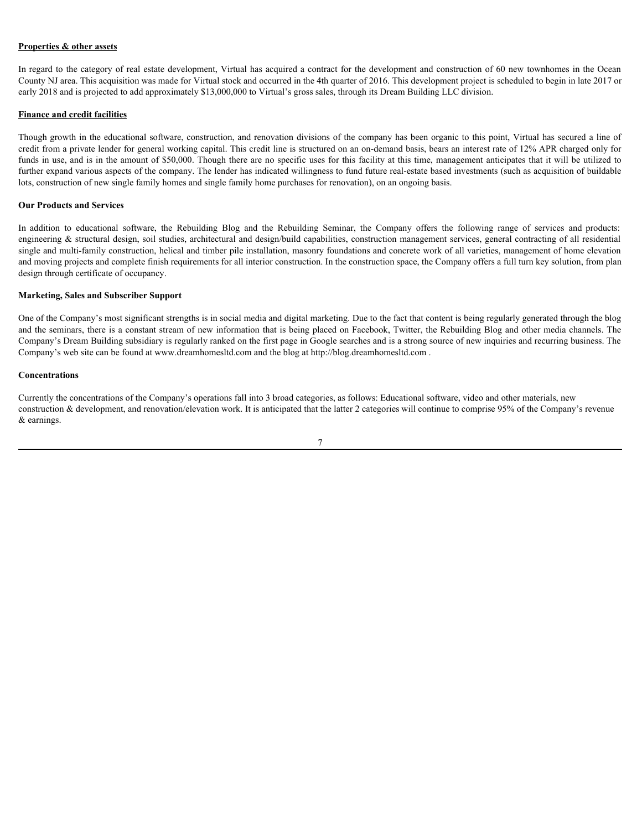### **Properties & other assets**

In regard to the category of real estate development, Virtual has acquired a contract for the development and construction of 60 new townhomes in the Ocean County NJ area. This acquisition was made for Virtual stock and occurred in the 4th quarter of 2016. This development project is scheduled to begin in late 2017 or early 2018 and is projected to add approximately \$13,000,000 to Virtual's gross sales, through its Dream Building LLC division.

### **Finance and credit facilities**

Though growth in the educational software, construction, and renovation divisions of the company has been organic to this point, Virtual has secured a line of credit from a private lender for general working capital. This credit line is structured on an on-demand basis, bears an interest rate of 12% APR charged only for funds in use, and is in the amount of \$50,000. Though there are no specific uses for this facility at this time, management anticipates that it will be utilized to further expand various aspects of the company. The lender has indicated willingness to fund future real-estate based investments (such as acquisition of buildable lots, construction of new single family homes and single family home purchases for renovation), on an ongoing basis. **Properties & other assets**<br>In regard to the extegory of real estate development, Virtual has acquired a contract for the development and construction of 60 new townhomes in the Ocean<br>County NI sea. This acquisition was ma

### **Our Products and Services**

engineering & structural design, soil studies, architectural and design/build capabilities, construction management services, general contracting of all residential single and multi-family construction, helical and timber pile installation, masonry foundations and concrete work of all varieties, management of home elevation and moving projects and complete finish requirements for all interior construction. In the construction space, the Company offers a full turn key solution, from plan design through certificate of occupancy.

### **Marketing, Sales and Subscriber Support**

One of the Company's most significant strengths is in social media and digital marketing. Due to the fact that content is being regularly generated through the blog and the seminars, there is a constant stream of new information that is being placed on Facebook, Twitter, the Rebuilding Blog and other media channels. The Company's Dream Building subsidiary is regularly ranked on the first page in Google searches and is a strong source of new inquiries and recurring business. The Company's web site can be found at www.dreamhomesltd.com and the blog at http://blog.dreamhomesltd.com .

### **Concentrations**

Currently the concentrations of the Company's operations fall into 3 broad categories, as follows: Educational software, video and other materials, new construction & development, and renovation/elevation work. It is anticipated that the latter 2 categories will continue to comprise 95% of the Company's revenue & earnings.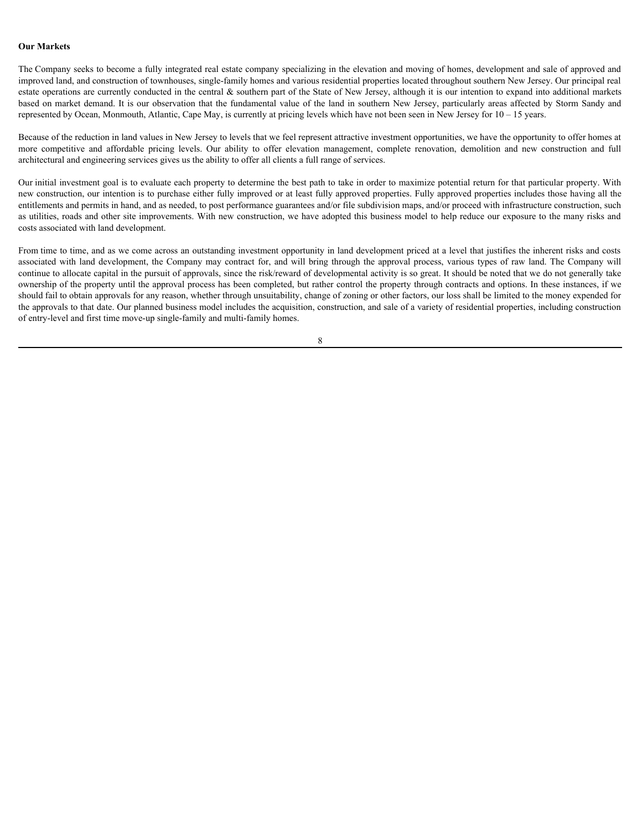#### **Our Markets**

The Company seeks to become a fully integrated real estate company specializing in the elevation and moving of homes, development and sale of approved and improved land, and construction of townhouses, single-family homes and various residential properties located throughout southern New Jersey. Our principal real estate operations are currently conducted in the central & southern part of the State of New Jersey, although it is our intention to expand into additional markets based on market demand. It is our observation that the fundamental value of the land in southern New Jersey, particularly areas affected by Storm Sandy and represented by Ocean, Monmouth, Atlantic, Cape May, is currently at pricing levels which have not been seen in New Jersey for 10 – 15 years. **Our Markets**<br>The Company seeks to become a fully integrated real estate company specializing in the elevation and moving of homes, development and sale of approved and<br>improved and and onstruction of townboases, single-fa

Because of the reduction in land values in New Jersey to levels that we feel represent attractive investment opportunities, we have the opportunity to offer homes at architectural and engineering services gives us the ability to offer all clients a full range of services.

Our initial investment goal is to evaluate each property to determine the best path to take in order to maximize potential return for that particular property. With new construction, our intention is to purchase either fully improved or at least fully approved properties. Fully approved properties includes those having all the entitlements and permits in hand, and as needed, to post performance guarantees and/or file subdivision maps, and/or proceed with infrastructure construction, such as utilities, roads and other site improvements. With new construction, we have adopted this business model to help reduce our exposure to the many risks and costs associated with land development.

From time to time, and as we come across an outstanding investment opportunity in land development priced at a level that justifies the inherent risks and costs **Our Markets**<br>The Company seeks to hecome a fully imagented real estate company specializing in the elevation and moving of homes, development and sele of approved and<br>imagenced into dentantication of low-ables-s. angle-l continue to allocate capital in the pursuit of approvals, since the risk/reward of developmental activity is so great. It should be noted that we do not generally take ownership of the property until the approval process has been completed, but rather control the property through contracts and options. In these instances, if we should fail to obtain approvals for any reason, whether through unsuitability, change of zoning or other factors, our loss shall be limited to the money expended for the approvals to that date. Our planned business model includes the acquisition, construction, and sale of a variety of residential properties, including construction of entry-level and first time move-up single-family and multi-family homes.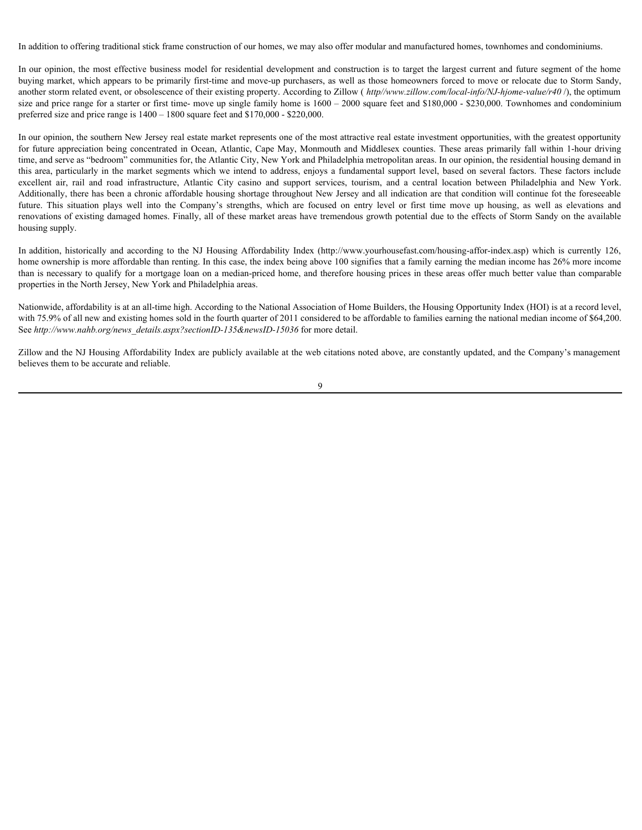In addition to offering traditional stick frame construction of our homes, we may also offer modular and manufactured homes, townhomes and condominiums.

In our opinion, the most effective business model for residential development and construction is to target the largest current and future segment of the home buying market, which appears to be primarily first-time and move-up purchasers, as well as those homeowners forced to move or relocate due to Storm Sandy, another storm related event, or obsolescence of their existing property. According to Zillow ( *http//www.zillow.com/local-info/NJ-hjome-value/r40* /), the optimum size and price range for a starter or first time- move up single family home is  $1600 - 2000$  square feet and \$180,000 - \$230,000. Townhomes and condominium preferred size and price range is 1400 – 1800 square feet and \$170,000 - \$220,000.

In our opinion, the southern New Jersey real estate market represents one of the most attractive real estate investment opportunities, with the greatest opportunity for future appreciation being concentrated in Ocean, Atlantic, Cape May, Monmouth and Middlesex counties. These areas primarily fall within 1-hour driving time, and serve as "bedroom" communities for, the Atlantic City, New York and Philadelphia metropolitan areas. In our opinion, the residential housing demand in In addition to offering traditional stick frame construction of our homes, we may also offer modular and manufactured homes, townhomes and condominiums.<br>In our orpinion, the most effective business model for residential d In addition to offering traditional stick frame construction of our homes, we may also offer modular and manufactured homes, townhomes and condominiums.<br>In our opinion, the must effective business model for residential de Additionally, there has been a chronic affordable housing shortage throughout New Jersey and all indication are that condition will continue fot the foreseeable In addition to offering traditional stick frame construction of our homes, we may also offer modular and manufactured homes, townhomes and condominiums.<br>In our opinion, the most effective business model for residential de renovations of existing damaged homes. Finally, all of these market areas have tremendous growth potential due to the effects of Storm Sandy on the available housing supply. In addition to offering traditional stick frame construction of our homes, we may also offer modular and manufactured bornes, towahomes and condominiums,<br>In our opinion, he most different bostorically firstnical developmen

home ownership is more affordable than renting. In this case, the index being above 100 signifies that a family earning the median income has 26% more income than is necessary to qualify for a mortgage loan on a median-priced home, and therefore housing prices in these areas offer much better value than comparable properties in the North Jersey, New York and Philadelphia areas.

Nationwide, affordability is at an all-time high. According to the National Association of Home Builders, the Housing Opportunity Index (HOI) is at a record level, with 75.9% of all new and existing homes sold in the fourth quarter of 2011 considered to be affordable to families earning the national median income of \$64,200. See *http://www.nahb.org/news\_details.aspx?sectionID-135&newsID-15036* for more detail.

Zillow and the NJ Housing Affordability Index are publicly available at the web citations noted above, are constantly updated, and the Company's management believes them to be accurate and reliable.

 $\overline{Q}$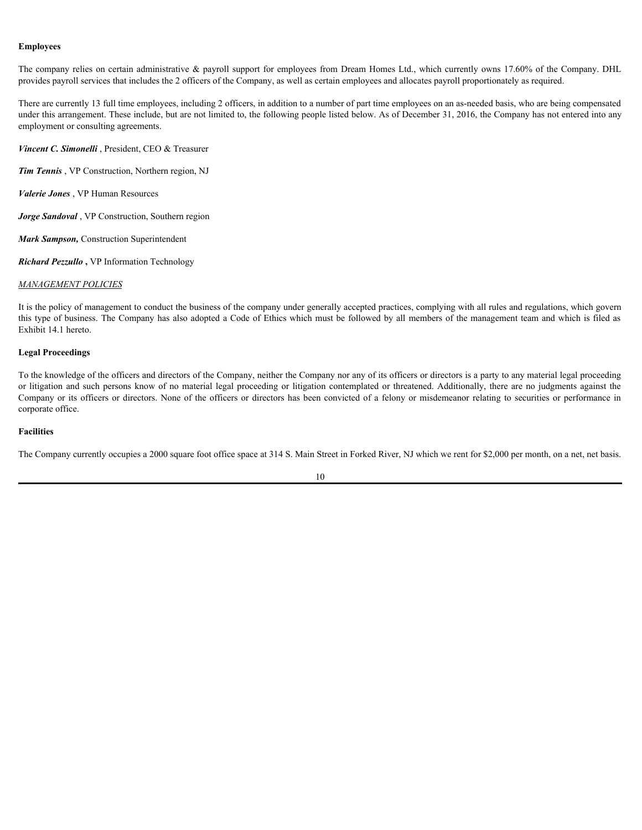### **Employees**

The company relies on certain administrative & payroll support for employees from Dream Homes Ltd., which currently owns 17.60% of the Company. DHL provides payroll services that includes the 2 officers of the Company, as well as certain employees and allocates payroll proportionately as required.

There are currently 13 full time employees, including 2 officers, in addition to a number of part time employees on an as-needed basis, who are being compensated under this arrangement. These include, but are not limited to, the following people listed below. As of December 31, 2016, the Company has not entered into any employment or consulting agreements.

*Vincent C. Simonelli* , President, CEO & Treasurer

*Tim Tennis* , VP Construction, Northern region, NJ

*Valerie Jones* , VP Human Resources

*Jorge Sandoval* , VP Construction, Southern region

*Mark Sampson,* Construction Superintendent

*Richard Pezzullo* **,** VP Information Technology

#### *MANAGEMENT POLICIES*

It is the policy of management to conduct the business of the company under generally accepted practices, complying with all rules and regulations, which govern this type of business. The Company has also adopted a Code of Ethics which must be followed by all members of the management team and which is filed as Exhibit 14.1 hereto.

### **Legal Proceedings**

To the knowledge of the officers and directors of the Company, neither the Company nor any of its officers or directors is a party to any material legal proceeding **Enginyers**<br>The company relies so ecretic administrative & peryodi rapport for employees from Denma Diatomatics and anti-contempt provides a<br>provide agreed second second such persons and such a matter of an employees and a Company or its officers or directors. None of the officers or directors has been convicted of a felony or misdemeanor relating to securities or performance in corporate office.

### **Facilities**

The Company currently occupies a 2000 square foot office space at 314 S. Main Street in Forked River, NJ which we rent for \$2,000 per month, on a net, net basis.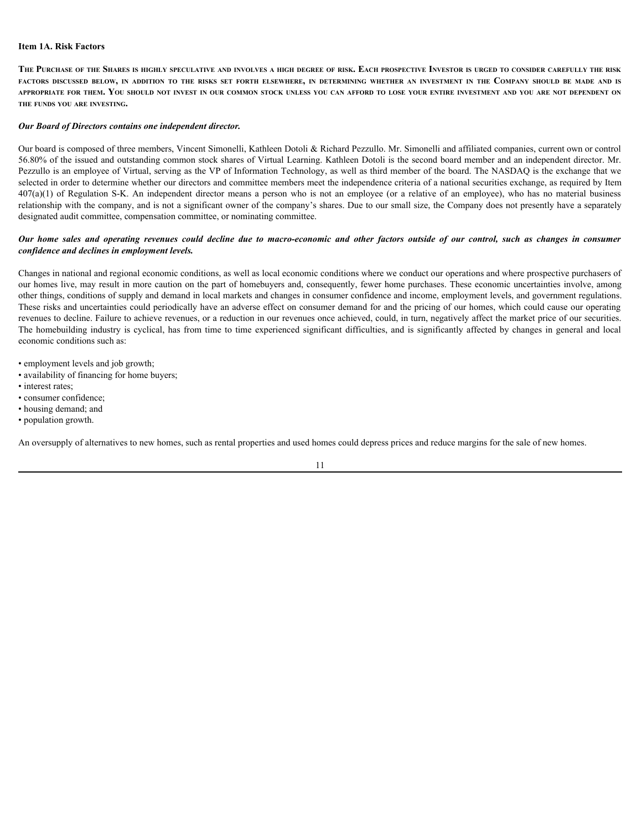#### **Item 1A. Risk Factors**

THE PURCHASE OF THE SHARES IS HIGHLY SPECULATIVE AND INVOLVES A HIGH DEGREE OF RISK, EACH PROSPECTIVE INVESTOR IS URGED TO CONSIDER CAREFULLY THE RISK FACTORS DISCUSSED BELOW, IN ADDITION TO THE RISKS SET FORTH ELSEWHERE, IN DETERMINING WHETHER AN INVESTMENT IN THE COMPANY SHOULD BE MADE AND IS APPROPRIATE FOR THEM. YOU SHOULD NOT INVEST IN OUR COMMON STOCK UNLESS YOU CAN AFFORD TO LOSE YOUR ENTIRE INVESTMENT AND YOU ARE NOT DEPENDENT ON **THE FUNDS YOU AREINVESTING.**

#### *Our Board of Directors contains one independent director.*

Our board is composed of three members, Vincent Simonelli, Kathleen Dotoli & Richard Pezzullo. Mr. Simonelli and affiliated companies, current own or control 56.80% of the issued and outstanding common stock shares of Virtual Learning. Kathleen Dotoli is the second board member and an independent director. Mr. Pezzullo is an employee of Virtual, serving as the VP of Information Technology, as well as third member of the board. The NASDAQ is the exchange that we selected in order to determine whether our directors and committee members meet the independence criteria of a national securities exchange, as required by Item Trem TA, Risk Factors<br>
The Petersias or the Situatis is incluit spectra arrive as never incluit is a mean incluit of means. EACH prospective Issues is noting consistent contribute the systems<br>
ENCIVENTS INCONSISTENT FOR MA relationship with the company, and is not a significant owner of the company's shares. Due to our small size, the Company does not presently have a separately designated audit committee, compensation committee, or nominating committee. *Our home sales and operating revenues could decline due to macro-economic and other factors outside of our control, such as changes in consumer*

# *confidence and declines in employment levels.*

Changes in national and regional economic conditions, as well as local economic conditions where we conduct our operations and where prospective purchasers of our homes live, may result in more caution on the part of homebuyers and, consequently, fewer home purchases. These economic uncertainties involve, among other things, conditions of supply and demand in local markets and changes in consumer confidence and income, employment levels, and government regulations. These risks and uncertainties could periodically have an adverse effect on consumer demand for and the pricing of our homes, which could cause our operating revenues to decline. Failure to achieve revenues, or a reduction in our revenues once achieved, could, in turn, negatively affect the market price of our securities. Hem IA, this Factors<br>The Processo or transformation or transmission revolutions is used to the syclical processor or the former and<br>The consequence of the final value of the mass in them assessment is neutrance when<br>the re economic conditions such as:

- employment levels and job growth;
- availability of financing for home buyers;
- interest rates:
- consumer confidence;
- housing demand; and
- population growth.

An oversupply of alternatives to new homes, such as rental properties and used homes could depress prices and reduce margins for the sale of new homes.

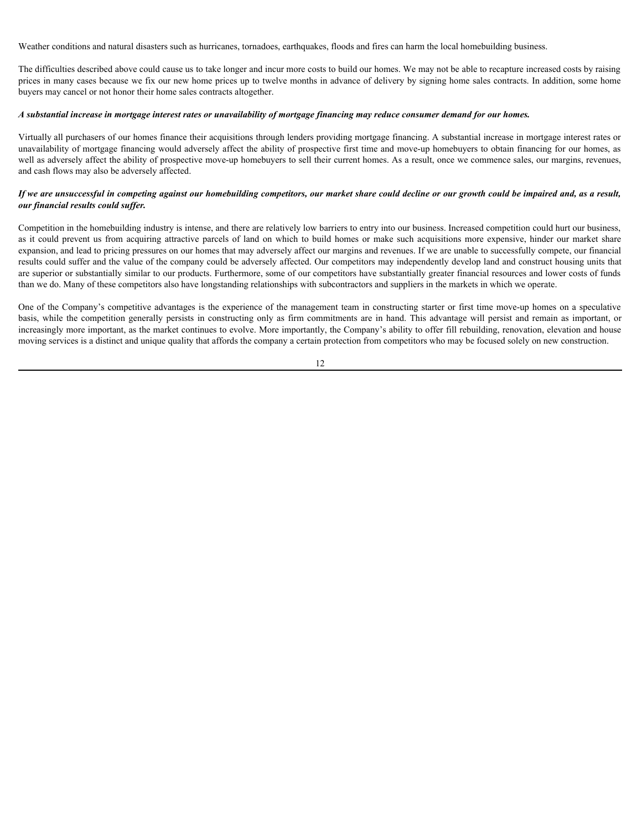Weather conditions and natural disasters such as hurricanes, tornadoes, earthquakes, floods and fires can harm the local homebuilding business.

The difficulties described above could cause us to take longer and incur more costs to build our homes. We may not be able to recapture increased costs by raising prices in many cases because we fix our new home prices up to twelve months in advance of delivery by signing home sales contracts. In addition, some home buyers may cancel or not honor their home sales contracts altogether.

### *A substantial increase in mortgage interest rates or unavailability of mortgage financing may reduce consumer demand for our homes.*

Virtually all purchasers of our homes finance their acquisitions through lenders providing mortgage financing. A substantial increase in mortgage interest rates or unavailability of mortgage financing would adversely affect the ability of prospective first time and move-up homebuyers to obtain financing for our homes, as well as adversely affect the ability of prospective move-up homebuyers to sell their current homes. As a result, once we commence sales, our margins, revenues, and cash flows may also be adversely affected.

### *If we are unsuccessful in competing against our homebuilding competitors, our market share could decline or our growth could be impaired and, as a result, our financial results could suffer.*

Competition in the homebuilding industry is intense, and there are relatively low barriers to entry into our business. Increased competition could hurt our business, Weather conditions and natural disasters such as hurricanes, tornadoes, earthquakes, floods and fires can harm the local homebuilding business.<br>The diffusation above could cause us to take longer and more more conts to bui expansion, and lead to pricing pressures on our homes that may adversely affect our margins and revenues. If we are unable to successfully compete, our financial results could suffer and the value of the company could be adversely affected. Our competitors may independently develop land and construct housing units that are superior or substantially similar to our products. Furthermore, some of our competitors have substantially greater financial resources and lower costs of funds than we do. Many of these competitors also have longstanding relationships with subcontractors and suppliers in the markets in which we operate. Weather conditions and notaral disaters such as hurivancs, tomadoes, configurables, floods and fires on larm the local homebulding business.<br>The differential describes the competition may have a persistent of the competit

One of the Company's competitive advantages is the experience of the management team in constructing starter or first time move-up homes on a speculative increasingly more important, as the market continues to evolve. More importantly, the Company's ability to offer fill rebuilding, renovation, elevation and house moving services is a distinct and unique quality that affords the company a certain protection from competitors who may be focused solely on new construction.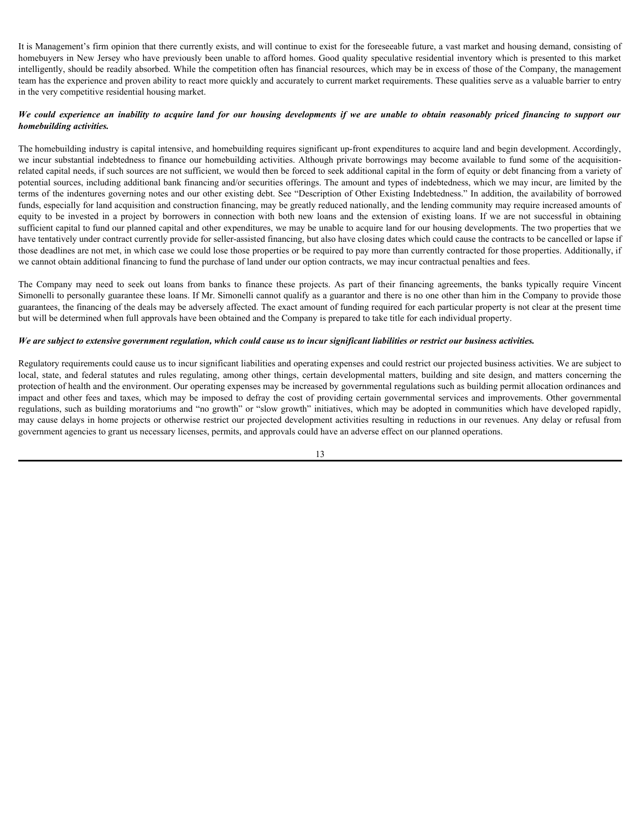It is Management's firm opinion that there currently exists, and will continue to exist for the foreseeable future, a vast market and housing demand, consisting of homebuyers in New Jersey who have previously been unable to afford homes. Good quality speculative residential inventory which is presented to this market intelligently, should be readily absorbed. While the competition often has financial resources, which may be in excess of those of the Company, the management team has the experience and proven ability to react more quickly and accurately to current market requirements. These qualities serve as a valuable barrier to entry in the very competitive residential housing market.

# *homebuilding activities.*

*We Shanagement's firm opinion that there currently exists, and will continue to exist for the foreseeable future, a vast market and housing demand, consisting of homebuyers in New Jersey who have previously been unable to* The homebuilding industry is capital intensive, and homebuilding requires significant up-front expenditures to acquire land and begin development. Accordingly, we incur substantial indebtedness to finance our homebuilding activities. Although private borrowings may become available to fund some of the acquisitionrelated capital needs, if such sources are not sufficient, we would then be forced to seek additional capital in the form of equity or debt financing from a variety of potential sources, including additional bank financing and/or securities offerings. The amount and types of indebtedness, which we may incur, are limited by the terms of the indentures governing notes and our other existing debt. See "Description of Other Existing Indebtedness." In addition, the availability of borrowed funds, especially for land acquisition and construction financing, may be greatly reduced nationally, and the lending community may require increased amounts of It is Management's firm opinion that there eurrently exists, and will continue to exist for the foreseeable future, a vast market and housing demand, consisting of borokonys in New Jersey who have prevonsity been unable to sufficient capital to fund our planned capital and other expenditures, we may be unable to acquire land for our housing developments. The two properties that we have tentatively under contract currently provide for seller-assisted financing, but also have closing dates which could cause the contracts to be cancelled or lapse if those deadlines are not met, in which case we could lose those properties or be required to pay more than currently contracted for those properties. Additionally, if we cannot obtain additional financing to fund the purchase of land under our option contracts, we may incur contractual penalties and fees. It is Management's firm opinion that here currently exists, and will continue to exist for the Rocessable future, a vast market and hoosing demand, consisting of homelogivery which agre which banks to makket restainable re It is Management's fram option that these currently exists, and will estatute to controllar both costs and for the controllar both costs and interpretation in the regular costs and interest one of the compatibility estatio

Simonelli to personally guarantee these loans. If Mr. Simonelli cannot qualify as a guarantor and there is no one other than him in the Company to provide those guarantees, the financing of the deals may be adversely affected. The exact amount of funding required for each particular property is not clear at the present time but will be determined when full approvals have been obtained and the Company is prepared to take title for each individual property.

#### *We are subject to extensive government regulation, which could cause us to incur significant liabilities or restrict our business activities.*

Regulatory requirements could cause us to incur significant liabilities and operating expenses and could restrict our projected business activities. We are subject to protection of health and the environment. Our operating expenses may be increased by governmental regulations such as building permit allocation ordinances and impact and other fees and taxes, which may be imposed to defray the cost of providing certain governmental services and improvements. Other governmental regulations, such as building moratoriums and "no growth" or "slow growth" initiatives, which may be adopted in communities which have developed rapidly, may cause delays in home projects or otherwise restrict our projected development activities resulting in reductions in our revenues. Any delay or refusal from government agencies to grant us necessary licenses, permits, and approvals could have an adverse effect on our planned operations.

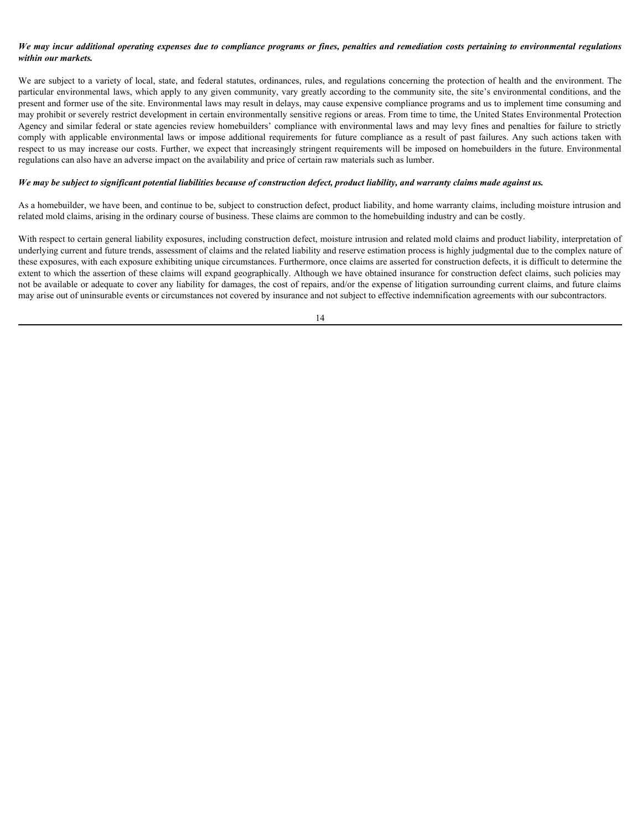### *We may incur additional operating expenses due to compliance programs or fines, penalties and remediation costs pertaining to environmental regulations within our markets.*

We are subject to a variety of local, state, and federal statutes, ordinances, rules, and regulations concerning the protection of health and the environment. The particular environmental laws, which apply to any given community, vary greatly according to the community site, the site's environmental conditions, and the present and former use of the site. Environmental laws may result in delays, may cause expensive compliance programs and us to implement time consuming and may prohibit or severely restrict development in certain environmentally sensitive regions or areas. From time to time, the United States Environmental Protection Agency and similar federal or state agencies review homebuilders' compliance with environmental laws and may levy fines and penalties for failure to strictly We may incur additional operating expenses due to compliance programs or fines, penalties and remediation costs pertaining to environmental regulations<br>within our markets.<br>We are subject to a variety of local, state, and f respect to us may increase our costs. Further, we expect that increasingly stringent requirements will be imposed on homebuilders in the future. Environmental regulations can also have an adverse impact on the availability and price of certain raw materials such as lumber.

### *We may be subject to significant potential liabilities because of construction defect, product liability, and warranty claims made against us.*

As a homebuilder, we have been, and continue to be, subject to construction defect, product liability, and home warranty claims, including moisture intrusion and related mold claims, arising in the ordinary course of business. These claims are common to the homebuilding industry and can be costly.

With respect to certain general liability exposures, including construction defect, moisture intrusion and related mold claims and product liability, interpretation of underlying current and future trends, assessment of claims and the related liability and reserve estimation process is highly judgmental due to the complex nature of these exposures, with each exposure exhibiting unique circumstances. Furthermore, once claims are asserted for construction defects, it is difficult to determine the extent to which the assertion of these claims will expand geographically. Although we have obtained insurance for construction defect claims, such policies may not be available or adequate to cover any liability for damages, the cost of repairs, and/or the expense of litigation surrounding current claims, and future claims may arise out of uninsurable events or circumstances not covered by insurance and not subject to effective indemnification agreements with our subcontractors.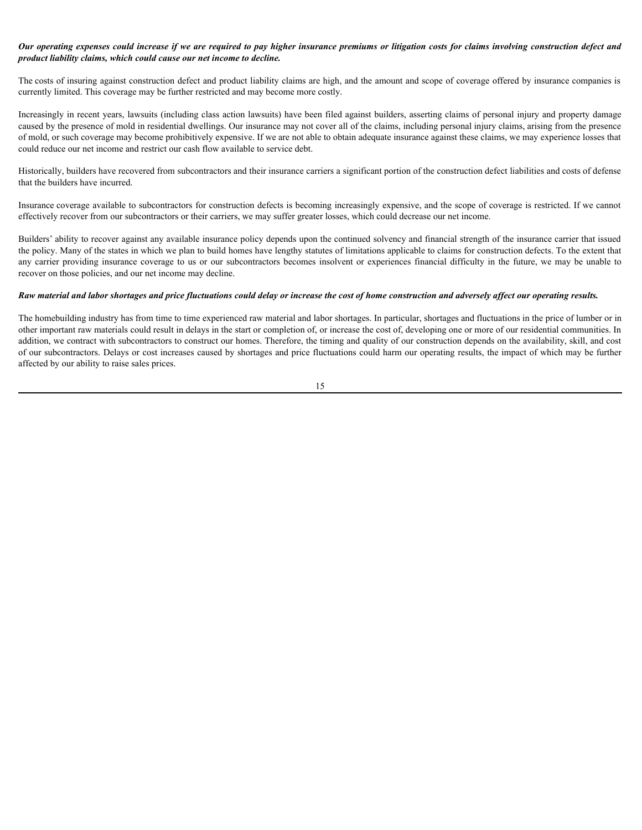### *Our operating expenses could increase if we are required to pay higher insurance premiums or litigation costs for claims involving construction defect and product liability claims, which could cause our net income to decline.*

The costs of insuring against construction defect and product liability claims are high, and the amount and scope of coverage offered by insurance companies is currently limited. This coverage may be further restricted and may become more costly.

Increasingly in recent years, lawsuits (including class action lawsuits) have been filed against builders, asserting claims of personal injury and property damage caused by the presence of mold in residential dwellings. Our insurance may not cover all of the claims, including personal injury claims, arising from the presence of mold, or such coverage may become prohibitively expensive. If we are not able to obtain adequate insurance against these claims, we may experience losses that could reduce our net income and restrict our cash flow available to service debt. Our operating expenses could increase if we are required to pay higher insurance premiums or fliigetion costs for claims involving construction defect and product liability claims, which could cover of the cost of moment g

Historically, builders have recovered from subcontractors and their insurance carriers a significant portion of the construction defect liabilities and costs of defense that the builders have incurred.

Insurance coverage available to subcontractors for construction defects is becoming increasingly expensive, and the scope of coverage is restricted. If we cannot effectively recover from our subcontractors or their carriers, we may suffer greater losses, which could decrease our net income.

Builders' ability to recover against any available insurance policy depends upon the continued solvency and financial strength of the insurance carrier that issued the policy. Many of the states in which we plan to build homes have lengthy statutes of limitations applicable to claims for construction defects. To the extent that recover on those policies, and our net income may decline.

#### *Raw material and labor shortages and price fluctuations could delay or increase the cost of home construction and adversely affect our operating results.*

The homebuilding industry has from time to time experienced raw material and labor shortages. In particular, shortages and fluctuations in the price of lumber or in other important raw materials could result in delays in the start or completion of, or increase the cost of, developing one or more of our residential communities. In addition, we contract with subcontractors to construct our homes. Therefore, the timing and quality of our construction depends on the availability, skill, and cost of our subcontractors. Delays or cost increases caused by shortages and price fluctuations could harm our operating results, the impact of which may be further affected by our ability to raise sales prices.

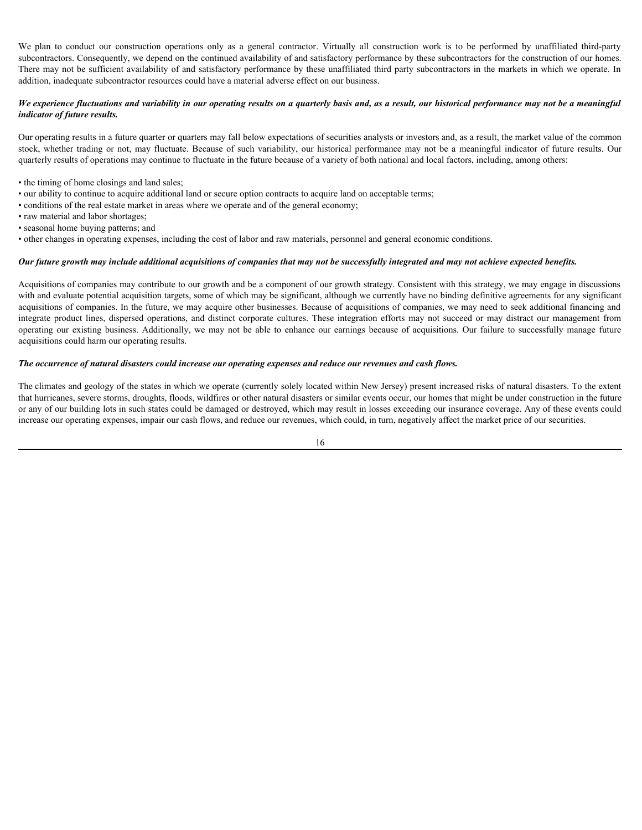We plan to conduct our construction operations only as a general contractor. Virtually all construction work is to be performed by unaffiliated third-party subcontractors. Consequently, we depend on the continued availabil subcontractors. Consequently, we depend on the continued availability of and satisfactory performance by these subcontractors for the construction of our homes. There may not be sufficient availability of and satisfactory performance by these unaffiliated third party subcontractors in the markets in which we operate. In addition, inadequate subcontractor resources could have a material adverse effect on our business. We plan to conduct our construction operations only as a general contractor. Virtually all construction work is to be performed by unaffiliated third-party subcontractors. Consequently, we depend on the continued availabil

### *We experience fluctuations and variability in our operating results on a quarterly basis and, as a result, our historical performance may not be a meaningful indicator of future results.*

Our operating results in a future quarter or quarters may fall below expectations of securities analysts or investors and, as a result, the market value of the common quarterly results of operations may continue to fluctuate in the future because of a variety of both national and local factors, including, among others:

- the timing of home closings and land sales;
- our ability to continue to acquire additional land or secure option contracts to acquire land on acceptable terms;
- conditions of the real estate market in areas where we operate and of the general economy;
- raw material and labor shortages;
- seasonal home buying patterns; and
- other changes in operating expenses, including the cost of labor and raw materials, personnel and general economic conditions.

#### *Our future growth may include additional acquisitions of companies that may not be successfully integrated and may not achieve expected benefits.*

Acquisitions of companies may contribute to our growth and be a component of our growth strategy. Consistent with this strategy, we may engage in discussions with and evaluate potential acquisition targets, some of which may be significant, although we currently have no binding definitive agreements for any significant acquisitions of companies. In the future, we may acquire other businesses. Because of acquisitions of companies, we may need to seek additional financing and We plan to conduct our construction operations only as a general contracte. Virtually all constructions work is to be performed alternations, These may not be such such as such that the subsequent core constrained for the We plan to conduct our construction operations only as a general contrador. Virtually all constructions with the performancies of the communication of the endomeration is the communication of the communication of the comm acquisitions could harm our operating results.

### *The occurrence of natural disasters could increase our operating expenses and reduce our revenues and cash flows.*

The climates and geology of the states in which we operate (currently solely located within New Jersey) present increased risks of natural disasters. To the extent that hurricanes, severe storms, droughts, floods, wildfires or other natural disasters or similar events occur, our homes that might be under construction in the future or any of our building lots in such states could be damaged or destroyed, which may result in losses exceeding our insurance coverage. Any of these events could increase our operating expenses, impair our cash flows, and reduce our revenues, which could, in turn, negatively affect the market price of our securities.

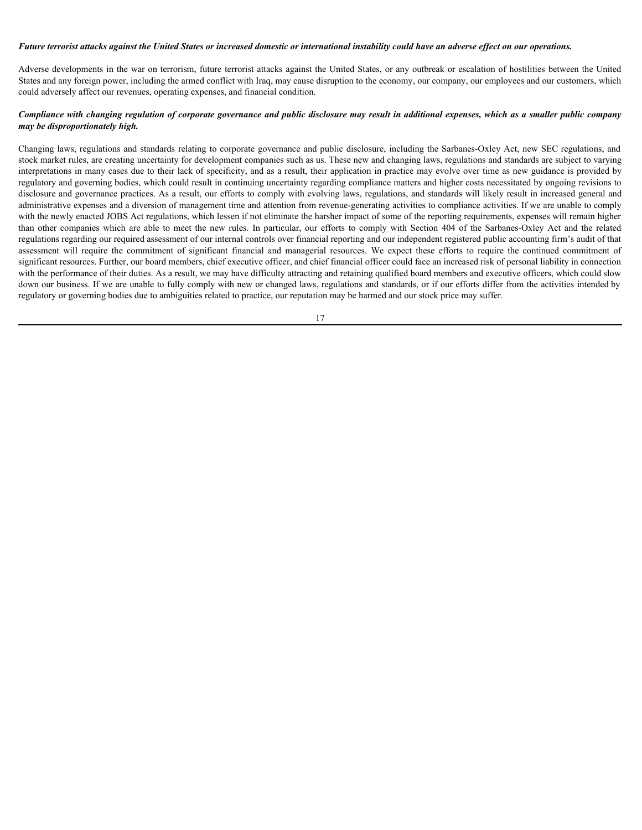#### *Future terrorist attacks against the United States or increased domestic or international instability could have an adverse effect on our operations.*

Adverse developments in the war on terrorism, future terrorist attacks against the United States, or any outbreak or escalation of hostilities between the United States and any foreign power, including the armed conflict with Iraq, may cause disruption to the economy, our company, our employees and our customers, which could adversely affect our revenues, operating expenses, and financial condition.

### *Compliance with changing regulation of corporate governance and public disclosure may result in additional expenses, which as a smaller public company may be disproportionately high.*

Changing laws, regulations and standards relating to corporate governance and public disclosure, including the Sarbanes-Oxley Act, new SEC regulations, and stock market rules, are creating uncertainty for development companies such as us. These new and changing laws, regulations and standards are subject to varying interpretations in many cases due to their lack of specificity, and as a result, their application in practice may evolve over time as new guidance is provided by regulatory and governing bodies, which could result in continuing uncertainty regarding compliance matters and higher costs necessitated by ongoing revisions to disclosure and governance practices. As a result, our efforts to comply with evolving laws, regulations, and standards will likely result in increased general and administrative expenses and a diversion of management time and attention from revenue-generating activities to compliance activities. If we are unable to comply with the newly enacted JOBS Act regulations, which lessen if not eliminate the harsher impact of some of the reporting requirements, expenses will remain higher Future terrorist attacks against the United States or increased domestic or international instability could have an adverse effect on our operations.<br>Adverse developments in the var on terrorism, future terrorist attacks a regulations regarding our required assessment of our internal controls over financial reporting and our independent registered public accounting firm's audit of that Future terrorist attacks against the United States or increased domestic or international tastability could have an adverse effect on our operations,<br>Adverse developments in the var on terrorism, future terroris studes aga significant resources. Further, our board members, chief executive officer, and chief financial officer could face an increased risk of personal liability in connection with the performance of their duties. As a result, we may have difficulty attracting and retaining qualified board members and executive officers, which could slow down our business. If we are unable to fully comply with new or changed laws, regulations and standards, or if our efforts differ from the activities intended by regulatory or governing bodies due to ambiguities related to practice, our reputation may be harmed and our stock price may suffer.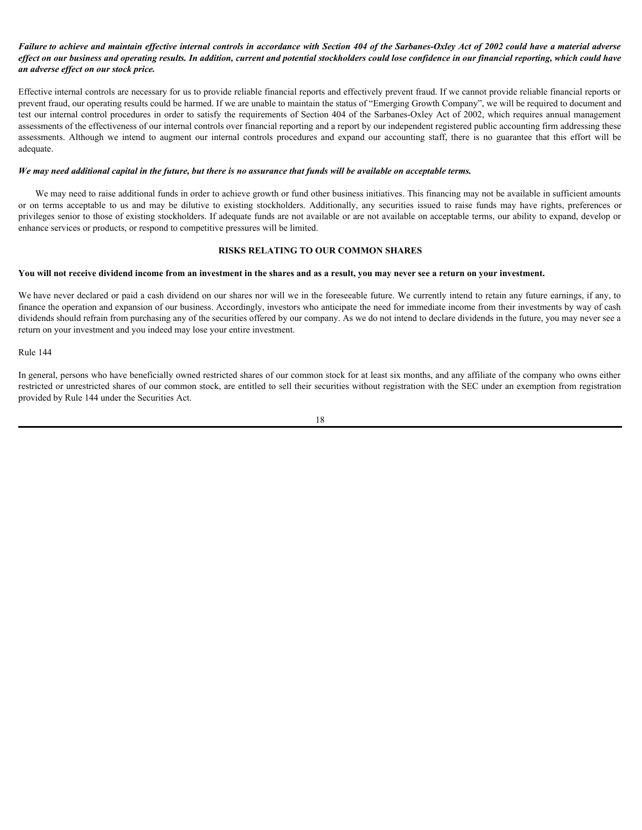### *Failure to achieve and maintain effective internal controls in accordance with Section 404 of the Sarbanes-Oxley Act of 2002 could have a material adverse effect on our business and operating results. In addition, current and potential stockholders could lose confidence in our financial reporting, which could have an adverse effect on our stock price.*

Effective internal controls are necessary for us to provide reliable financial reports and effectively prevent fraud. If we cannot provide reliable financial reports or prevent fraud, our operating results could be harmed. If we are unable to maintain the status of "Emerging Growth Company", we will be required to document and test our internal control procedures in order to satisfy the requirements of Section 404 of the Sarbanes-Oxley Act of 2002, which requires annual management assessments of the effectiveness of our internal controls over financial reporting and a report by our independent registered public accounting firm addressing these Failure to achieve and maintain effective internal controls in accordance with Section 404 of the Sarbanes-Oxley Act of 2002 could have a material adverse effect on our susiness and operating results. In addition, current adequate. **Fallure to achieve and maintain effective internal controls in accordance with Section 404 of the Sarbanes-Oxley Act of 2002 could have a material adverse effect on our bussiness and operating results. In addition, curren** 

### *We may need additional capital in the future, but there is no assurance that funds will be available on acceptable terms.*

We may need to raise additional funds in order to achieve growth or fund other business initiatives. This financing may not be available in sufficient amounts privileges senior to those of existing stockholders. If adequate funds are not available or are not available on acceptable terms, our ability to expand, develop or enhance services or products, or respond to competitive pressures will be limited.

#### **RISKS RELATING TO OUR COMMON SHARES**

#### **You will not receive dividend income from an investment in the shares and as a result, you may never see a return on your investment.**

We have never declared or paid a cash dividend on our shares nor will we in the foreseeable future. We currently intend to retain any future earnings, if any, to finance the operation and expansion of our business. Accordingly, investors who anticipate the need for immediate income from their investments by way of cash dividends should refrain from purchasing any of the securities offered by our company. As we do not intend to declare dividends in the future, you may never see a return on your investment and you indeed may lose your entire investment.

Rule 144

In general, persons who have beneficially owned restricted shares of our common stock for at least six months, and any affiliate of the company who owns either restricted or unrestricted shares of our common stock, are entitled to sell their securities without registration with the SEC under an exemption from registration provided by Rule 144 under the Securities Act.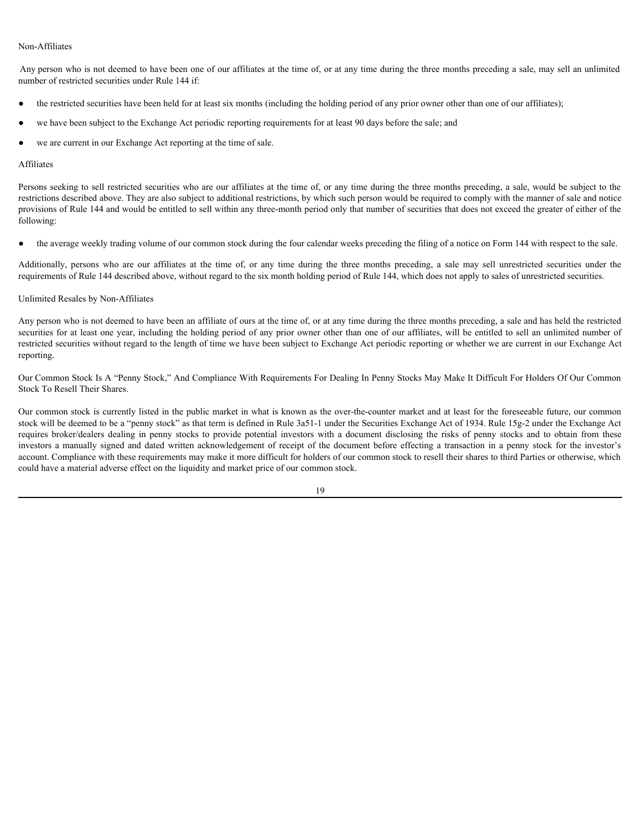#### Non-Affiliates

Any person who is not deemed to have been one of our affiliates at the time of, or at any time during the three months preceding a sale, may sell an unlimited number of restricted securities under Rule 144 if:

- the restricted securities have been held for at least six months (including the holding period of any prior owner other than one of our affiliates);
- we have been subject to the Exchange Act periodic reporting requirements for at least 90 days before the sale; and
- we are current in our Exchange Act reporting at the time of sale.

### Affiliates

Persons seeking to sell restricted securities who are our affiliates at the time of, or any time during the three months preceding, a sale, would be subject to the restrictions described above. They are also subject to additional restrictions, by which such person would be required to comply with the manner of sale and notice provisions of Rule 144 and would be entitled to sell within any three-month period only that number of securities that does not exceed the greater of either of the following: Non-Affiliates<br>
Any person who is not deemed to have been held for at feats six months (imclading the holding period of any prior owner other than one of our affiliates);<br>
• Ne nestricted securities true beta held for at l

the average weekly trading volume of our common stock during the four calendar weeks preceding the filing of a notice on Form 144 with respect to the sale.

requirements of Rule 144 described above, without regard to the six month holding period of Rule 144, which does not apply to sales of unrestricted securities.

### Unlimited Resales by Non-Affiliates

Any person who is not deemed to have been an affiliate of ours at the time of, or at any time during the three months preceding, a sale and has held the restricted securities for at least one year, including the holding period of any prior owner other than one of our affiliates, will be entitled to sell an unlimited number of restricted securities without regard to the length of time we have been subject to Exchange Act periodic reporting or whether we are current in our Exchange Act reporting.

Our Common Stock Is A "Penny Stock," And Compliance With Requirements For Dealing In Penny Stocks May Make It Difficult For Holders Of Our Common Stock To Resell Their Shares.

Our common stock is currently listed in the public market in what is known as the over-the-counter market and at least for the foreseeable future, our common stock will be deemed to be a "penny stock" as that term is defined in Rule 3a51-1 under the Securities Exchange Act of 1934. Rule 15g-2 under the Exchange Act • the restricted securities alrear beach lead for at least six months inicialized the broker and stock of the provide extent than one of our affiliates in<br>
• we have been subject to be lacking with periodic requirements • the restricted seconds have been bold for at least six months find uniter disclosing or and the property and provide responses the main of the six and the bold by reduced the bold by reduced to the bold by reduced to t account. Compliance with these requirements may make it more difficult for holders of our common stock to resell their shares to third Parties or otherwise, which could have a material adverse effect on the liquidity and market price of our common stock.

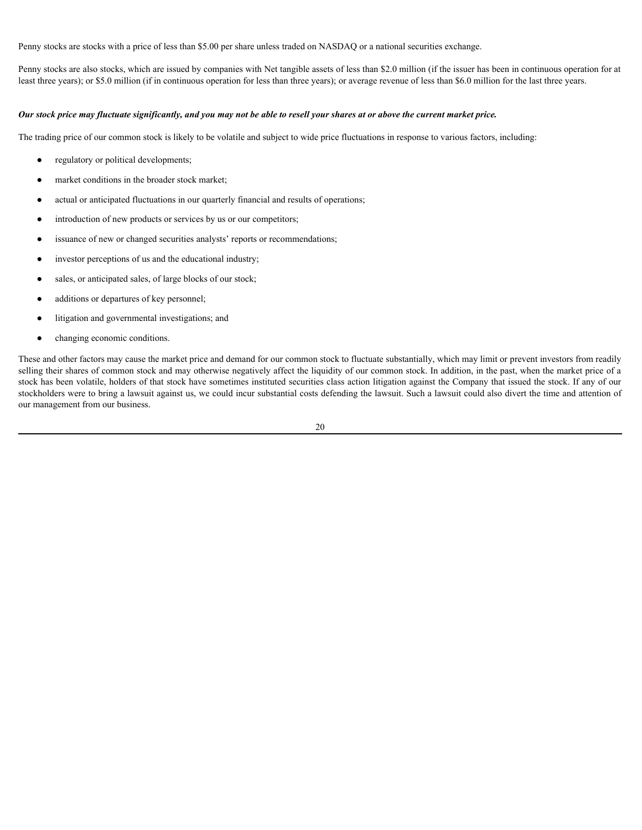Penny stocks are stocks with a price of less than \$5.00 per share unless traded on NASDAQ or a national securities exchange.

Penny stocks are also stocks, which are issued by companies with Net tangible assets of less than \$2.0 million (if the issuer has been in continuous operation for at least three years); or \$5.0 million (if in continuous operation for less than three years); or average revenue of less than \$6.0 million for the last three years.

### *Our stock price may fluctuate significantly, and you may not be able to resell your shares at or above the current market price.*

The trading price of our common stock is likely to be volatile and subject to wide price fluctuations in response to various factors, including:

- regulatory or political developments;
- market conditions in the broader stock market;
- actual or anticipated fluctuations in our quarterly financial and results of operations;
- introduction of new products or services by us or our competitors;
- issuance of new or changed securities analysts' reports or recommendations;
- investor perceptions of us and the educational industry;
- sales, or anticipated sales, of large blocks of our stock;
- additions or departures of key personnel;
- litigation and governmental investigations; and
- changing economic conditions.

These and other factors may cause the market price and demand for our common stock to fluctuate substantially, which may limit or prevent investors from readily selling their shares of common stock and may otherwise negatively affect the liquidity of our common stock. In addition, in the past, when the market price of a stock has been volatile, holders of that stock have sometimes instituted securities class action litigation against the Company that issued the stock. If any of our stockholders were to bring a lawsuit against us, we could incur substantial costs defending the lawsuit. Such a lawsuit could also divert the time and attention of our management from our business.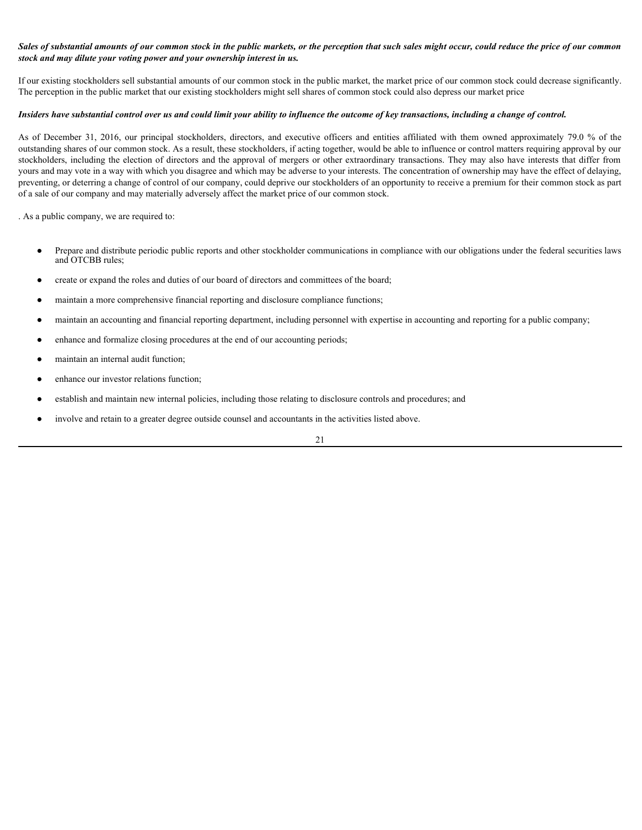### *Sales of substantial amounts of our common stock in the public markets, or the perception that such sales might occur, could reduce the price of our common stock and may dilute your voting power and your ownership interest in us.*

If our existing stockholders sell substantial amounts of our common stock in the public market, the market price of our common stock could decrease significantly. The perception in the public market that our existing stockholders might sell shares of common stock could also depress our market price

### *Insiders have substantial control over us and could limit your ability to influence the outcome of key transactions, including a change of control.*

Sales of substantial amounts of our common stock in the public markets, or the perception that such sales might occur, could reduce the price of our common stock and may dilute your voting power and your overneship interes outstanding shares of our common stock. As a result, these stockholders, if acting together, would be able to influence or control matters requiring approval by our stockholders, including the election of directors and the approval of mergers or other extraordinary transactions. They may also have interests that differ from yours and may vote in a way with which you disagree and which may be adverse to your interests. The concentration of ownership may have the effect of delaying, preventing, or deterring a change of control of our company, could deprive our stockholders of an opportunity to receive a premium for their common stock as part of a sale of our company and may materially adversely affect the market price of our common stock.

. As a public company, we are required to:

- Prepare and distribute periodic public reports and other stockholder communications in compliance with our obligations under the federal securities laws and OTCBB rules;
- create or expand the roles and duties of our board of directors and committees of the board;
- maintain a more comprehensive financial reporting and disclosure compliance functions;
- maintain an accounting and financial reporting department, including personnel with expertise in accounting and reporting for a public company;
- enhance and formalize closing procedures at the end of our accounting periods;
- maintain an internal audit function;
- enhance our investor relations function;
- establish and maintain new internal policies, including those relating to disclosure controls and procedures; and
- involve and retain to a greater degree outside counsel and accountants in the activities listed above.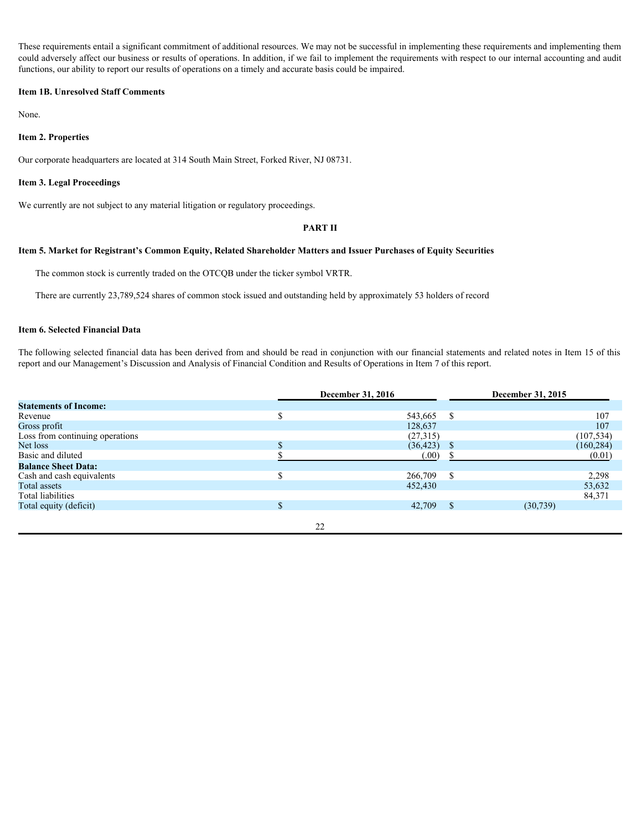These requirements entail a significant commitment of additional resources. We may not be successful in implementing these requirements and implementing them could adversely affect our business or results of operations. In addition, if we fail to implement the requirements with respect to our internal accounting and audit functions, our ability to report our results of operations on a timely and accurate basis could be impaired.

### **Item 1B. Unresolved Staff Comments**

None.

### **Item 2. Properties**

Our corporate headquarters are located at 314 South Main Street, Forked River, NJ 08731.

### **Item 3. Legal Proceedings**

We currently are not subject to any material litigation or regulatory proceedings.

### **PART II**

#### **Item 5. Market for Registrant's Common Equity, Related Shareholder Matters and Issuer Purchases of Equity Securities**

The common stock is currently traded on the OTCQB under the ticker symbol VRTR.

There are currently 23,789,524 shares of common stock issued and outstanding held by approximately 53 holders of record

### **Item 6. Selected Financial Data**

The following selected financial data has been derived from and should be read in conjunction with our financial statements and related notes in Item 15 of this report and our Management's Discussion and Analysis of Financial Condition and Results of Operations in Item 7 of this report.

|                                 | <b>December 31, 2016</b> |     | December 31, 2015 |  |  |  |
|---------------------------------|--------------------------|-----|-------------------|--|--|--|
| <b>Statements of Income:</b>    |                          |     |                   |  |  |  |
| Revenue                         | 543,665                  | -S  | 107               |  |  |  |
| Gross profit                    | 128,637                  |     | 107               |  |  |  |
| Loss from continuing operations | (27,315)                 |     | (107, 534)        |  |  |  |
| Net loss                        | $(36, 423)$ \$           |     | (160, 284)        |  |  |  |
| Basic and diluted               | (.00)                    |     | (0.01)            |  |  |  |
| <b>Balance Sheet Data:</b>      |                          |     |                   |  |  |  |
| Cash and cash equivalents       | 266,709                  | - S | 2,298             |  |  |  |
| Total assets                    | 452,430                  |     | 53,632            |  |  |  |
| Total liabilities               |                          |     | 84,371            |  |  |  |
| Total equity (deficit)          | 42,709                   |     | (30, 739)         |  |  |  |
|                                 |                          |     |                   |  |  |  |
|                                 | 22                       |     |                   |  |  |  |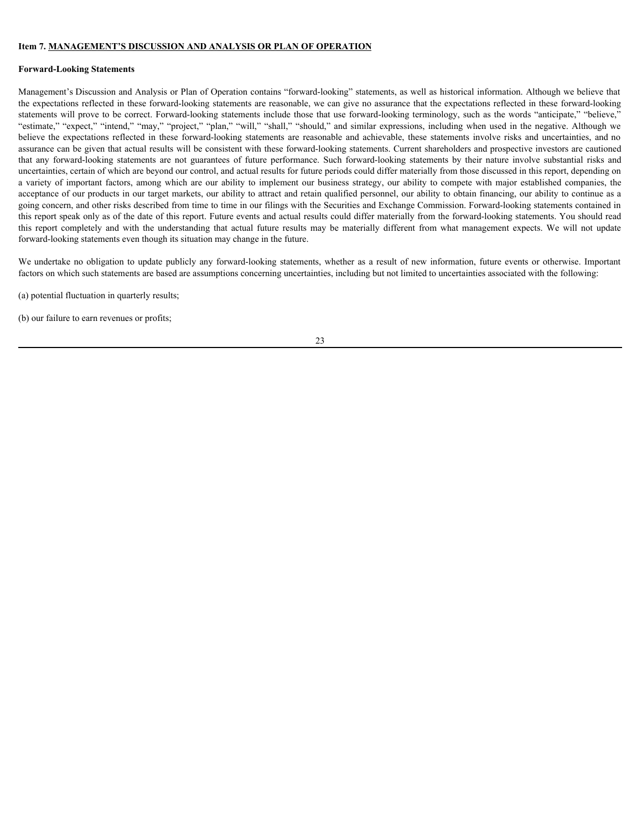### **Item 7. MANAGEMENT'S DISCUSSION AND ANALYSIS OR PLAN OF OPERATION**

#### **Forward-Looking Statements**

Management's Discussion and Analysis or Plan of Operation contains "forward-looking" statements, as well as historical information. Although we believe that the expectations reflected in these forward-looking statements are reasonable, we can give no assurance that the expectations reflected in these forward-looking statements will prove to be correct. Forward-looking statements include those that use forward-looking terminology, such as the words "anticipate," "believe," "estimate," "expect," "intend," "may," "project," "plan," "will," "shall," "should," and similar expressions, including when used in the negative. Although we Item 7. <u>MANAGEMENT'S DISCUSSION AND ANALYSIS OR PLAN OF OPERATION</u><br>Forward-Looking Statements<br>Management's Discussion and Analysis or Plan of Operation contains "forward-looking" statements, as well as historical informat assurance can be given that actual results will be consistent with these forward-looking statements. Current shareholders and prospective investors are cautioned **Item 7. <u>MANAGEMENT'S DISCUSSION AND ANALYSIS OR PLAN OF OPERATION</u><br>Forward-Looking Statements<br>Toward-looking Statements are depoted in these forward-looking statements are reasonable, we can give no assume that the expec** uncertainties, certain of which are beyond our control, and actual results for future periods could differ materially from those discussed in this report, depending on **Item 7. <u>MANAGEMENT'S DISCUSSION AND ANALYSIS OR PLAN OF OPFRATION</u><br>Forward-Looking Statements<br>Management's Discussion and Analysis or Plan of Operation contains "forward-looking" statements, as well as historical informa** acceptance of our products in our target markets, our ability to attract and retain qualified personnel, our ability to obtain financing, our ability to continue as a going concern, and other risks described from time to time in our filings with the Securities and Exchange Commission. Forward-looking statements contained in this report speak only as of the date of this report. Future events and actual results could differ materially from the forward-looking statements. You should read Item 7. <u>MANAGEMENT'S DISCUSSION AND ANALYSIS OR PLAN OF OFERATION</u><br>Forward-Looking Statements<br>Management's Discussion and Analysis or Plan of Operation contains "forward-looking" sutements, as well as historical informati forward-looking statements even though its situation may change in the future. Item 7. <u>MANAGENIENT'S DISCUSSION AND ANALYSIS OR PLAN OF OPERATION</u><br>Forward-Looking Stutements<br>Management's Discussion and Analysis or Plan of Operation contains "forward-looking" statements, as well as bistorical informa

factors on which such statements are based are assumptions concerning uncertainties, including but not limited to uncertainties associated with the following:

(a) potential fluctuation in quarterly results;

(b) our failure to earn revenues or profits;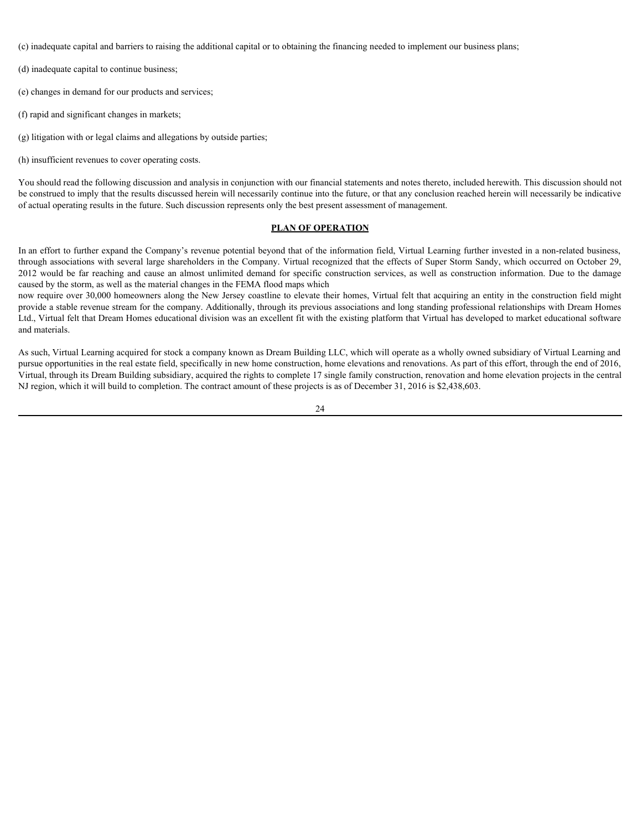(c) inadequate capital and barriers to raising the additional capital or to obtaining the financing needed to implement our business plans;

(d) inadequate capital to continue business;

(e) changes in demand for our products and services;

(f) rapid and significant changes in markets;

(g) litigation with or legal claims and allegations by outside parties;

(h) insufficient revenues to cover operating costs.

You should read the following discussion and analysis in conjunction with our financial statements and notes thereto, included herewith. This discussion should not be construed to imply that the results discussed herein will necessarily continue into the future, or that any conclusion reached herein will necessarily be indicative of actual operating results in the future. Such discussion represents only the best present assessment of management.

### **PLAN OF OPERATION**

In an effort to further expand the Company's revenue potential beyond that of the information field, Virtual Learning further invested in a non-related business, through associations with several large shareholders in the Company. Virtual recognized that the effects of Super Storm Sandy, which occurred on October 29, caused by the storm, as well as the material changes in the FEMA flood maps which

(c) inadequate capital and barriers to mistag the additional capital or to obtaining the financing needed to implement our business plans;<br>
(d) tandequate capital to continue business;<br>
(c) changes in element for our predu now require over 30,000 homeowners along the New Jersey coastline to elevate their homes, Virtual felt that acquiring an entity in the construction field might provide a stable revenue stream for the company. Additionally, through its previous associations and long standing professional relationships with Dream Homes Ltd., Virtual felt that Dream Homes educational division was an excellent fit with the existing platform that Virtual has developed to market educational software and materials.

As such, Virtual Learning acquired for stock a company known as Dream Building LLC, which will operate as a wholly owned subsidiary of Virtual Learning and pursue opportunities in the real estate field, specifically in new home construction, home elevations and renovations. As part of this effort, through the end of 2016, Virtual, through its Dream Building subsidiary, acquired the rights to complete 17 single family construction, renovation and home elevation projects in the central NJ region, which it will build to completion. The contract amount of these projects is as of December 31, 2016 is \$2,438,603.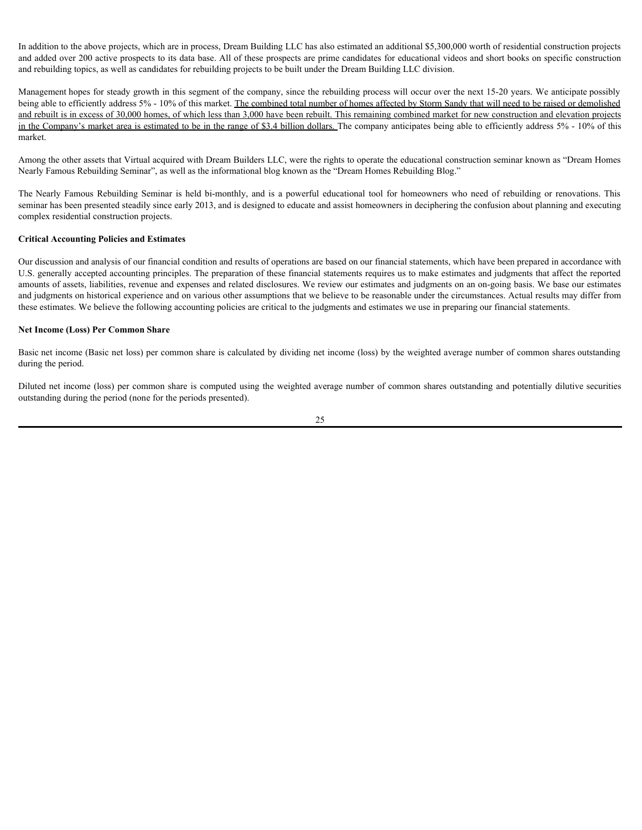In addition to the above projects, which are in process, Dream Building LLC has also estimated an additional \$5,300,000 worth of residential construction projects and added over 200 active prospects to its data base. All of these prospects are prime candidates for educational videos and short books on specific construction and rebuilding topics, as well as candidates for rebuilding projects to be built under the Dream Building LLC division.

Management hopes for steady growth in this segment of the company, since the rebuilding process will occur over the next 15-20 years. We anticipate possibly being able to efficiently address 5% - 10% of this market. The combined total number of homes affected by Storm Sandy that will need to be raised or demolished and rebuilt is in excess of 30,000 homes, of which less than 3,000 have been rebuilt. This remaining combined market for new construction and elevation projects in the Company's market area is estimated to be in the range of \$3.4 billion dollars. The company anticipates being able to efficiently address 5% - 10% of this market. In addition to the above projects, which are in process, Dream Building LLC has also estimated an additional \$5,300,000 worth of residential construction projects<br>and added over 200 active prospects to its data base. All o

Among the other assets that Virtual acquired with Dream Builders LLC, were the rights to operate the educational construction seminar known as "Dream Homes Nearly Famous Rebuilding Seminar", as well as the informational blog known as the "Dream Homes Rebuilding Blog."

seminar has been presented steadily since early 2013, and is designed to educate and assist homeowners in deciphering the confusion about planning and executing complex residential construction projects.

### **Critical Accounting Policies and Estimates**

Our discussion and analysis of our financial condition and results of operations are based on our financial statements, which have been prepared in accordance with U.S. generally accepted accounting principles. The preparation of these financial statements requires us to make estimates and judgments that affect the reported amounts of assets, liabilities, revenue and expenses and related disclosures. We review our estimates and judgments on an on-going basis. We base our estimates and judgments on historical experience and on various other assumptions that we believe to be reasonable under the circumstances. Actual results may differ from these estimates. We believe the following accounting policies are critical to the judgments and estimates we use in preparing our financial statements.

#### **Net Income (Loss) Per Common Share**

Basic net income (Basic net loss) per common share is calculated by dividing net income (loss) by the weighted average number of common shares outstanding during the period.

Diluted net income (loss) per common share is computed using the weighted average number of common shares outstanding and potentially dilutive securities outstanding during the period (none for the periods presented).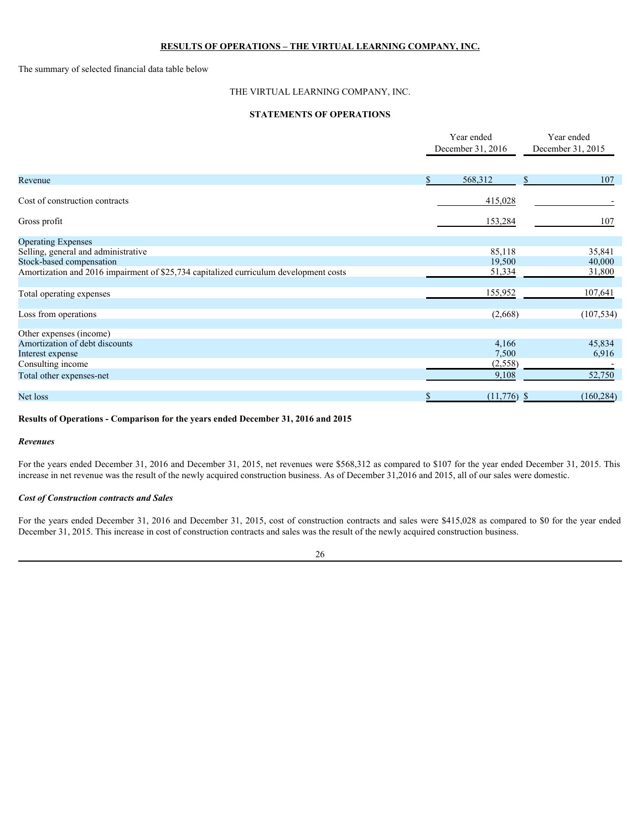### **RESULTS OF OPERATIONS – THE VIRTUAL LEARNING COMPANY, INC.**

The summary of selected financial data table below

### THE VIRTUAL LEARNING COMPANY, INC.

### **STATEMENTS OF OPERATIONS**

|                                                                                       |  | Year ended<br>December 31, 2016 |  | Year ended<br>December 31, 2015 |  |
|---------------------------------------------------------------------------------------|--|---------------------------------|--|---------------------------------|--|
| Revenue                                                                               |  | 568,312                         |  | 107                             |  |
| Cost of construction contracts                                                        |  | 415,028                         |  |                                 |  |
| Gross profit                                                                          |  | 153,284                         |  | 107                             |  |
| <b>Operating Expenses</b>                                                             |  |                                 |  |                                 |  |
| Selling, general and administrative                                                   |  | 85,118                          |  | 35,841                          |  |
| Stock-based compensation                                                              |  | 19,500                          |  | 40,000                          |  |
| Amortization and 2016 impairment of \$25,734 capitalized curriculum development costs |  | 51,334                          |  | 31,800                          |  |
| Total operating expenses                                                              |  | 155,952                         |  | 107,641                         |  |
| Loss from operations                                                                  |  | (2,668)                         |  | (107, 534)                      |  |
| Other expenses (income)                                                               |  |                                 |  |                                 |  |
| Amortization of debt discounts                                                        |  | 4,166                           |  | 45,834                          |  |
| Interest expense                                                                      |  | 7,500                           |  | 6,916                           |  |
| Consulting income                                                                     |  | (2,558)                         |  |                                 |  |
| Total other expenses-net                                                              |  | 9,108                           |  | 52,750                          |  |
| Net loss                                                                              |  | $(11,776)$ \$                   |  | (160, 284)                      |  |

### **Results of Operations - Comparison for the years ended December 31, 2016 and 2015**

### *Revenues*

For the years ended December 31, 2016 and December 31, 2015, net revenues were \$568,312 as compared to \$107 for the year ended December 31, 2015. This increase in net revenue was the result of the newly acquired construction business. As of December 31,2016 and 2015, all of our sales were domestic.

### *Cost of Construction contracts and Sales*

For the years ended December 31, 2016 and December 31, 2015, cost of construction contracts and sales were \$415,028 as compared to \$0 for the year ended December 31, 2015. This increase in cost of construction contracts and sales was the result of the newly acquired construction business.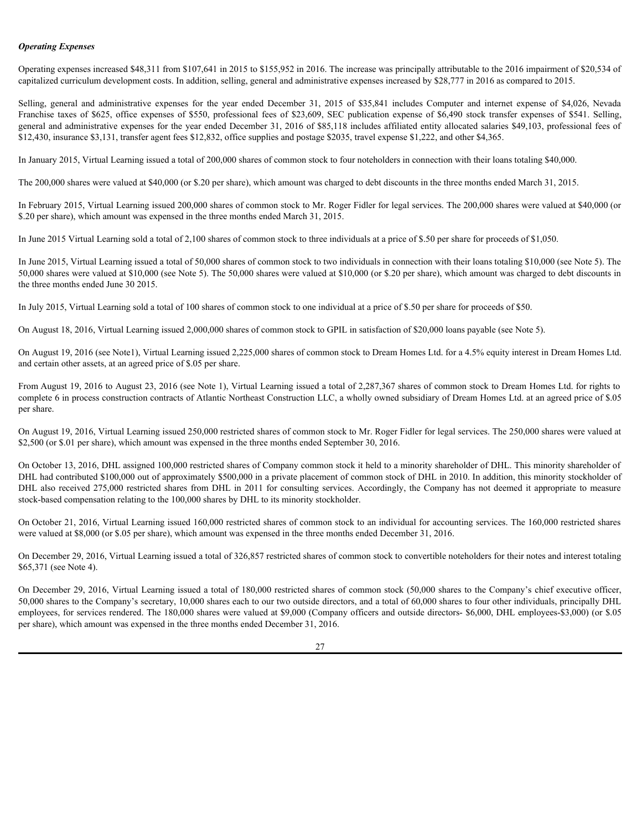### *Operating Expenses*

Operating expenses increased \$48,311 from \$107,641 in 2015 to \$155,952 in 2016. The increase was principally attributable to the 2016 impairment of \$20,534 of capitalized curriculum development costs. In addition, selling, general and administrative expenses increased by \$28,777 in 2016 as compared to 2015.

Operating Expenses<br>Operating expenses increased \$48,311 from \$107,641 in 2015 to \$155,952 in 2016. The increase was principally attributable to the 2016 impairment of \$20,534 of<br>Containized curriculum development costs. In Operating Expenses<br>Operating expenses increased \$48,311 from \$107,641 in 2015 to \$155,952 in 2016. The increase was principally attributable to the 2016 impairment of \$20,534 of<br>capitalized curriculum development costs. In general and administrative expenses for the year ended December 31, 2016 of \$85,118 includes affiliated entity allocated salaries \$49,103, professional fees of \$12,430, insurance \$3,131, transfer agent fees \$12,832, office supplies and postage \$2035, travel expense \$1,222, and other \$4,365.

In January 2015, Virtual Learning issued a total of 200,000 shares of common stock to four noteholders in connection with their loans totaling \$40,000.

The 200,000 shares were valued at \$40,000 (or \$.20 per share), which amount was charged to debt discounts in the three months ended March 31, 2015.

In February 2015, Virtual Learning issued 200,000 shares of common stock to Mr. Roger Fidler for legal services. The 200,000 shares were valued at \$40,000 (or \$.20 per share), which amount was expensed in the three months ended March 31, 2015.

In June 2015 Virtual Learning sold a total of 2,100 shares of common stock to three individuals at a price of \$.50 per share for proceeds of \$1,050.

In June 2015, Virtual Learning issued a total of 50,000 shares of common stock to two individuals in connection with their loans totaling \$10,000 (see Note 5). The 50,000 shares were valued at \$10,000 (see Note 5). The 50,000 shares were valued at \$10,000 (or \$.20 per share), which amount was charged to debt discounts in the three months ended June 30 2015.

In July 2015, Virtual Learning sold a total of 100 shares of common stock to one individual at a price of \$.50 per share for proceeds of \$50.

On August 18, 2016, Virtual Learning issued 2,000,000 shares of common stock to GPIL in satisfaction of \$20,000 loans payable (see Note 5).

On August 19, 2016 (see Note1), Virtual Learning issued 2,225,000 shares of common stock to Dream Homes Ltd. for a 4.5% equity interest in Dream Homes Ltd. and certain other assets, at an agreed price of \$.05 per share.

From August 19, 2016 to August 23, 2016 (see Note 1), Virtual Learning issued a total of 2,287,367 shares of common stock to Dream Homes Ltd. for rights to complete 6 in process construction contracts of Atlantic Northeast Construction LLC, a wholly owned subsidiary of Dream Homes Ltd. at an agreed price of \$.05 per share.

On August 19, 2016, Virtual Learning issued 250,000 restricted shares of common stock to Mr. Roger Fidler for legal services. The 250,000 shares were valued at \$2,500 (or \$.01 per share), which amount was expensed in the three months ended September 30, 2016.

On October 13, 2016, DHL assigned 100,000 restricted shares of Company common stock it held to a minority shareholder of DHL. This minority shareholder of DHL had contributed \$100,000 out of approximately \$500,000 in a private placement of common stock of DHL in 2010. In addition, this minority stockholder of DHL also received 275,000 restricted shares from DHL in 2011 for consulting services. Accordingly, the Company has not deemed it appropriate to measure stock-based compensation relating to the 100,000 shares by DHL to its minority stockholder.

On October 21, 2016, Virtual Learning issued 160,000 restricted shares of common stock to an individual for accounting services. The 160,000 restricted shares were valued at \$8,000 (or \$.05 per share), which amount was expensed in the three months ended December 31, 2016.

On December 29, 2016, Virtual Learning issued a total of 326,857 restricted shares of common stock to convertible noteholders for their notes and interest totaling \$65,371 (see Note 4).

On December 29, 2016, Virtual Learning issued a total of 180,000 restricted shares of common stock (50,000 shares to the Company's chief executive officer, 50,000 shares to the Company's secretary, 10,000 shares each to our two outside directors, and a total of 60,000 shares to four other individuals, principally DHL employees, for services rendered. The 180,000 shares were valued at \$9,000 (Company officers and outside directors- \$6,000, DHL employees-\$3,000) (or \$.05 per share), which amount was expensed in the three months ended December 31, 2016.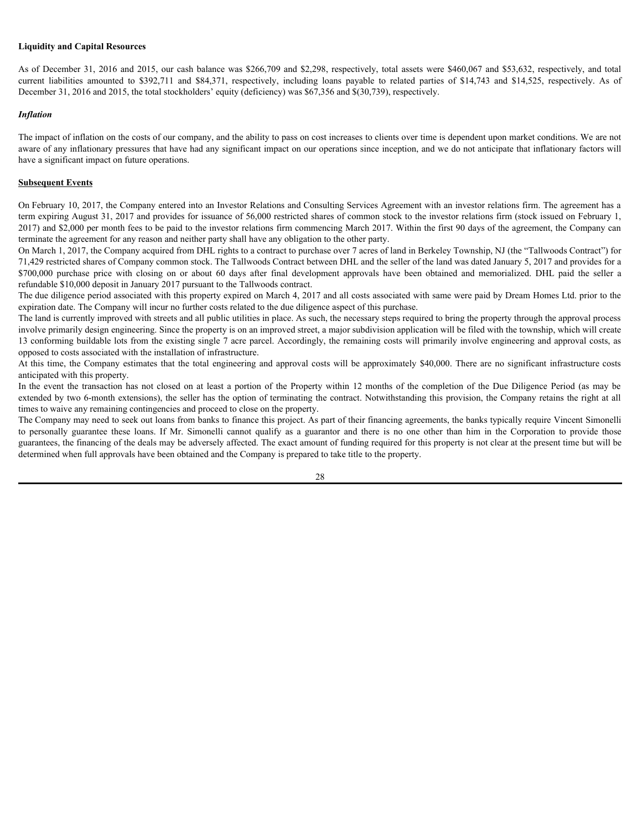#### **Liquidity and Capital Resources**

Liquidity and Capital Resources<br>As of December 31, 2016 and 2015, our cash balance was \$266,709 and \$2,298, respectively, total assets were \$460,067 and \$53,632, respectively, and total<br>current liabilities amounted to \$392 December 31, 2016 and 2015, the total stockholders' equity (deficiency) was \$67,356 and \$(30,739), respectively.

#### *Inflation*

**Liquidity and Capital Resources**<br>As of December 31, 2016 and 2015, our cash balance was \$266,709 and \$2,298, respectively, total assets were \$460,067 and \$53,632, respectively, and total<br>current liabilities amounted to \$3 The impact of inflation on the costs of our company, and the ability to pass on cost increases to clients over time is dependent upon market conditions. We are not aware of any inflationary pressures that have had any significant impact on our operations since inception, and we do not anticipate that inflationary factors will have a significant impact on future operations.

### **Subsequent Events**

On February 10, 2017, the Company entered into an Investor Relations and Consulting Services Agreement with an investor relations firm. The agreement has a term expiring August 31, 2017 and provides for issuance of 56,000 restricted shares of common stock to the investor relations firm (stock issued on February 1, 2017) and \$2,000 per month fees to be paid to the investor relations firm commencing March 2017. Within the first 90 days of the agreement, the Company can terminate the agreement for any reason and neither party shall have any obligation to the other party.

On March 1, 2017, the Company acquired from DHL rights to a contract to purchase over 7 acres of land in Berkeley Township, NJ (the "Tallwoods Contract") for 71,429 restricted shares of Company common stock. The Tallwoods Contract between DHL and the seller of the land was dated January 5, 2017 and provides for a **Liquidity and Capital Resources**<br>As of December 31, 2016 and 2015, our eash balance was \$266,709 and \$2,298, respectively, total assets were \$460,067 and \$53,632, respectively, and total<br>correct liabilities amounted to \$ refundable \$10,000 deposit in January 2017 pursuant to the Tallwoods contract. Liquidity and Capital Resources<br>As of December 21, 2016 and 2015, our cash ballance was \$266.709 and \$2.208, respectively, total dates were \$460.067 and \$53.492. respectively, and steam<br>ensure liabilizes incomands to \$29.2

The due diligence period associated with this property expired on March 4, 2017 and all costs associated with same were paid by Dream Homes Ltd. prior to the expiration date. The Company will incur no further costs related to the due diligence aspect of this purchase.

The land is currently improved with streets and all public utilities in place. As such, the necessary steps required to bring the property through the approval process involve primarily design engineering. Since the property is on an improved street, a major subdivision application will be filed with the township, which will create 13 conforming buildable lots from the existing single 7 acre parcel. Accordingly, the remaining costs will primarily involve engineering and approval costs, as opposed to costs associated with the installation of infrastructure.

anticipated with this property.

extended by two 6-month extensions), the seller has the option of terminating the contract. Notwithstanding this provision, the Company retains the right at all times to waive any remaining contingencies and proceed to close on the property.

Liquidty and Capital Resources<br>
As of December 31, 2016 and 2015, our cash balmee was \$26,709 and \$2,298, respectively, read assume and \$14,749 and \$14,22, respectively, and solid<br>
Document 31, 2016 and 2013, the total sto The Company may need to seek out loans from banks to finance this project. As part of their financing agreements, the banks typically require Vincent Simonelli December 31.2016 and 2015. the total anothelesis "equity deficiency) was on 251.356 and \$10.739), respectively.<br> *If Rumann* of militares on the costs of our company, and the ability to puss on each increase to chans over guarantees, the financing of the deals may be adversely affected. The exact amount of funding required for this property is not clear at the present time but will be determined when full approvals have been obtained and the Company is prepared to take title to the property.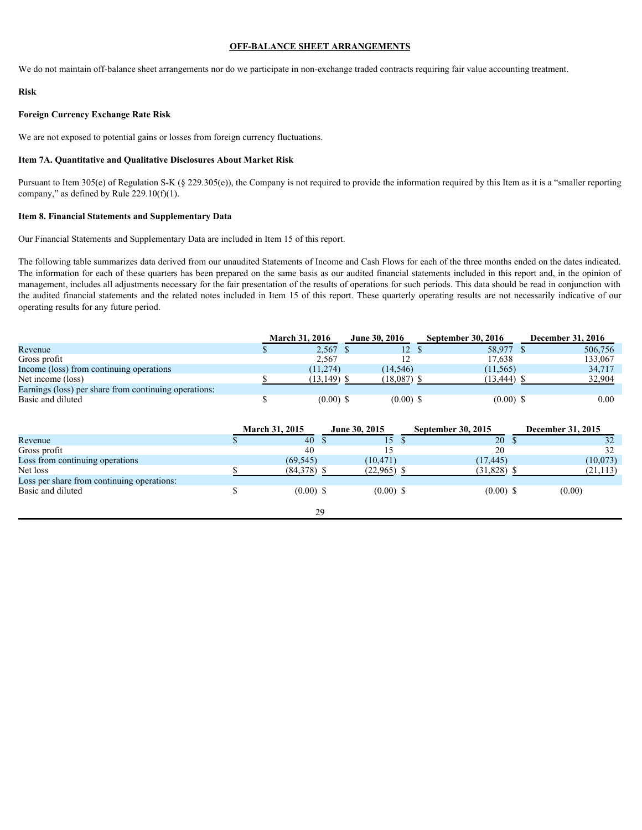### **OFF-BALANCE SHEET ARRANGEMENTS**

We do not maintain off-balance sheet arrangements nor do we participate in non-exchange traded contracts requiring fair value accounting treatment.

### **Risk**

#### **Foreign Currency Exchange Rate Risk**

We are not exposed to potential gains or losses from foreign currency fluctuations.

#### **Item 7A. Quantitative and Qualitative Disclosures About Market Risk**

Pursuant to Item 305(e) of Regulation S-K (§ 229.305(e)), the Company is not required to provide the information required by this Item as it is a "smaller reporting company," as defined by Rule 229.10(f)(1).

### **Item 8. Financial Statements and Supplementary Data**

Our Financial Statements and Supplementary Data are included in Item 15 of this report.

The following table summarizes data derived from our unaudited Statements of Income and Cash Flows for each of the three months ended on the dates indicated. The information for each of these quarters has been prepared on the same basis as our audited financial statements included in this report and, in the opinion of management, includes all adjustments necessary for the fair presentation of the results of operations for such periods. This data should be read in conjunction with the audited financial statements and the related notes included in Item 15 of this report. These quarterly operating results are not necessarily indicative of our operating results for any future period.

|                                                       | <b>March 31, 2016</b> | June 30, 2016 | <b>September 30, 2016</b> | <b>December 31, 2016</b> |  |
|-------------------------------------------------------|-----------------------|---------------|---------------------------|--------------------------|--|
| Revenue                                               | 2,567                 |               | 58,977                    | 506,756                  |  |
| Gross profit                                          | 2,567                 |               | 17.638                    | 133,067                  |  |
| Income (loss) from continuing operations              | (11.274)              | (14, 546)     | (11, 565)                 | 34,717                   |  |
| Net income (loss)                                     | $(13, 149)$ \$        | (18.087)      | (13.444)                  | 32,904                   |  |
| Earnings (loss) per share from continuing operations: |                       |               |                           |                          |  |
| Basic and diluted                                     | $(0.00)$ \$           |               | $(0.00)$ \$               | 0.00                     |  |

|                                            | March 31, 2015 | June 30, 2015 | <b>September 30, 2015</b> | <b>December 31, 2015</b> |
|--------------------------------------------|----------------|---------------|---------------------------|--------------------------|
| Revenue                                    | 40             | 15            | 20                        | 32                       |
| Gross profit                               | 40             | 15            | 20                        | 32                       |
| Loss from continuing operations            | (69, 545)      | (10, 471)     | (17, 445)                 | (10,073)                 |
| Net loss                                   | $(84,378)$ \$  | $(22,965)$ \$ | $(31,828)$ \$             | (21, 113)                |
| Loss per share from continuing operations: |                |               |                           |                          |
| Basic and diluted                          | $(0.00)$ \$    | $(0.00)$ \$   | $(0.00)$ \$               | (0.00)                   |
|                                            |                |               |                           |                          |
|                                            | 29             |               |                           |                          |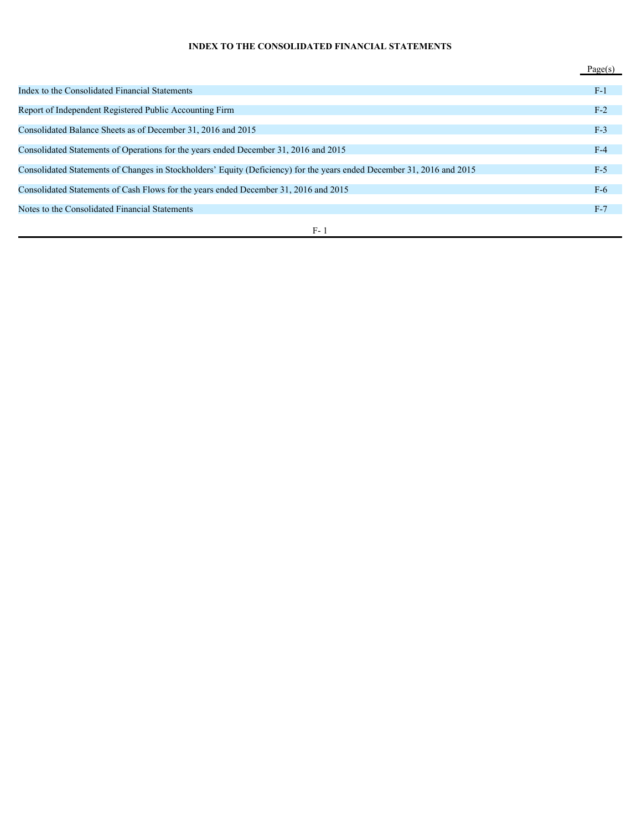### **INDEX TO THE CONSOLIDATED FINANCIAL STATEMENTS**

|                                                                                                                        | Page(s) |
|------------------------------------------------------------------------------------------------------------------------|---------|
| Index to the Consolidated Financial Statements                                                                         | $F-1$   |
| Report of Independent Registered Public Accounting Firm                                                                | $F-2$   |
| Consolidated Balance Sheets as of December 31, 2016 and 2015                                                           | $F-3$   |
| Consolidated Statements of Operations for the years ended December 31, 2016 and 2015                                   | $F-4$   |
| Consolidated Statements of Changes in Stockholders' Equity (Deficiency) for the years ended December 31, 2016 and 2015 | $F-5$   |
| Consolidated Statements of Cash Flows for the years ended December 31, 2016 and 2015                                   | $F-6$   |
| Notes to the Consolidated Financial Statements                                                                         | $F-7$   |
| F- 1                                                                                                                   |         |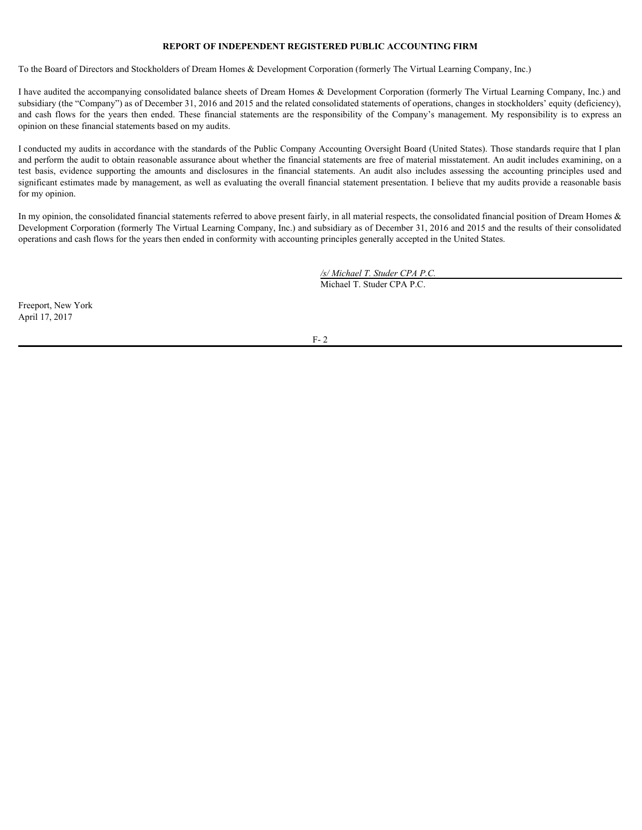### **REPORT OF INDEPENDENT REGISTERED PUBLIC ACCOUNTING FIRM**

To the Board of Directors and Stockholders of Dream Homes & Development Corporation (formerly The Virtual Learning Company, Inc.)

I have audited the accompanying consolidated balance sheets of Dream Homes & Development Corporation (formerly The Virtual Learning Company, Inc.) and subsidiary (the "Company") as of December 31, 2016 and 2015 and the related consolidated statements of operations, changes in stockholders' equity (deficiency), opinion on these financial statements based on my audits.

**REPORT OF INDEPENDENT REGISTERED PUBLIC ACCOUNTING FIRM**<br>To the Board of Directors and Stockholders of Dream Homes & Development Corporation (formerly The Virtual Learning Company, Inc.)<br>I have audited the accompanying co I conducted my audits in accordance with the standards of the Public Company Accounting Oversight Board (United States). Those standards require that I plan and perform the audit to obtain reasonable assurance about whether the financial statements are free of material misstatement. An audit includes examining, on a **REPORT OF INDEPENDENT REGISTERED PUBLIC ACCOUNTING FIRM**<br>The Virtual Learning Company, Inc.) In the anicompany someoficial balance sheets of Denem Homes & Development Corporation (formerly The Virtual Learning Company, I significant estimates made by management, as well as evaluating the overall financial statement presentation. I believe that my audits provide a reasonable basis for my opinion.

In my opinion, the consolidated financial statements referred to above present fairly, in all material respects, the consolidated financial position of Dream Homes & Development Corporation (formerly The Virtual Learning Company, Inc.) and subsidiary as of December 31, 2016 and 2015 and the results of their consolidated operations and cash flows for the years then ended in conformity with accounting principles generally accepted in the United States.

*/s/ Michael T. Studer CPA P.C.*

Michael T. Studer CPA P.C.

Freeport, New York April 17, 2017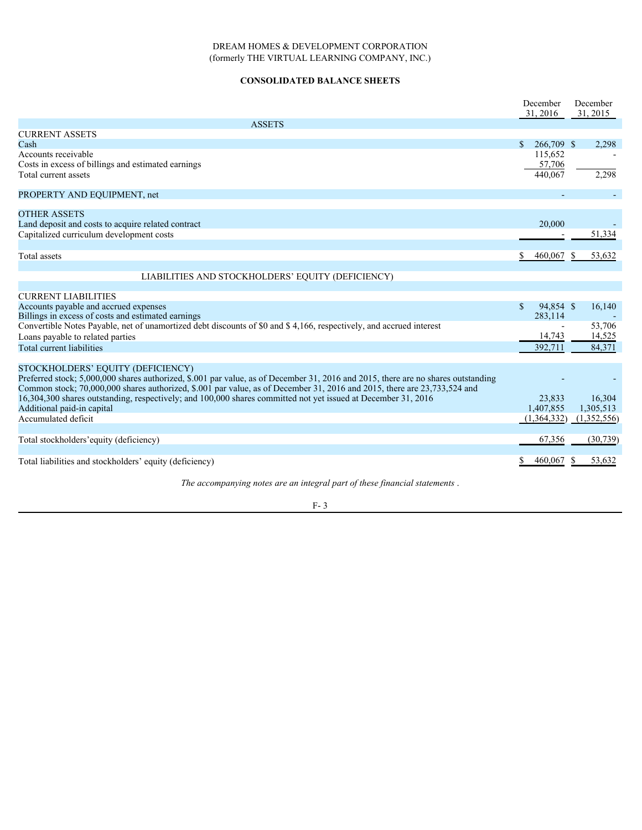### **CONSOLIDATED BALANCE SHEETS**

|                                                                                                                                             | December<br>December<br>31, 2016<br>31, 2015 |
|---------------------------------------------------------------------------------------------------------------------------------------------|----------------------------------------------|
| <b>ASSETS</b>                                                                                                                               |                                              |
| <b>CURRENT ASSETS</b>                                                                                                                       |                                              |
| Cash                                                                                                                                        | 266,709 \$<br>2,298                          |
| Accounts receivable                                                                                                                         | 115,652                                      |
| Costs in excess of billings and estimated earnings                                                                                          | 57,706                                       |
| Total current assets                                                                                                                        | 440,067<br>2,298                             |
| PROPERTY AND EQUIPMENT, net                                                                                                                 |                                              |
| <b>OTHER ASSETS</b>                                                                                                                         |                                              |
| Land deposit and costs to acquire related contract                                                                                          | 20,000                                       |
| Capitalized curriculum development costs                                                                                                    | 51,334                                       |
| Total assets                                                                                                                                | 53,632<br>460,067                            |
|                                                                                                                                             |                                              |
| LIABILITIES AND STOCKHOLDERS' EQUITY (DEFICIENCY)                                                                                           |                                              |
| <b>CURRENT LIABILITIES</b>                                                                                                                  |                                              |
| Accounts payable and accrued expenses                                                                                                       | 94,854 \$<br>16,140                          |
| Billings in excess of costs and estimated earnings                                                                                          | 283,114                                      |
| Convertible Notes Payable, net of unamortized debt discounts of \$0 and \$4,166, respectively, and accrued interest                         | 53,706                                       |
| Loans payable to related parties                                                                                                            | 14,743<br>14,525                             |
| Total current liabilities                                                                                                                   | 392,711<br>84,371                            |
| STOCKHOLDERS' EQUITY (DEFICIENCY)                                                                                                           |                                              |
| Preferred stock; 5,000,000 shares authorized, \$.001 par value, as of December 31, 2016 and 2015, there are no shares outstanding           |                                              |
| Common stock; 70,000,000 shares authorized, \$.001 par value, as of December 31, 2016 and 2015, there are 23,733,524 and                    |                                              |
| 16,304,300 shares outstanding, respectively; and 100,000 shares committed not yet issued at December 31, 2016<br>Additional paid-in capital | 23,833<br>16,304<br>1,407,855<br>1,305,513   |
| Accumulated deficit                                                                                                                         | $(1,364,332)$ $(1,352,556)$                  |
|                                                                                                                                             |                                              |
| Total stockholders' equity (deficiency)                                                                                                     | 67,356<br>(30, 739)                          |
| Total liabilities and stockholders' equity (deficiency)                                                                                     | 460,067<br>53,632                            |
|                                                                                                                                             |                                              |

*The accompanying notes are an integral part of these financial statements* .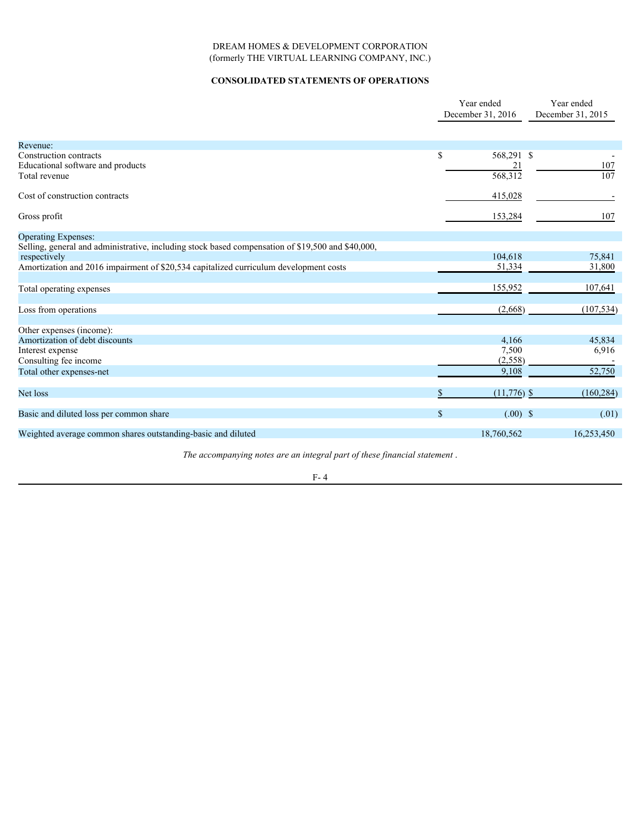### **CONSOLIDATED STATEMENTS OF OPERATIONS**

|                                                                                                   |    | Year ended<br>December 31, 2016 | Year ended<br>December 31, 2015 |  |
|---------------------------------------------------------------------------------------------------|----|---------------------------------|---------------------------------|--|
| Revenue:                                                                                          |    |                                 |                                 |  |
| Construction contracts                                                                            | \$ | 568,291 \$                      |                                 |  |
| Educational software and products                                                                 |    | 21                              | 107                             |  |
| Total revenue                                                                                     |    | 568,312                         | 107                             |  |
| Cost of construction contracts                                                                    |    | 415,028                         |                                 |  |
| Gross profit                                                                                      |    | 153,284                         | 107                             |  |
| <b>Operating Expenses:</b>                                                                        |    |                                 |                                 |  |
| Selling, general and administrative, including stock based compensation of \$19,500 and \$40,000, |    |                                 |                                 |  |
| respectively                                                                                      |    | 104,618                         | 75,841                          |  |
| Amortization and 2016 impairment of \$20,534 capitalized curriculum development costs             |    | 51,334                          | 31,800                          |  |
| Total operating expenses                                                                          |    | 155,952                         | 107,641                         |  |
| Loss from operations                                                                              |    | (2,668)                         | (107, 534)                      |  |
| Other expenses (income):                                                                          |    |                                 |                                 |  |
| Amortization of debt discounts                                                                    |    | 4,166                           | 45,834                          |  |
| Interest expense                                                                                  |    | 7,500                           | 6,916                           |  |
| Consulting fee income                                                                             |    | (2, 558)                        |                                 |  |
| Total other expenses-net                                                                          |    | 9,108                           | 52,750                          |  |
| Net loss                                                                                          |    | $(11,776)$ \$                   | (160, 284)                      |  |
| Basic and diluted loss per common share                                                           |    | $(.00)$ \$                      | (.01)                           |  |
| Weighted average common shares outstanding-basic and diluted                                      |    | 18,760,562                      | 16,253,450                      |  |
|                                                                                                   |    |                                 |                                 |  |

*The accompanying notes are an integral part of these financial statement* .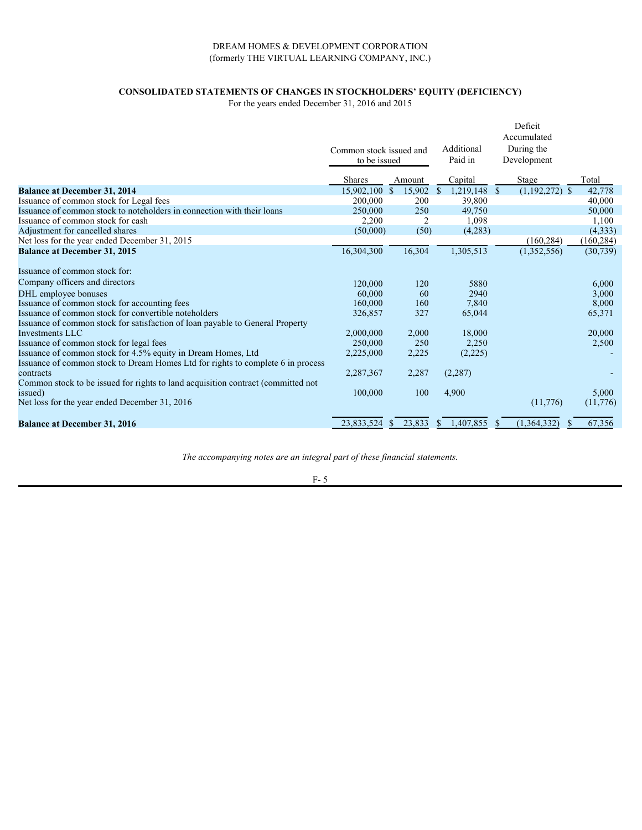## **CONSOLIDATED STATEMENTS OF CHANGES IN STOCKHOLDERS' EQUITY (DEFICIENCY)**

For the years ended December 31, 2016 and 2015

|                                                                                  | Common stock issued and<br>to be issued |              | Additional<br>Paid in | Deficit<br>Accumulated<br>During the<br>Development |            |  |
|----------------------------------------------------------------------------------|-----------------------------------------|--------------|-----------------------|-----------------------------------------------------|------------|--|
|                                                                                  | Shares                                  | Amount       | Capital               | Stage                                               | Total      |  |
| <b>Balance at December 31, 2014</b>                                              | 15,902,100                              | 15,902<br>-S | 1,219,148 \$          | $(1,192,272)$ \$                                    | 42,778     |  |
| Issuance of common stock for Legal fees                                          | 200,000                                 | 200          | 39,800                |                                                     | 40,000     |  |
| Issuance of common stock to noteholders in connection with their loans           | 250,000                                 | 250          | 49,750                |                                                     | 50,000     |  |
| Issuance of common stock for cash                                                | 2,200                                   | 2            | 1,098                 |                                                     | 1,100      |  |
| Adjustment for cancelled shares                                                  | (50,000)                                | (50)         | (4,283)               |                                                     | (4,333)    |  |
| Net loss for the year ended December 31, 2015                                    |                                         |              |                       | (160, 284)                                          | (160, 284) |  |
| <b>Balance at December 31, 2015</b>                                              | 16,304,300                              | 16,304       | 1,305,513             | (1,352,556)                                         | (30, 739)  |  |
| Issuance of common stock for:                                                    |                                         |              |                       |                                                     |            |  |
| Company officers and directors                                                   | 120,000                                 | 120          | 5880                  |                                                     | 6,000      |  |
| DHL employee bonuses                                                             | 60,000                                  | 60           | 2940                  |                                                     | 3,000      |  |
| Issuance of common stock for accounting fees                                     | 160,000                                 | 160          | 7,840                 |                                                     | 8,000      |  |
| Issuance of common stock for convertible noteholders                             | 326,857                                 | 327          | 65,044                |                                                     | 65,371     |  |
| Issuance of common stock for satisfaction of loan payable to General Property    |                                         |              |                       |                                                     |            |  |
| Investments LLC                                                                  | 2,000,000                               | 2,000        | 18,000                |                                                     | 20,000     |  |
| Issuance of common stock for legal fees                                          | 250,000                                 | 250          | 2,250                 |                                                     | 2,500      |  |
| Issuance of common stock for 4.5% equity in Dream Homes, Ltd                     | 2,225,000                               | 2,225        | (2,225)               |                                                     |            |  |
| Issuance of common stock to Dream Homes Ltd for rights to complete 6 in process  |                                         |              |                       |                                                     |            |  |
| contracts                                                                        | 2,287,367                               | 2,287        | (2, 287)              |                                                     |            |  |
| Common stock to be issued for rights to land acquisition contract (committed not |                                         |              |                       |                                                     |            |  |
| issued)                                                                          | 100,000                                 | 100          | 4,900                 |                                                     | 5,000      |  |
| Net loss for the year ended December 31, 2016                                    |                                         |              |                       | (11,776)                                            | (11,776)   |  |
| <b>Balance at December 31, 2016</b>                                              | 23,833,524                              | 23,833<br>S. | 1,407,855             | (1,364,332)                                         | 67,356     |  |
|                                                                                  |                                         |              |                       |                                                     |            |  |

*The accompanying notes are an integral part of these financial statements.*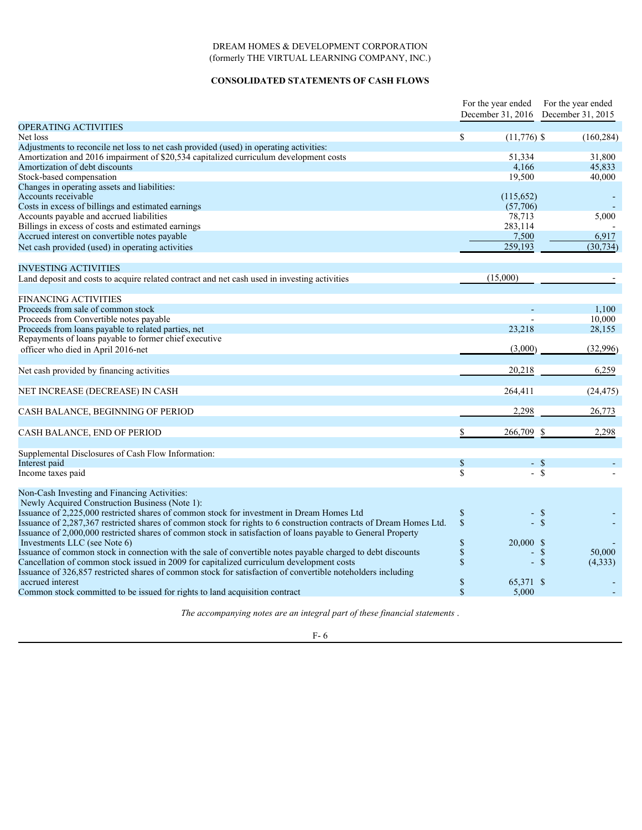### **CONSOLIDATED STATEMENTS OF CASH FLOWS**

|                                                                                                                    |                           | For the year ended   | For the year ended<br>December 31, 2016 December 31, 2015 |  |
|--------------------------------------------------------------------------------------------------------------------|---------------------------|----------------------|-----------------------------------------------------------|--|
| OPERATING ACTIVITIES                                                                                               |                           |                      |                                                           |  |
| Net loss                                                                                                           | $\mathbb{S}$              | $(11,776)$ \$        | (160, 284)                                                |  |
| Adjustments to reconcile net loss to net cash provided (used) in operating activities:                             |                           |                      |                                                           |  |
| Amortization and 2016 impairment of \$20,534 capitalized curriculum development costs                              |                           | 51,334               | 31,800                                                    |  |
| Amortization of debt discounts                                                                                     |                           | 4,166                | 45,833                                                    |  |
| Stock-based compensation                                                                                           |                           | 19,500               | 40,000                                                    |  |
| Changes in operating assets and liabilities:                                                                       |                           |                      |                                                           |  |
| Accounts receivable                                                                                                |                           | (115,652)            |                                                           |  |
| Costs in excess of billings and estimated earnings                                                                 |                           | (57,706)             |                                                           |  |
| Accounts payable and accrued liabilities                                                                           |                           | 78,713               | 5,000                                                     |  |
| Billings in excess of costs and estimated earnings                                                                 |                           | 283,114              |                                                           |  |
| Accrued interest on convertible notes payable                                                                      |                           | 7,500                | 6,917                                                     |  |
| Net cash provided (used) in operating activities                                                                   |                           | 259,193              | (30, 734)                                                 |  |
|                                                                                                                    |                           |                      |                                                           |  |
| <b>INVESTING ACTIVITIES</b>                                                                                        |                           |                      |                                                           |  |
| Land deposit and costs to acquire related contract and net cash used in investing activities                       |                           | (15,000)             |                                                           |  |
| <b>FINANCING ACTIVITIES</b>                                                                                        |                           |                      |                                                           |  |
| Proceeds from sale of common stock                                                                                 |                           |                      | 1,100                                                     |  |
| Proceeds from Convertible notes payable                                                                            |                           |                      | 10,000                                                    |  |
| Proceeds from loans payable to related parties, net                                                                |                           | 23,218               | 28,155                                                    |  |
| Repayments of loans payable to former chief executive                                                              |                           |                      |                                                           |  |
| officer who died in April 2016-net                                                                                 |                           | (3,000)              | (32,996)                                                  |  |
|                                                                                                                    |                           |                      |                                                           |  |
| Net cash provided by financing activities                                                                          |                           | 20,218               | 6,259                                                     |  |
|                                                                                                                    |                           |                      |                                                           |  |
| NET INCREASE (DECREASE) IN CASH                                                                                    |                           | 264,411              | (24, 475)                                                 |  |
|                                                                                                                    |                           |                      |                                                           |  |
| CASH BALANCE, BEGINNING OF PERIOD                                                                                  |                           | 2,298                | 26,773                                                    |  |
|                                                                                                                    |                           |                      |                                                           |  |
| CASH BALANCE, END OF PERIOD                                                                                        |                           | 266,709              | 2,298                                                     |  |
|                                                                                                                    |                           |                      |                                                           |  |
|                                                                                                                    |                           |                      |                                                           |  |
| Supplemental Disclosures of Cash Flow Information:                                                                 |                           |                      |                                                           |  |
| Interest paid                                                                                                      | $\boldsymbol{\mathsf{S}}$ | - \$                 |                                                           |  |
| Income taxes paid                                                                                                  | $\mathbb{S}$              | $-$ \$               |                                                           |  |
| Non-Cash Investing and Financing Activities:                                                                       |                           |                      |                                                           |  |
| Newly Acquired Construction Business (Note 1):                                                                     |                           |                      |                                                           |  |
| Issuance of 2,225,000 restricted shares of common stock for investment in Dream Homes Ltd                          | \$                        | $-$ \$               |                                                           |  |
| Issuance of 2,287,367 restricted shares of common stock for rights to 6 construction contracts of Dream Homes Ltd. | $\mathbb{S}$              | ц,                   | -\$                                                       |  |
| Issuance of 2,000,000 restricted shares of common stock in satisfaction of loans payable to General Property       |                           |                      |                                                           |  |
| Investments LLC (see Note 6)                                                                                       | \$                        | $20,000 \text{ }$ \$ |                                                           |  |
| Issuance of common stock in connection with the sale of convertible notes payable charged to debt discounts        | \$                        | ÷.                   | $\mathbb{S}$<br>50,000                                    |  |
| Cancellation of common stock issued in 2009 for capitalized curriculum development costs                           | \$                        | $-$ \$               | (4,333)                                                   |  |
| Issuance of 326,857 restricted shares of common stock for satisfaction of convertible noteholders including        |                           |                      |                                                           |  |
| accrued interest                                                                                                   | \$                        | 65,371 \$            |                                                           |  |
| Common stock committed to be issued for rights to land acquisition contract                                        | $\mathbb{S}$              | 5,000                |                                                           |  |
|                                                                                                                    |                           |                      |                                                           |  |

*The accompanying notes are an integral part of these financial statements* .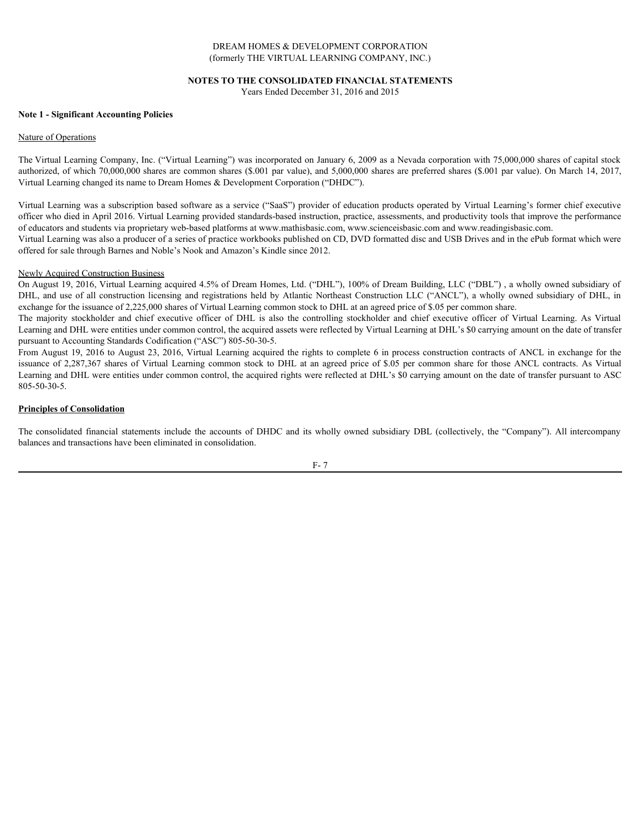### **NOTES TO THE CONSOLIDATED FINANCIAL STATEMENTS**

Years Ended December 31, 2016 and 2015

#### **Note 1 - Significant Accounting Policies**

### Nature of Operations

The Virtual Learning Company, Inc. ("Virtual Learning") was incorporated on January 6, 2009 as a Nevada corporation with 75,000,000 shares of capital stock authorized, of which 70,000,000 shares are common shares (\$.001 par value), and 5,000,000 shares are preferred shares (\$.001 par value). On March 14, 2017, Virtual Learning changed its name to Dream Homes & Development Corporation ("DHDC").

Virtual Learning was a subscription based software as a service ("SaaS") provider of education products operated by Virtual Learning's former chief executive officer who died in April 2016. Virtual Learning provided standards-based instruction, practice, assessments, and productivity tools that improve the performance of educators and students via proprietary web-based platforms at www.mathisbasic.com, www.scienceisbasic.com and www.readingisbasic.com.

Virtual Learning was also a producer of a series of practice workbooks published on CD, DVD formatted disc and USB Drives and in the ePub format which were offered for sale through Barnes and Noble's Nook and Amazon's Kindle since 2012.

#### Newly Acquired Construction Business

On August 19, 2016, Virtual Learning acquired 4.5% of Dream Homes, Ltd. ("DHL"), 100% of Dream Building, LLC ("DBL") , a wholly owned subsidiary of exchange for the issuance of 2,225,000 shares of Virtual Learning common stock to DHL at an agreed price of \$.05 per common share.

Learning and DHL were entities under common control, the acquired assets were reflected by Virtual Learning at DHL's \$0 carrying amount on the date of transfer pursuant to Accounting Standards Codification ("ASC") 805-50-30-5.

DREAM HOMES & DEVELOPMENT CORPORATION<br>
(formerly THE VIRTUAL LEARNING COMPANY, INC.)<br> **NOTES TO THE CONSOLIDATED FIRMACLES STATEMENTS**<br> **Note 1 - Significant Accounting Policies**<br> **Note 1 - Significant Accounting Policies** DREAM HOMES & DEVELOPMENT CORPORATION:<br>
(fournely THE VIRTUAL EARNING COMPANY, INC.)<br>
Years Ended December 31, 2016 and 2015<br>
Name In Specifical Accounting Publics<br>
Name Informed The Communications (SMO) are a Newton Comm From August 19, 2016 to August 23, 2016, Virtual Learning acquired the rights to complete 6 in process construction contracts of ANCL in exchange for the **EREAAM HOMES & DEVELOPMENT CORPORATION**<br>
(formerly THE VIRTUAL LEARNING COMPANY, INC)<br>
Note 1 - Significant Accounting Pulicies<br>
Note 2 - Significant Accounting Pulicies<br>
Note 2 - Expectitions (Solid Accounting Company, Learning and DHL were entities under common control, the acquired rights were reflected at DHL's \$0 carrying amount on the date of transfer pursuant to ASC 805-50-30-5. Note 1 - Significant Accounting Policies<br>
Nature affection accounting Policies<br>
Nature affection accounting the constrained the constrained the account of the accounting with 25,000 the state<br>
include the consideration an

### **Principles of Consolidation**

balances and transactions have been eliminated in consolidation.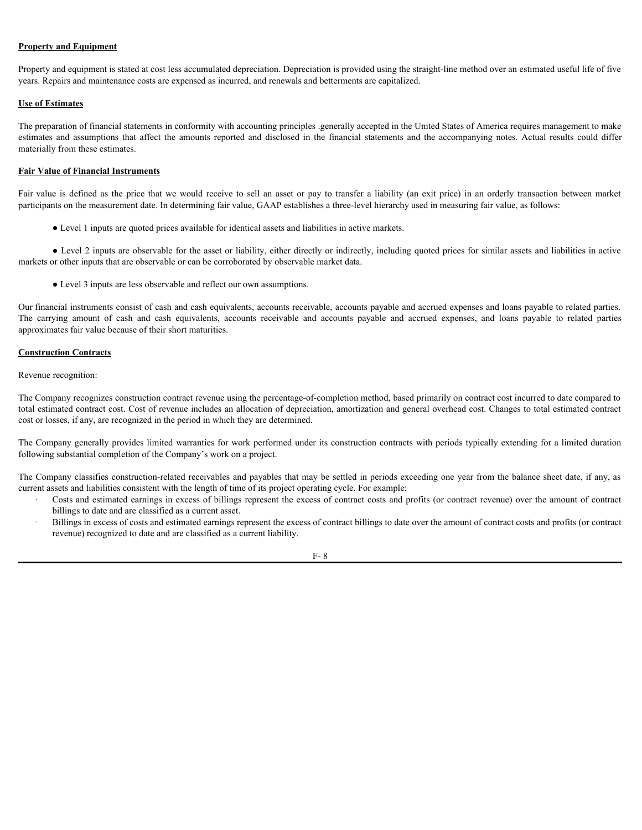### **Property and Equipment**

Property and equipment is stated at cost less accumulated depreciation. Depreciation is provided using the straight-line method over an estimated useful life of five years. Repairs and maintenance costs are expensed as incurred, and renewals and betterments are capitalized.

### **Use of Estimates**

The preparation of financial statements in conformity with accounting principles .generally accepted in the United States of America requires management to make **Property and Equipment**<br>Property and equipment is stated at cost less accumulated depreciation. Depreciation is provided using the straight-line method over an estimated useful life of five<br> **View SPECT CONFIDENT CONFIDEN** materially from these estimates. **Property and Equipment**<br> **Property and equipment** is stated at cost less accumulated depreciation. Depreciation is provided using the straight-line method over an estimated useful life of five<br> **Six of Estimates**<br> **Exist Property and Equipment**<br> **Property and equipment is stared at cost less accumulated depreciation.** Depreciation is provided using the straight-line method over an estimated useful life of five<br>
Lucar Keyam and manufactur

### **Fair Value of Financial Instruments**

participants on the measurement date. In determining fair value, GAAP establishes a three-level hierarchy used in measuring fair value, as follows:

● Level 1 inputs are quoted prices available for identical assets and liabilities in active markets.

● Level 2 inputs are observable for the asset or liability, either directly or indirectly, including quoted prices for similar assets and liabilities in active markets or other inputs that are observable or can be corroborated by observable market data.

● Level 3 inputs are less observable and reflect our own assumptions.

Our financial instruments consist of cash and cash equivalents, accounts receivable, accounts payable and accrued expenses and loans payable to related parties. approximates fair value because of their short maturities.

### **Construction Contracts**

Revenue recognition:

The Company recognizes construction contract revenue using the percentage-of-completion method, based primarily on contract cost incurred to date compared to total estimated contract cost. Cost of revenue includes an allocation of depreciation, amortization and general overhead cost. Changes to total estimated contract cost or losses, if any, are recognized in the period in which they are determined.

The Company generally provides limited warranties for work performed under its construction contracts with periods typically extending for a limited duration following substantial completion of the Company's work on a project.

The Company classifies construction-related receivables and payables that may be settled in periods exceeding one year from the balance sheet date, if any, as current assets and liabilities consistent with the length of time of its project operating cycle. For example:

- · Costs and estimated earnings in excess of billings represent the excess of contract costs and profits (or contract revenue) over the amount of contract billings to date and are classified as a current asset.
- · Billings in excess of costs and estimated earnings represent the excess of contract billings to date over the amount of contract costs and profits (or contract revenue) recognized to date and are classified as a current liability.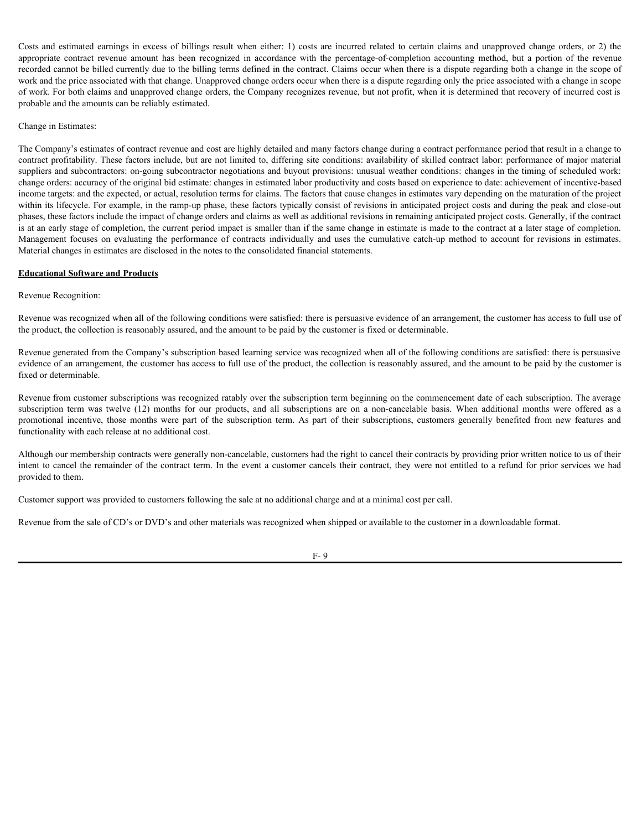Costs and estimated earnings in excess of billings result when either: 1) costs are incurred related to certain claims and unapproved change orders, or 2) the appropriate contract revenue amount has been recognized in acco Costs and estimated earnings in excess of billings result when either: 1) costs are incurred related to certain claims and unapproved change orders, or 2) the appropriate contract revenue amount has been recognized in acco recorded cannot be billed currently due to the billing terms defined in the contract. Claims occur when there is a dispute regarding both a change in the scope of work and the price associated with that change. Unapproved change orders occur when there is a dispute regarding only the price associated with a change in scope of work. For both claims and unapproved change orders, the Company recognizes revenue, but not profit, when it is determined that recovery of incurred cost is probable and the amounts can be reliably estimated.

### Change in Estimates:

The Company's estimates of contract revenue and cost are highly detailed and many factors change during a contract performance period that result in a change to contract profitability. These factors include, but are not limited to, differing site conditions: availability of skilled contract labor: performance of major material suppliers and subcontractors: on-going subcontractor negotiations and buyout provisions: unusual weather conditions: changes in the timing of scheduled work: change orders: accuracy of the original bid estimate: changes in estimated labor productivity and costs based on experience to date: achievement of incentive-based income targets: and the expected, or actual, resolution terms for claims. The factors that cause changes in estimates vary depending on the maturation of the project within its lifecycle. For example, in the ramp-up phase, these factors typically consist of revisions in anticipated project costs and during the peak and close-out phases, these factors include the impact of change orders and claims as well as additional revisions in remaining anticipated project costs. Generally, if the contract is at an early stage of completion, the current period impact is smaller than if the same change in estimate is made to the contract at a later stage of completion. Costs and estimated earnings in excess of billings result when either. I) costs are incurred related to certain chains and unapproved change orders, or 2) the appropriate contract receive recorded carment has been recogni Material changes in estimates are disclosed in the notes to the consolidated financial statements. subscription the billed carently in the billing leven is free that in the units of the particular subscription from the similar match in the subscription from the simular match in the simular match in the simular of the si work and the price associated with a change Uniqury of change reder, securities the three is those profer to the form of the subscription of the subscription of the subscription of the subscription of the subscription of t

#### **Educational Software and Products**

#### Revenue Recognition:

Revenue was recognized when all of the following conditions were satisfied: there is persuasive evidence of an arrangement, the customer has access to full use of the product, the collection is reasonably assured, and the amount to be paid by the customer is fixed or determinable.

Revenue generated from the Company's subscription based learning service was recognized when all of the following conditions are satisfied: there is persuasive evidence of an arrangement, the customer has access to full use of the product, the collection is reasonably assured, and the amount to be paid by the customer is fixed or determinable.

Revenue from customer subscriptions was recognized ratably over the subscription term beginning on the commencement date of each subscription. The average functionality with each release at no additional cost.

Although our membership contracts were generally non-cancelable, customers had the right to cancel their contracts by providing prior written notice to us of their intent to cancel the remainder of the contract term. In the event a customer cancels their contract, they were not entitled to a refund for prior services we had provided to them.

Customer support was provided to customers following the sale at no additional charge and at a minimal cost per call.

Revenue from the sale of CD's or DVD's and other materials was recognized when shipped or available to the customer in a downloadable format.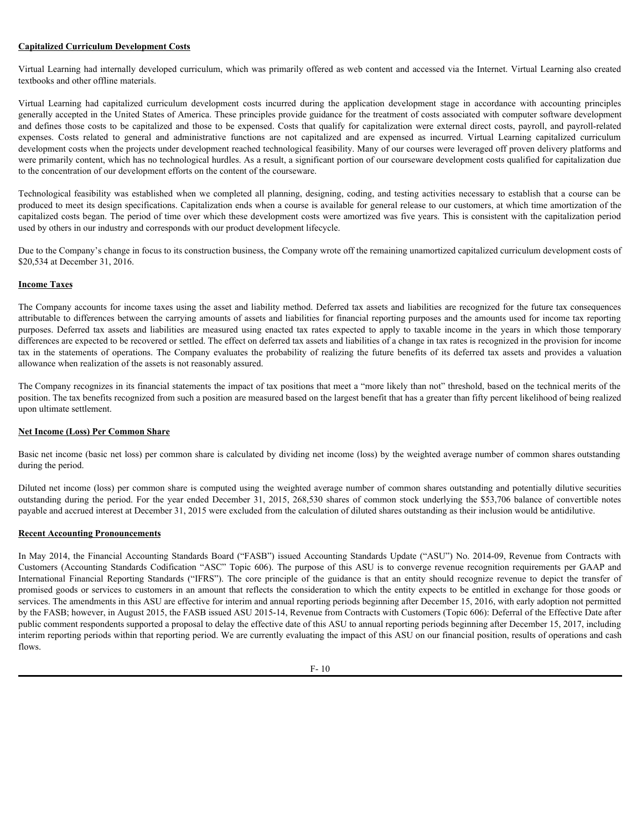### **Capitalized Curriculum Development Costs**

Virtual Learning had internally developed curriculum, which was primarily offered as web content and accessed via the Internet. Virtual Learning also created textbooks and other offline materials.

Capitalized Curriculum Development Costs<br>Virtual Learning had internally developed curriculum, which was primarily offered as web content and accessed via the Internet. Virtual Learning also created<br>textbooks and other off generally accepted in the United States of America. These principles provide guidance for the treatment of costs associated with computer software development **Capitalized Curriculum Development Costs**<br>
Virtual Learning had internally developed curriculum, which was primarily offered as web content and accessed via the Internet. Virtual Learning also created<br>
textbooks and other **Capitalized Curriculum Development Costs**<br>
Virtual Learning had internally developed curriculum, which was primarily offered as web content and accessed via the Internet. Virtual Learning also created<br>
Nirtual Learning ha development costs when the projects under development reached technological feasibility. Many of our courses were leveraged off proven delivery platforms and were primarily content, which has no technological hurdles. As a result, a significant portion of our courseware development costs qualified for capitalization due to the concentration of our development efforts on the content of the courseware. **Capitalized Carriculum Development Costs**<br>
Virual Learning had internal virus developed euricedum, which was princarly offered as web content and occessed wia the Internet Virual Learning also created<br>
such as the entire Capitalized Carriculanu Development Cants<br>
Virtual Learning last antenaliz developed contohina, which was primarily offered as web contoht and accessed via the Internet. Virtual Learning is a constant<br>
Virtual Learning ha

Technological feasibility was established when we completed all planning, designing, coding, and testing activities necessary to establish that a course can be produced to meet its design specifications. Capitalization ends when a course is available for general release to our customers, at which time amortization of the capitalized costs began. The period of time over which these development costs were amortized was five years. This is consistent with the capitalization period used by others in our industry and corresponds with our product development lifecycle.

Due to the Company's change in focus to its construction business, the Company wrote off the remaining unamortized capitalized curriculum development costs of \$20,534 at December 31, 2016.

### **Income Taxes**

The Company accounts for income taxes using the asset and liability method. Deferred tax assets and liabilities are recognized for the future tax consequences attributable to differences between the carrying amounts of assets and liabilities for financial reporting purposes and the amounts used for income tax reporting purposes. Deferred tax assets and liabilities are measured u differences are expected to be recovered or settled. The effect on deferred tax assets and liabilities of a change in tax rates is recognized in the provision for income allowance when realization of the assets is not reasonably assured. over grianaly conser, which has no reshological nuclei, A a is emptha in equiting to conserve the conserver and the matter of the conserver and the conserver and the common standard the standard standard when we completed

The Company recognizes in its financial statements the impact of tax positions that meet a "more likely than not" threshold, based on the technical merits of the position. The tax benefits recognized from such a position are measured based on the largest benefit that has a greater than fifty percent likelihood of being realized upon ultimate settlement.

### **Net Income (Loss) Per Common Share**

Basic net income (basic net loss) per common share is calculated by dividing net income (loss) by the weighted average number of common shares outstanding during the period.

Diluted net income (loss) per common share is computed using the weighted average number of common shares outstanding and potentially dilutive securities payable and accrued interest at December 31, 2015 were excluded from the calculation of diluted shares outstanding as their inclusion would be antidilutive.

### **Recent Accounting Pronouncements**

In May 2014, the Financial Accounting Standards Board ("FASB") issued Accounting Standards Update ("ASU") No. 2014-09, Revenue from Contracts with used by televars and twistery and curresponds with our product theologyment biksyde<br>Data On Codipatory change in focus to the construction business, the Company waves off the remaining unanordized equiplicited curriculum d International Financial Reporting Standards ("IFRS"). The core principle of the guidance is that an entity should recognize revenue to depict the transfer of promised goods or services to customers in an amount that reflects the consideration to which the entity expects to be entitled in exchange for those goods or services. The amendments in this ASU are effective for interim and annual reporting periods beginning after December 15, 2016, with early adoption not permitted by the FASB; however, in August 2015, the FASB issued ASU 2015-14, Revenue from Contracts with Customers (Topic 606): Deferral of the Effective Date after public comment respondents supported a proposal to delay the effective date of this ASU to annual reporting periods beginning after December 15, 2017, including interim reporting periods within that reporting period. We are currently evaluating the impact of this ASU on our financial position, results of operations and cash flows.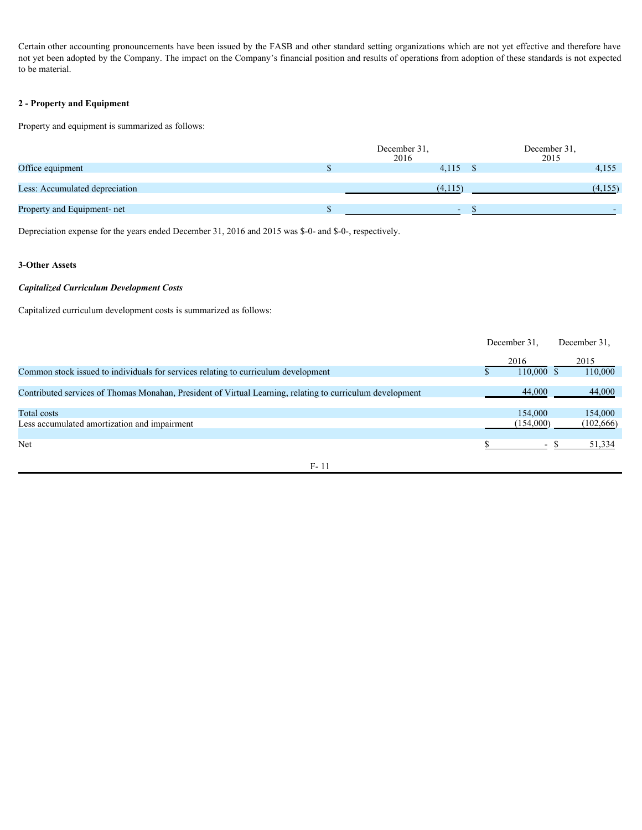Certain other accounting pronouncements have been issued by the FASB and other standard setting organizations which are not yet effective and therefore have not yet been adopted by the Company. The impact on the Company's financial position and results of operations from adoption of these standards is not expected to be material.

### **2 - Property and Equipment**

Property and equipment is summarized as follows:

|                                | December 31.<br>2016 | December 31,<br>2015 |         |
|--------------------------------|----------------------|----------------------|---------|
| Office equipment               | 4.115                |                      | 4,155   |
| Less: Accumulated depreciation | (4,115)              |                      | (4,155) |
| Property and Equipment- net    |                      |                      |         |

Depreciation expense for the years ended December 31, 2016 and 2015 was \$-0- and \$-0-, respectively.

### **3-Other Assets**

### *Capitalized Curriculum Development Costs*

Capitalized curriculum development costs is summarized as follows:

|                                                                                                           | December 31 | December 31. |
|-----------------------------------------------------------------------------------------------------------|-------------|--------------|
|                                                                                                           | 2016        | 2015         |
| Common stock issued to individuals for services relating to curriculum development                        | 110,000 \$  | 110,000      |
| Contributed services of Thomas Monahan, President of Virtual Learning, relating to curriculum development | 44,000      | 44,000       |
| Total costs                                                                                               | 154,000     | 154,000      |
| Less accumulated amortization and impairment                                                              | (154,000)   | (102, 666)   |
| Net                                                                                                       |             | 51,334       |
|                                                                                                           |             |              |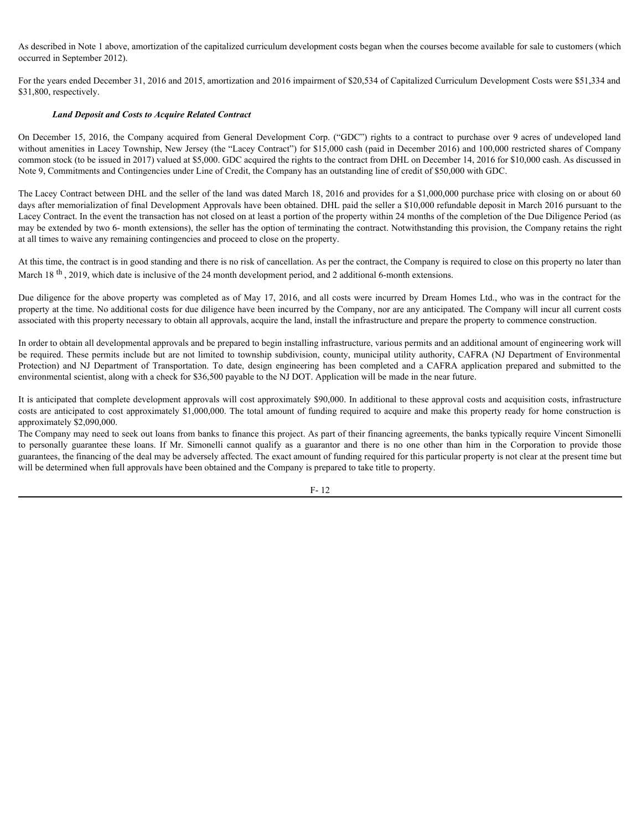As described in Note 1 above, amortization of the capitalized curriculum development costs began when the courses become available for sale to customers (which occurred in September 2012).

For the years ended December 31, 2016 and 2015, amortization and 2016 impairment of \$20,534 of Capitalized Curriculum Development Costs were \$51,334 and \$31,800, respectively.

### *Land Deposit and Costs to Acquire Related Contract*

As described in Note 1 above, amortization of the capitalized curriculum development costs began when the courses become available for sale to customers (which<br>occurred in September 2012).<br>For the years ended December 31, without amenities in Lacey Township, New Jersey (the "Lacey Contract") for \$15,000 cash (paid in December 2016) and 100,000 restricted shares of Company common stock (to be issued in 2017) valued at \$5,000. GDC acquired the rights to the contract from DHL on December 14, 2016 for \$10,000 cash. As discussed in Note 9, Commitments and Contingencies under Line of Credit, the Company has an outstanding line of credit of \$50,000 with GDC.

The Lacey Contract between DHL and the seller of the land was dated March 18, 2016 and provides for a \$1,000,000 purchase price with closing on or about 60 days after memorialization of final Development Approvals have been obtained. DHL paid the seller a \$10,000 refundable deposit in March 2016 pursuant to the Lacey Contract. In the event the transaction has not closed on at least a portion of the property within 24 months of the completion of the Due Diligence Period (as may be extended by two 6- month extensions), the seller has the option of terminating the contract. Notwithstanding this provision, the Company retains the right at all times to waive any remaining contingencies and proceed to close on the property. As described in Noe 1 above, annotization of the capitalized variionlan development sosts logan when the compare between and has been compared and the symmetric in the symmetric of STL31 and the Description (STL31 and the Land Dependi and Environ Anguine Related Contrary<br>To December 15, 2016, the Company respectively from General Development Cong ("GDC") rights to a contrary and 100,000 cannot also consider the company cannot and the corpo

At this time, the contract is in good standing and there is no risk of cancellation. As per the contract, the Company is required to close on this property no later than March 18<sup>th</sup> , 2019, which date is inclusive of the 24 month development period, and 2 additional 6-month extensions.

Due diligence for the above property was completed as of May 17, 2016, and all costs were incurred by Dream Homes Ltd., who was in the contract for the property at the time. No additional costs for due diligence have been incurred by the Company, nor are any anticipated. The Company will incur all current costs associated with this property necessary to obtain all approvals, acquire the land, install the infrastructure and prepare the property to commence construction.

In order to obtain all developmental approvals and be prepared to begin installing infrastructure, various permits and an additional amount of engineering work will be required. These permits include but are not limited to township subdivision, county, municipal utility authority, CAFRA (NJ Department of Environmental environmental scientist, along with a check for \$36,500 payable to the NJ DOT. Application will be made in the near future.

It is anticipated that complete development approvals will cost approximately \$90,000. In additional to these approval costs and acquisition costs, infrastructure costs are anticipated to cost approximately \$1,000,000. The total amount of funding required to acquire and make this property ready for home construction is approximately \$2,090,000.

The Company may need to seek out loans from banks to finance this project. As part of their financing agreements, the banks typically require Vincent Simonelli guarantees, the financing of the deal may be adversely affected. The exact amount of funding required for this particular property is not clear at the present time but will be determined when full approvals have been obtained and the Company is prepared to take title to property.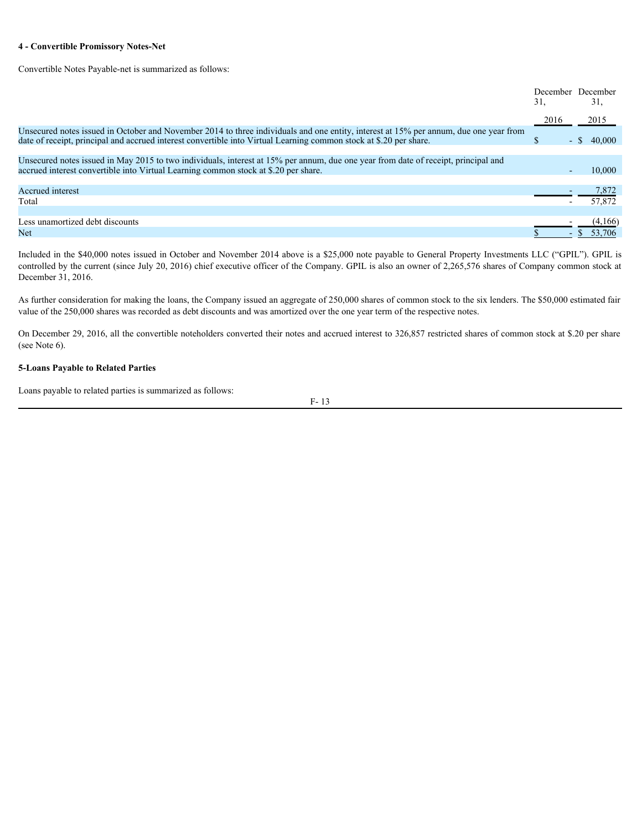### **4 - Convertible Promissory Notes-Net**

Convertible Notes Payable-net is summarized as follows:

|                                                                                                                                                                                                                                                             | 31.                      | December December<br>31. |
|-------------------------------------------------------------------------------------------------------------------------------------------------------------------------------------------------------------------------------------------------------------|--------------------------|--------------------------|
| Unsecured notes issued in October and November 2014 to three individuals and one entity, interest at 15% per annum, due one year from<br>date of receipt, principal and accrued interest convertible into Virtual Learning common stock at \$.20 per share. | 2016                     | 2015<br>$-$ \$ 40,000    |
| Unsecured notes issued in May 2015 to two individuals, interest at 15% per annum, due one year from date of receipt, principal and<br>accrued interest convertible into Virtual Learning common stock at \$.20 per share.                                   | $\overline{\phantom{0}}$ | 10,000                   |
| Accrued interest<br>Total                                                                                                                                                                                                                                   |                          | 7,872<br>57,872          |
| Less unamortized debt discounts<br>Net                                                                                                                                                                                                                      |                          | (4,166)<br>$-$ \$ 53,706 |

Included in the \$40,000 notes issued in October and November 2014 above is a \$25,000 note payable to General Property Investments LLC ("GPIL"). GPIL is controlled by the current (since July 20, 2016) chief executive officer of the Company. GPIL is also an owner of 2,265,576 shares of Company common stock at December 31, 2016.

As further consideration for making the loans, the Company issued an aggregate of 250,000 shares of common stock to the six lenders. The \$50,000 estimated fair value of the 250,000 shares was recorded as debt discounts and was amortized over the one year term of the respective notes.

On December 29, 2016, all the convertible noteholders converted their notes and accrued interest to 326,857 restricted shares of common stock at \$.20 per share (see Note 6).

### **5-Loans Payable to Related Parties**

Loans payable to related parties is summarized as follows:

$$
F-13
$$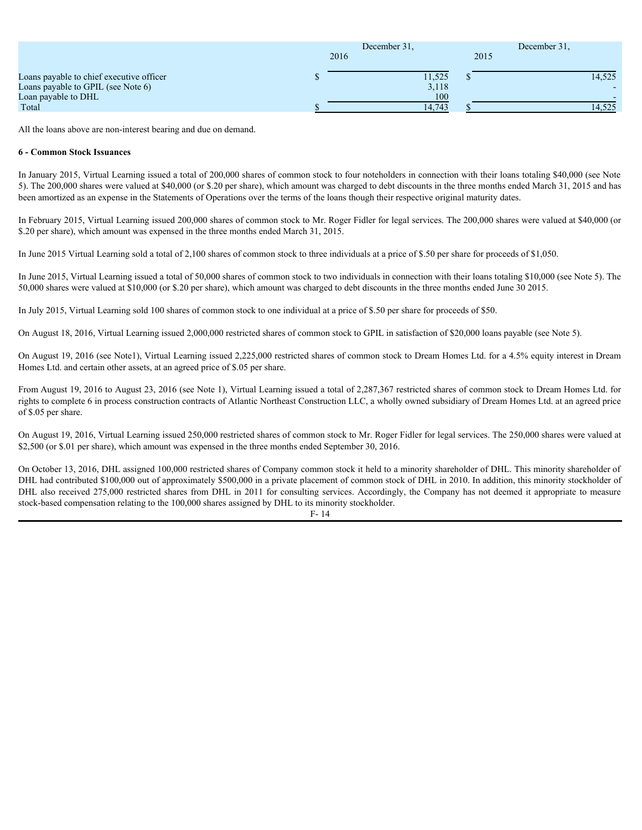|                                          | December 31. | December 31, |        |
|------------------------------------------|--------------|--------------|--------|
|                                          | 2016         | 2015         |        |
|                                          |              |              |        |
| Loans payable to chief executive officer | 11,525       |              | 14,525 |
| Loans payable to GPIL (see Note 6)       | 3,118        |              |        |
| Loan payable to DHL                      | 100          |              |        |
| Total                                    | 14,743       |              | 14,525 |

All the loans above are non-interest bearing and due on demand.

### **6 - Common Stock Issuances**

In January 2015, Virtual Learning issued a total of 200,000 shares of common stock to four noteholders in connection with their loans totaling \$40,000 (see Note 5). The 200,000 shares were valued at \$40,000 (or \$.20 per share), which amount was charged to debt discounts in the three months ended March 31, 2015 and has been amortized as an expense in the Statements of Operations over the terms of the loans though their respective original maturity dates.

In February 2015, Virtual Learning issued 200,000 shares of common stock to Mr. Roger Fidler for legal services. The 200,000 shares were valued at \$40,000 (or \$.20 per share), which amount was expensed in the three months ended March 31, 2015.

In June 2015 Virtual Learning sold a total of 2,100 shares of common stock to three individuals at a price of \$.50 per share for proceeds of \$1,050.

In June 2015, Virtual Learning issued a total of 50,000 shares of common stock to two individuals in connection with their loans totaling \$10,000 (see Note 5). The 50,000 shares were valued at \$10,000 (or \$.20 per share), which amount was charged to debt discounts in the three months ended June 30 2015.

In July 2015, Virtual Learning sold 100 shares of common stock to one individual at a price of \$.50 per share for proceeds of \$50.

On August 18, 2016, Virtual Learning issued 2,000,000 restricted shares of common stock to GPIL in satisfaction of \$20,000 loans payable (see Note 5).

On August 19, 2016 (see Note1), Virtual Learning issued 2,225,000 restricted shares of common stock to Dream Homes Ltd. for a 4.5% equity interest in Dream Homes Ltd. and certain other assets, at an agreed price of \$.05 per share.

From August 19, 2016 to August 23, 2016 (see Note 1), Virtual Learning issued a total of 2,287,367 restricted shares of common stock to Dream Homes Ltd. for rights to complete 6 in process construction contracts of Atlantic Northeast Construction LLC, a wholly owned subsidiary of Dream Homes Ltd. at an agreed price of \$.05 per share.

On August 19, 2016, Virtual Learning issued 250,000 restricted shares of common stock to Mr. Roger Fidler for legal services. The 250,000 shares were valued at \$2,500 (or \$.01 per share), which amount was expensed in the three months ended September 30, 2016.

On October 13, 2016, DHL assigned 100,000 restricted shares of Company common stock it held to a minority shareholder of DHL. This minority shareholder of DHL had contributed \$100,000 out of approximately \$500,000 in a private placement of common stock of DHL in 2010. In addition, this minority stockholder of DHL also received 275,000 restricted shares from DHL in 2011 for consulting services. Accordingly, the Company has not deemed it appropriate to measure stock-based compensation relating to the 100,000 shares assigned by DHL to its minority stockholder.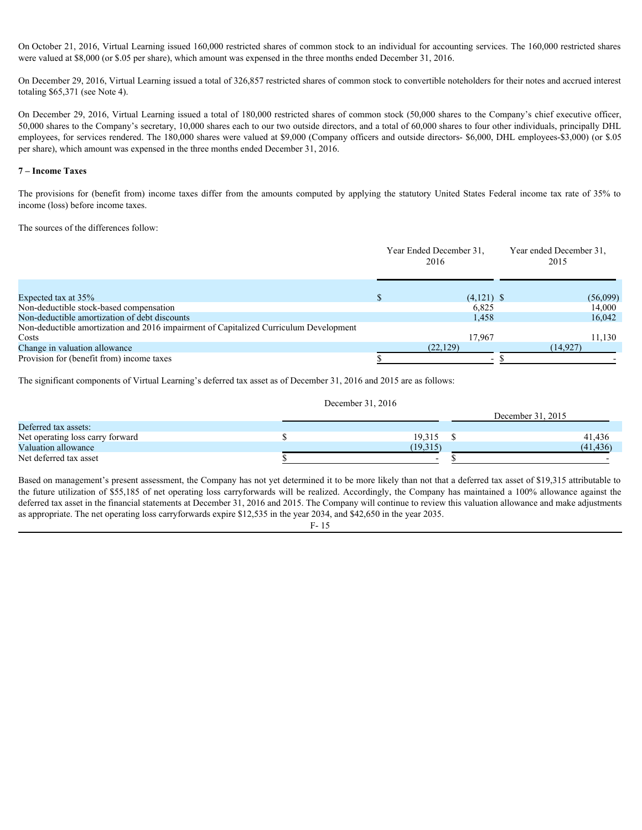On October 21, 2016, Virtual Learning issued 160,000 restricted shares of common stock to an individual for accounting services. The 160,000 restricted shares were valued at \$8,000 (or \$.05 per share), which amount was expensed in the three months ended December 31, 2016.

On December 29, 2016, Virtual Learning issued a total of 326,857 restricted shares of common stock to convertible noteholders for their notes and accrued interest totaling \$65,371 (see Note 4).

On December 29, 2016, Virtual Learning issued a total of 180,000 restricted shares of common stock (50,000 shares to the Company's chief executive officer, 50,000 shares to the Company's secretary, 10,000 shares each to our two outside directors, and a total of 60,000 shares to four other individuals, principally DHL employees, for services rendered. The 180,000 shares were valued at \$9,000 (Company officers and outside directors- \$6,000, DHL employees-\$3,000) (or \$.05 per share), which amount was expensed in the three months ended December 31, 2016. On October 21, 2016, Virtual Learning issued 160,000 restricted shares of common stock to an individual for accounting services. The 160,000 restricted shares<br>were valued at \$8,000 (or \$05 per share), which amount was expe

### **7 – Income Taxes**

income (loss) before income taxes.

The sources of the differences follow:

|                                                                                       | Year Ended December 31.<br>2016 | Year ended December 31,<br>2015 |          |
|---------------------------------------------------------------------------------------|---------------------------------|---------------------------------|----------|
|                                                                                       |                                 |                                 |          |
| Expected tax at 35%                                                                   | $(4,121)$ \$                    |                                 | (56,099) |
| Non-deductible stock-based compensation                                               | 6,825                           |                                 | 14,000   |
| Non-deductible amortization of debt discounts                                         | 1,458                           |                                 | 16,042   |
| Non-deductible amortization and 2016 impairment of Capitalized Curriculum Development |                                 |                                 |          |
| Costs                                                                                 | 17,967                          |                                 | 11,130   |
| Change in valuation allowance                                                         | (22, 129)                       | (14, 927)                       |          |
| Provision for (benefit from) income taxes                                             |                                 |                                 |          |

The significant components of Virtual Learning's deferred tax asset as of December 31, 2016 and 2015 are as follows:

|                                  |          | December 31, 2015 |
|----------------------------------|----------|-------------------|
| Deferred tax assets:             |          |                   |
| Net operating loss carry forward | 19,315   | 41,436            |
| Valuation allowance              | (19,315) | (41, 436)         |
| Net deferred tax asset           |          |                   |
|                                  |          |                   |

December 31, 2016

Based on management's present assessment, the Company has not yet determined it to be more likely than not that a deferred tax asset of \$19,315 attributable to the future utilization of \$55,185 of net operating loss carryforwards will be realized. Accordingly, the Company has maintained a 100% allowance against the deferred tax asset in the financial statements at December 31, 2016 and 2015. The Company will continue to review this valuation allowance and make adjustments as appropriate. The net operating loss carryforwards expire \$12,535 in the year 2034, and \$42,650 in the year 2035.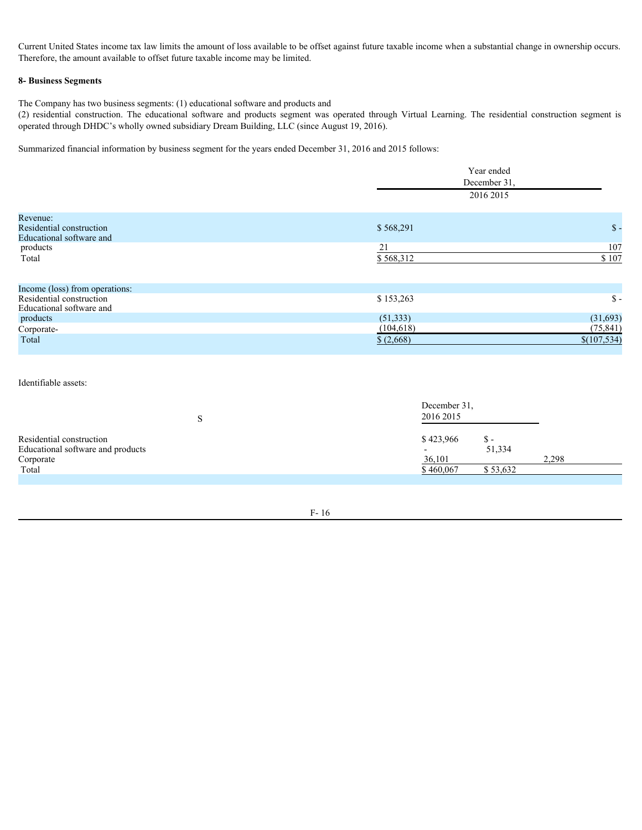### **8- Business Segments**

| Therefore, the amount available to offset future taxable income may be limited.                                                                                                  | Current United States income tax law limits the amount of loss available to be offset against future taxable income when a substantial change in ownership occurs. |                                          |  |
|----------------------------------------------------------------------------------------------------------------------------------------------------------------------------------|--------------------------------------------------------------------------------------------------------------------------------------------------------------------|------------------------------------------|--|
|                                                                                                                                                                                  |                                                                                                                                                                    |                                          |  |
| 8- Business Segments                                                                                                                                                             |                                                                                                                                                                    |                                          |  |
| The Company has two business segments: (1) educational software and products and<br>operated through DHDC's wholly owned subsidiary Dream Building, LLC (since August 19, 2016). | (2) residential construction. The educational software and products segment was operated through Virtual Learning. The residential construction segment is         |                                          |  |
| Summarized financial information by business segment for the years ended December 31, 2016 and 2015 follows:                                                                     |                                                                                                                                                                    |                                          |  |
|                                                                                                                                                                                  | Year ended                                                                                                                                                         |                                          |  |
|                                                                                                                                                                                  | December 31,                                                                                                                                                       |                                          |  |
|                                                                                                                                                                                  | 2016 2015                                                                                                                                                          |                                          |  |
| Revenue:                                                                                                                                                                         |                                                                                                                                                                    |                                          |  |
| Residential construction<br>Educational software and                                                                                                                             | \$568,291                                                                                                                                                          | $S -$                                    |  |
| products                                                                                                                                                                         | 21                                                                                                                                                                 | 107                                      |  |
| Total                                                                                                                                                                            | \$568,312                                                                                                                                                          | \$107                                    |  |
| Income (loss) from operations:                                                                                                                                                   |                                                                                                                                                                    |                                          |  |
| Residential construction                                                                                                                                                         | \$153,263                                                                                                                                                          | $\mathbb{S}$ -                           |  |
| Educational software and<br>products                                                                                                                                             |                                                                                                                                                                    |                                          |  |
| Corporate-<br>Total                                                                                                                                                              | $(51,333)$<br>$(104,618)$<br>\$(2,668)                                                                                                                             | $(31,693)$<br>$(75,841)$<br>\$(107, 534) |  |
|                                                                                                                                                                                  |                                                                                                                                                                    |                                          |  |

Identifiable assets:

| ື                                                                                   | December 31,<br>2016 2015                                               |
|-------------------------------------------------------------------------------------|-------------------------------------------------------------------------|
| Residential construction<br>Educational software and products<br>Corporate<br>Total | \$423,966<br>.১ –<br>51,334<br>2,298<br>36,101<br>\$460,067<br>\$53,632 |
|                                                                                     |                                                                         |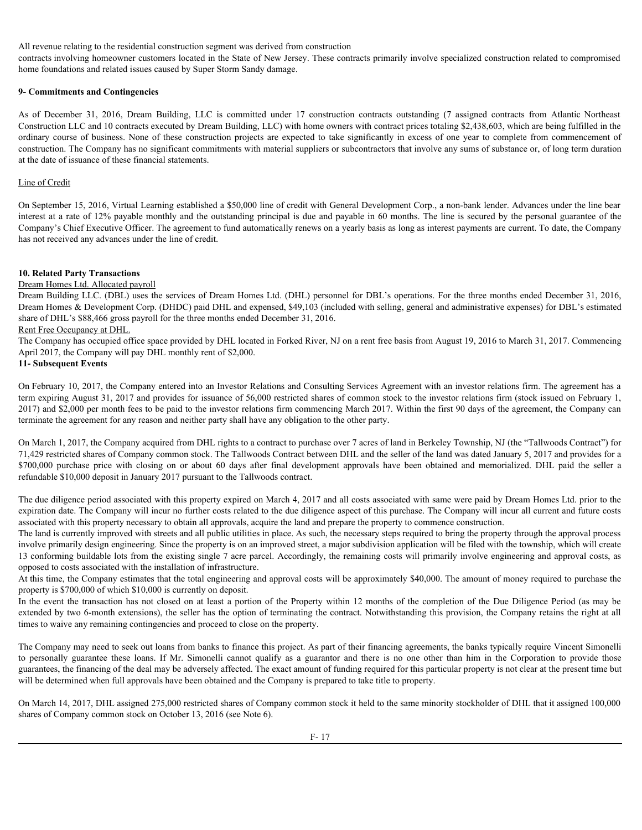### All revenue relating to the residential construction segment was derived from construction

contracts involving homeowner customers located in the State of New Jersey. These contracts primarily involve specialized construction related to compromised home foundations and related issues caused by Super Storm Sandy damage.

### **9- Commitments and Contingencies**

All revenue relating to the residential construction segment was derived from construction<br>contracts involving homeowner customers located in the State of New Jersey. These contracts primarily involve specialized construct Construction LLC and 10 contracts executed by Dream Building, LLC) with home owners with contract prices totaling \$2,438,603, which are being fulfilled in the All revenue relating to the residential construction segment was derived from construction<br>contracts involving homeowner customers located in the State of New Jersey. These contracts primarily involve specialized construct construction. The Company has no significant commitments with material suppliers or subcontractors that involve any sums of substance or, of long term duration at the date of issuance of these financial statements. Coveragio if C carbonic receales by Denomination galf yields to the seller control on the seller and the control on the seller and the control on the control on the control on the control on the control on the control on t

#### Line of Credit

On September 15, 2016, Virtual Learning established a \$50,000 line of credit with General Development Corp., a non-bank lender. Advances under the line bear interest at a rate of 12% payable monthly and the outstanding principal is due and payable in 60 months. The line is secured by the personal guarantee of the Company's Chief Executive Officer. The agreement to fund automatically renews on a yearly basis as long as interest payments are current. To date, the Company has not received any advances under the line of credit.

#### **10. Related Party Transactions**

#### Dream Homes Ltd. Allocated payroll

Dream Building LLC. (DBL) uses the services of Dream Homes Ltd. (DHL) personnel for DBL's operations. For the three months ended December 31, 2016, Dream Homes & Development Corp. (DHDC) paid DHL and expensed, \$49,103 (included with selling, general and administrative expenses) for DBL's estimated share of DHL's \$88,466 gross payroll for the three months ended December 31, 2016. Rent Free Occupancy at DHL.

The Company has occupied office space provided by DHL located in Forked River, NJ on a rent free basis from August 19, 2016 to March 31, 2017. Commencing April 2017, the Company will pay DHL monthly rent of \$2,000.

### **11- Subsequent Events**

On February 10, 2017, the Company entered into an Investor Relations and Consulting Services Agreement with an investor relations firm. The agreement has a term expiring August 31, 2017 and provides for issuance of 56,000 restricted shares of common stock to the investor relations firm (stock issued on February 1, 2017) and \$2,000 per month fees to be paid to the investor relations firm commencing March 2017. Within the first 90 days of the agreement, the Company can terminate the agreement for any reason and neither party shall have any obligation to the other party.

On March 1, 2017, the Company acquired from DHL rights to a contract to purchase over 7 acres of land in Berkeley Township, NJ (the "Tallwoods Contract") for 71,429 restricted shares of Company common stock. The Tallwoods Contract between DHL and the seller of the land was dated January 5, 2017 and provides for a refundable \$10,000 deposit in January 2017 pursuant to the Tallwoods contract. IO. Related Party I ransactions<br>Docum Bosinics Add Added Added Added Added Added Added Darris and Added Society and at the forest and added the Company and the Company of the Company of the Due Diligence Company (1911). As that of OHL 5.888 (see good ground for the duce noted to boxnber 31, 2016.<br>But first Company as OHL is company termed throu an Forestor North Control River. NJ on a retr fore between Apple 19, 2016 to Mrs. but all the Comp

The due diligence period associated with this property expired on March 4, 2017 and all costs associated with same were paid by Dream Homes Ltd. prior to the expiration date. The Company will incur no further costs related to the due diligence aspect of this purchase. The Company will incur all current and future costs associated with this property necessary to obtain all approvals, acquire the land and prepare the property to commence construction.

The land is currently improved with streets and all public utilities in place. As such, the necessary steps required to bring the property through the approval process involve primarily design engineering. Since the property is on an improved street, a major subdivision application will be filed with the township, which will create 13 conforming buildable lots from the existing single 7 acre parcel. Accordingly, the remaining costs will primarily involve engineering and approval costs, as opposed to costs associated with the installation of infrastructure.

At this time, the Company estimates that the total engineering and approval costs will be approximately \$40,000. The amount of money required to purchase the property is \$700,000 of which \$10,000 is currently on deposit.

extended by two 6-month extensions), the seller has the option of terminating the contract. Notwithstanding this provision, the Company retains the right at all times to waive any remaining contingencies and proceed to close on the property.

The Company may need to seek out loans from banks to finance this project. As part of their financing agreements, the banks typically require Vincent Simonelli guarantees, the financing of the deal may be adversely affected. The exact amount of funding required for this particular property is not clear at the present time but will be determined when full approvals have been obtained and the Company is prepared to take title to property.

On March 14, 2017, DHL assigned 275,000 restricted shares of Company common stock it held to the same minority stockholder of DHL that it assigned 100,000 shares of Company common stock on October 13, 2016 (see Note 6).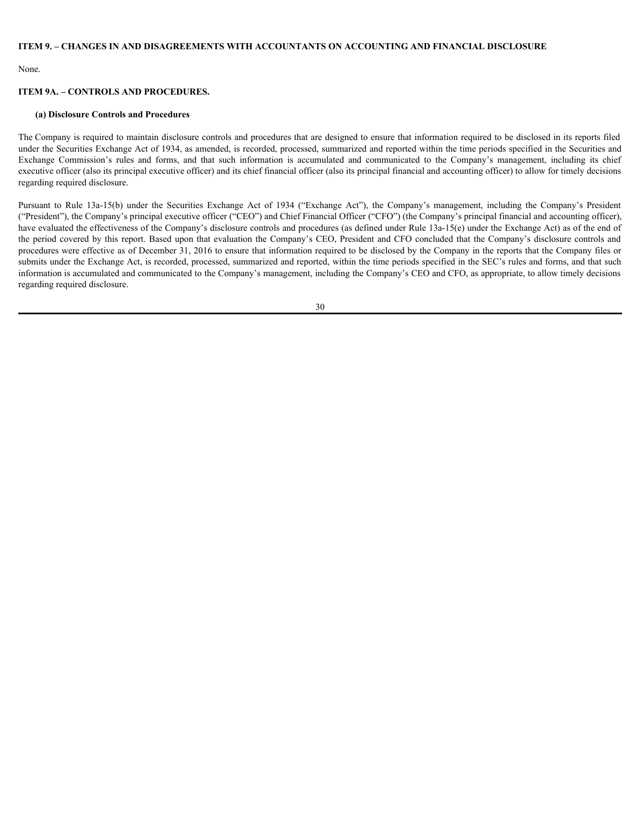### **ITEM 9. – CHANGES IN AND DISAGREEMENTS WITH ACCOUNTANTS ON ACCOUNTING AND FINANCIAL DISCLOSURE**

None.

### **ITEM 9A. – CONTROLS AND PROCEDURES.**

#### **(a) Disclosure Controls and Procedures**

The Company is required to maintain disclosure controls and procedures that are designed to ensure that information required to be disclosed in its reports filed under the Securities Exchange Act of 1934, as amended, is recorded, processed, summarized and reported within the time periods specified in the Securities and TEM 9. – CHANGES IN AND DISAGREEMENTS WITH ACCOUNTANTS ON ACCOUNTING AND FINANCIAL DISCLOSURE<br>None.<br>THEM 9A. – CONTROLS AND PROCEDURES.<br>
(a) Disclosure Controls and Procedures<br>
The Company is required to maintain disclosur executive officer (also its principal executive officer) and its chief financial officer (also its principal financial and accounting officer) to allow for timely decisions regarding required disclosure.

ITEM 9. – CHANGES IN AND DISAGREEMENTS WITH ACCOUNTANTS ON ACCOUNTING AND FINANCIAL DISCLOSURE<br>
None.<br>
None.<br>
None.<br>
(a) Disclosure Controls and Procedures<br>
(b) Disclosure Controls and procedures<br>
individued the Securities ("President"), the Company's principal executive officer ("CEO") and Chief Financial Officer ("CFO") (the Company's principal financial and accounting officer), have evaluated the effectiveness of the Company's disclosure controls and procedures (as defined under Rule 13a-15(e) under the Exchange Act) as of the end of the period covered by this report. Based upon that evaluation the Company's CEO, President and CFO concluded that the Company's disclosure controls and procedures were effective as of December 31, 2016 to ensure that information required to be disclosed by the Company in the reports that the Company files or submits under the Exchange Act, is recorded, processed, summarized and reported, within the time periods specified in the SEC's rules and forms, and that such information is accumulated and communicated to the Company's management, including the Company's CEO and CFO, as appropriate, to allow timely decisions regarding required disclosure.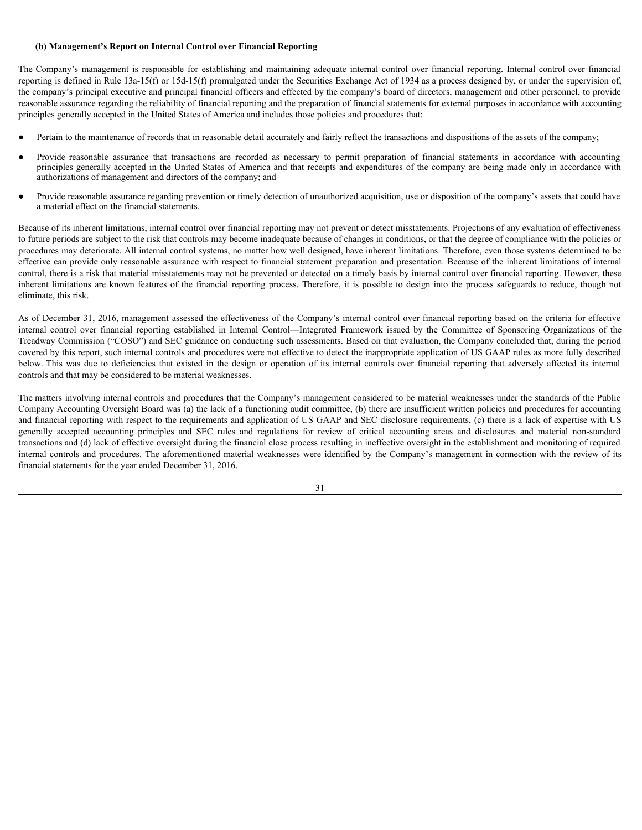### **(b) Management's Report on Internal Control over Financial Reporting**

(b) Management's Report on Internal Control over Financial Reporting<br>The Company's management is responsible for establishing and maintaining adequate internal control over financial reporting. Internal control over financ reporting is defined in Rule 13a-15(f) or 15d-15(f) promulgated under the Securities Exchange Act of 1934 as a process designed by, or under the supervision of, the company's principal executive and principal financial officers and effected by the company's board of directors, management and other personnel, to provide reasonable assurance regarding the reliability of financial reporting and the preparation of financial statements for external purposes in accordance with accounting principles generally accepted in the United States of America and includes those policies and procedures that: **(b) Management's Report on Internal Control over Financial Reporting<br>
The Company's management is responsible for establishing and maintaining adequate internal control over financial reporting. Internal control over fina** 

- Pertain to the maintenance of records that in reasonable detail accurately and fairly reflect the transactions and dispositions of the assets of the company;
- principles generally accepted in the United States of America and that receipts and expenditures of the company are being made only in accordance with authorizations of management and directors of the company; and
- Provide reasonable assurance regarding prevention or timely detection of unauthorized acquisition, use or disposition of the company's assets that could have a material effect on the financial statements.

Because of its inherent limitations, internal control over financial reporting may not prevent or detect misstatements. Projections of any evaluation of effectiveness to future periods are subject to the risk that controls may become inadequate because of changes in conditions, or that the degree of compliance with the policies or procedures may deteriorate. All internal control systems, no matter how well designed, have inherent limitations. Therefore, even those systems determined to be effective can provide only reasonable assurance with respect to financial statement preparation and presentation. Because of the inherent limitations of internal control, there is a risk that material misstatements may not be prevented or detected on a timely basis by internal control over financial reporting. However, these **(b) Management's Report on Taternal Control over Financial Reporting<br>The Company's monographs in the responsible for establishing and maintaining adequate internal control over financial reporting in company's poincing co** eliminate, this risk. (b) Management's Report on Internal Control over Financial Reporting<br>The Company's management is reported for evaluables and minimisme decompositions increases and procedures by or and<br>or Revenue in South and the stabilish (0) Management's Report on Internal Control over Fhancials Reporting<br>The Company's management is responsible for establishing and maintaining advents internal control over financial considerations and the second in the sec ghe constant principle excepte only principles and stated by decays and excepted the counterpolar constant and provide and provide and provide accessore and provide accessore and the secondary accessore and the properties

As of December 31, 2016, management assessed the effectiveness of the Company's internal control over financial reporting based on the criteria for effective Treadway Commission ("COSO") and SEC guidance on conducting such assessments. Based on that evaluation, the Company concluded that, during the period covered by this report, such internal controls and procedures were not effective to detect the inappropriate application of US GAAP rules as more fully described controls and that may be considered to be material weaknesses.

The matters involving internal controls and procedures that the Company's management considered to be material weaknesses under the standards of the Public Company Accounting Oversight Board was (a) the lack of a functioning audit committee, (b) there are insufficient written policies and procedures for accounting and financial reporting with respect to the requirements and application of US GAAP and SEC disclosure requirements, (c) there is a lack of expertise with US transactions and (d) lack of effective oversight during the financial close process resulting in ineffective oversight in the establishment and monitoring of required internal controls and procedures. The aforementioned material weaknesses were identified by the Company's management in connection with the review of its financial statements for the year ended December 31, 2016.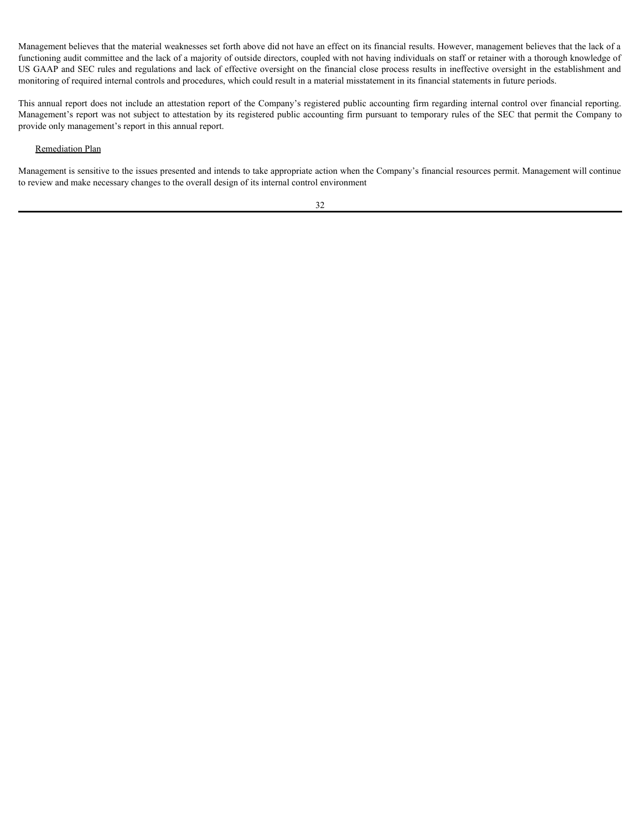Management believes that the material weaknesses set forth above did not have an effect on its financial results. However, management believes that the lack of a functioning audit committee and the lack of a majority of outside directors, coupled with not having individuals on staff or retainer with a thorough knowledge of US GAAP and SEC rules and regulations and lack of effective oversight on the financial close process results in ineffective oversight in the establishment and monitoring of required internal controls and procedures, which could result in a material misstatement in its financial statements in future periods.

This annual report does not include an attestation report of the Company's registered public accounting firm regarding internal control over financial reporting. Management's report was not subject to attestation by its registered public accounting firm pursuant to temporary rules of the SEC that permit the Company to provide only management's report in this annual report.

### Remediation Plan

Management is sensitive to the issues presented and intends to take appropriate action when the Company's financial resources permit. Management will continue to review and make necessary changes to the overall design of its internal control environment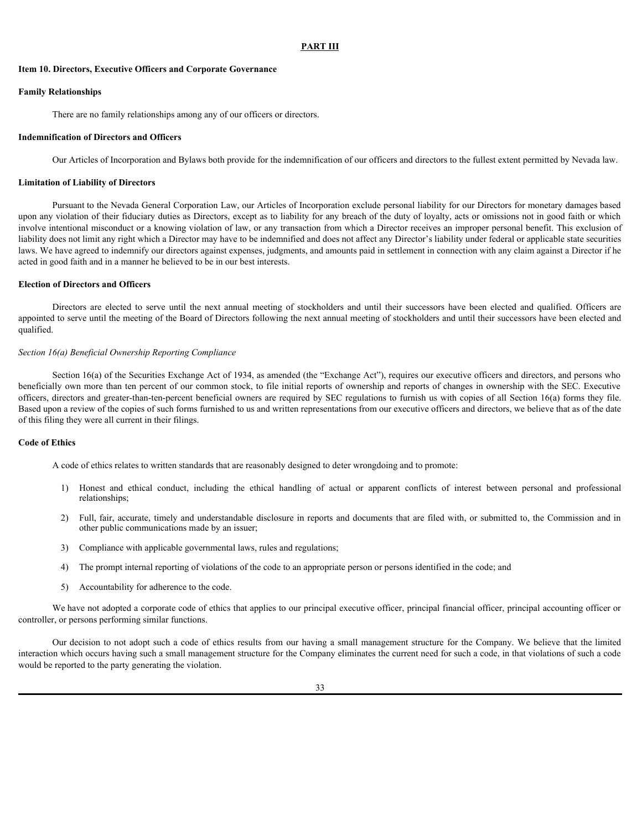#### **PART III**

### **Item 10. Directors, Executive Officers and Corporate Governance**

### **Family Relationships**

There are no family relationships among any of our officers or directors.

### **Indemnification of Directors and Officers**

Our Articles of Incorporation and Bylaws both provide for the indemnification of our officers and directors to the fullest extent permitted by Nevada law.

#### **Limitation of Liability of Directors**

Pursuant to the Nevada General Corporation Law, our Articles of Incorporation exclude personal liability for our Directors for monetary damages based upon any violation of their fiduciary duties as Directors, except as to liability for any breach of the duty of loyalty, acts or omissions not in good faith or which involve intentional misconduct or a knowing violation of law, or any transaction from which a Director receives an improper personal benefit. This exclusion of liability does not limit any right which a Director may have to be indemnified and does not affect any Director's liability under federal or applicable state securities laws. We have agreed to indemnify our directors against expenses, judgments, and amounts paid in settlement in connection with any claim against a Director if he acted in good faith and in a manner he believed to be in our best interests. **Exercise Executive Officers and Corporate Covernance**<br> **There are to family relationships among any of our officers**<br> **Readion of Directors and Officers**<br> **Readion of Directors and Officers**<br> **Our Articles of Incorporatio** If Anticles of Incorporation and Bylows bofi provide for the indemnification of our officers and directors the the Directors for monetary during estimates the between the between the between the between the between the bet

#### **Election of Directors and Officers**

appointed to serve until the meeting of the Board of Directors following the next annual meeting of stockholders and until their successors have been elected and qualified.

### *Section 16(a) Beneficial Ownership Reporting Compliance*

Section 16(a) of the Securities Exchange Act of 1934, as amended (the "Exchange Act"), requires our executive officers and directors, and persons who beneficially own more than ten percent of our common stock, to file initial reports of ownership and reports of changes in ownership with the SEC. Executive officers, directors and greater-than-ten-percent beneficial owners are required by SEC regulations to furnish us with copies of all Section 16(a) forms they file. Based upon a review of the copies of such forms furnished to us and written representations from our executive officers and directors, we believe that as of the date of this filing they were all current in their filings.

### **Code of Ethics**

A code of ethics relates to written standards that are reasonably designed to deter wrongdoing and to promote:

- relationships;
- 2) Full, fair, accurate, timely and understandable disclosure in reports and documents that are filed with, or submitted to, the Commission and in other public communications made by an issuer;
- 3) Compliance with applicable governmental laws, rules and regulations;
- 4) The prompt internal reporting of violations of the code to an appropriate person or persons identified in the code; and
- 5) Accountability for adherence to the code.

We have not adopted a corporate code of ethics that applies to our principal executive officer, principal financial officer, principal accounting officer or controller, or persons performing similar functions.

Our decision to not adopt such a code of ethics results from our having a small management structure for the Company. We believe that the limited interaction which occurs having such a small management structure for the Company eliminates the current need for such a code, in that violations of such a code would be reported to the party generating the violation.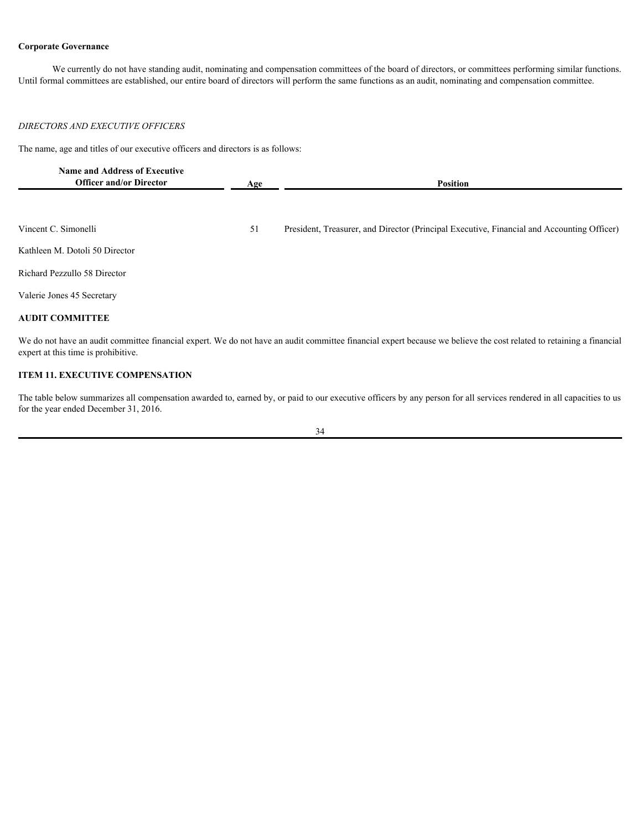### **Corporate Governance**

We currently do not have standing audit, nominating and compensation committees of the board of directors, or committees performing similar functions. Until formal committees are established, our entire board of directors will perform the same functions as an audit, nominating and compensation committee.

### *DIRECTORS AND EXECUTIVE OFFICERS*

The name, age and titles of our executive officers and directors is as follows:

| <b>Name and Address of Executive</b><br><b>Officer and/or Director</b> | Age | <b>Position</b>                                                                                                                                                     |
|------------------------------------------------------------------------|-----|---------------------------------------------------------------------------------------------------------------------------------------------------------------------|
|                                                                        |     |                                                                                                                                                                     |
| Vincent C. Simonelli                                                   | 51  | President, Treasurer, and Director (Principal Executive, Financial and Accounting Officer)                                                                          |
| Kathleen M. Dotoli 50 Director                                         |     |                                                                                                                                                                     |
| Richard Pezzullo 58 Director                                           |     |                                                                                                                                                                     |
| Valerie Jones 45 Secretary                                             |     |                                                                                                                                                                     |
| <b>AUDIT COMMITTEE</b>                                                 |     |                                                                                                                                                                     |
| expert at this time is prohibitive.                                    |     | We do not have an audit committee financial expert. We do not have an audit committee financial expert because we believe the cost related to retaining a financial |

### **ITEM 11. EXECUTIVE COMPENSATION**

The table below summarizes all compensation awarded to, earned by, or paid to our executive officers by any person for all services rendered in all capacities to us for the year ended December 31, 2016.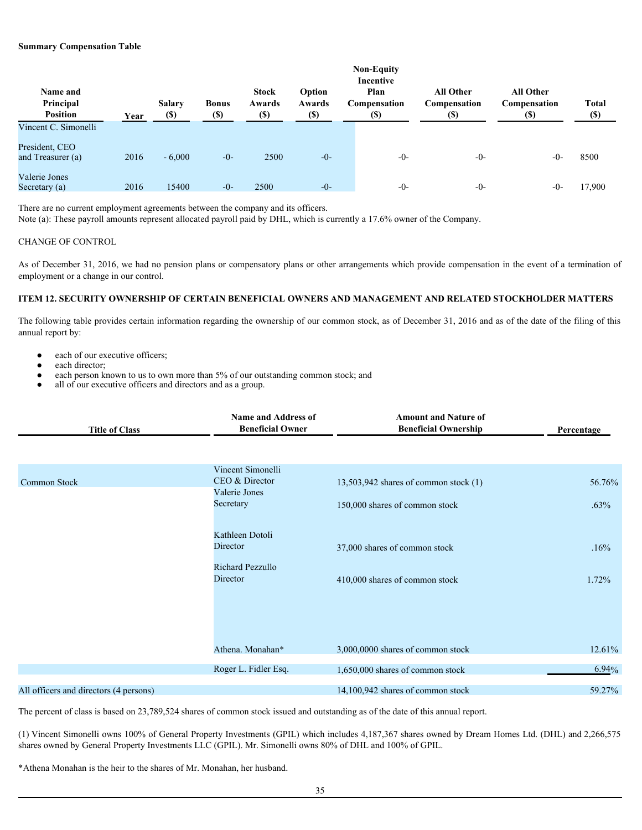### **Summary Compensation Table**

| Name and<br>Principal<br><b>Position</b> | Year | <b>Salary</b><br>$(\$)$ | <b>Bonus</b><br>$(\$)$ | <b>Stock</b><br>Awards<br>(S) | Option<br>Awards<br>(S) | <b>Non-Equity</b><br>Incentive<br>Plan<br>Compensation<br>(S) | All Other<br>Compensation<br><b>(S)</b> | All Other<br>Compensation<br>(S) | Total<br>$(\$)$ |
|------------------------------------------|------|-------------------------|------------------------|-------------------------------|-------------------------|---------------------------------------------------------------|-----------------------------------------|----------------------------------|-----------------|
| Vincent C. Simonelli                     |      |                         |                        |                               |                         |                                                               |                                         |                                  |                 |
| President, CEO<br>and Treasurer (a)      | 2016 | $-6,000$                | $-0-$                  | 2500                          | $-0-$                   | $-0-$                                                         | $-0-$                                   | $-0-$                            | 8500            |
| Valerie Jones<br>Secretary (a)           | 2016 | 15400                   | $-0-$                  | 2500                          | $-0-$                   | $-0-$                                                         | $-0-$                                   | $-0-$                            | 17,900          |

There are no current employment agreements between the company and its officers.

Note (a): These payroll amounts represent allocated payroll paid by DHL, which is currently a 17.6% owner of the Company.

### CHANGE OF CONTROL

As of December 31, 2016, we had no pension plans or compensatory plans or other arrangements which provide compensation in the event of a termination of employment or a change in our control.

### **ITEM 12. SECURITY OWNERSHIP OF CERTAIN BENEFICIAL OWNERS AND MANAGEMENT AND RELATED STOCKHOLDER MATTERS**

The following table provides certain information regarding the ownership of our common stock, as of December 31, 2016 and as of the date of the filing of this annual report by:

- each of our executive officers;
- each director;
- each person known to us to own more than 5% of our outstanding common stock; and
- all of our executive officers and directors and as a group.

| <b>Title of Class</b>                  | Name and Address of<br><b>Beneficial Owner</b> | <b>Amount and Nature of</b><br><b>Beneficial Ownership</b> | Percentage |
|----------------------------------------|------------------------------------------------|------------------------------------------------------------|------------|
|                                        |                                                |                                                            |            |
| Common Stock                           | Vincent Simonelli<br>CEO & Director            | 13,503,942 shares of common stock $(1)$                    | 56.76%     |
|                                        | Valerie Jones<br>Secretary                     | 150,000 shares of common stock                             | $.63\%$    |
|                                        | Kathleen Dotoli<br>Director                    | 37,000 shares of common stock                              | .16%       |
|                                        | Richard Pezzullo<br>Director                   | 410,000 shares of common stock                             | 1.72%      |
|                                        |                                                |                                                            |            |
|                                        | Athena. Monahan*                               | 3,000,0000 shares of common stock                          | 12.61%     |
|                                        | Roger L. Fidler Esq.                           | 1,650,000 shares of common stock                           | $6.94\%$   |
| All officers and directors (4 persons) |                                                | 14,100,942 shares of common stock                          | 59.27%     |

The percent of class is based on 23,789,524 shares of common stock issued and outstanding as of the date of this annual report.

(1) Vincent Simonelli owns 100% of General Property Investments (GPIL) which includes 4,187,367 shares owned by Dream Homes Ltd. (DHL) and 2,266,575 shares owned by General Property Investments LLC (GPIL). Mr. Simonelli owns 80% of DHL and 100% of GPIL.

\*Athena Monahan is the heir to the shares of Mr. Monahan, her husband.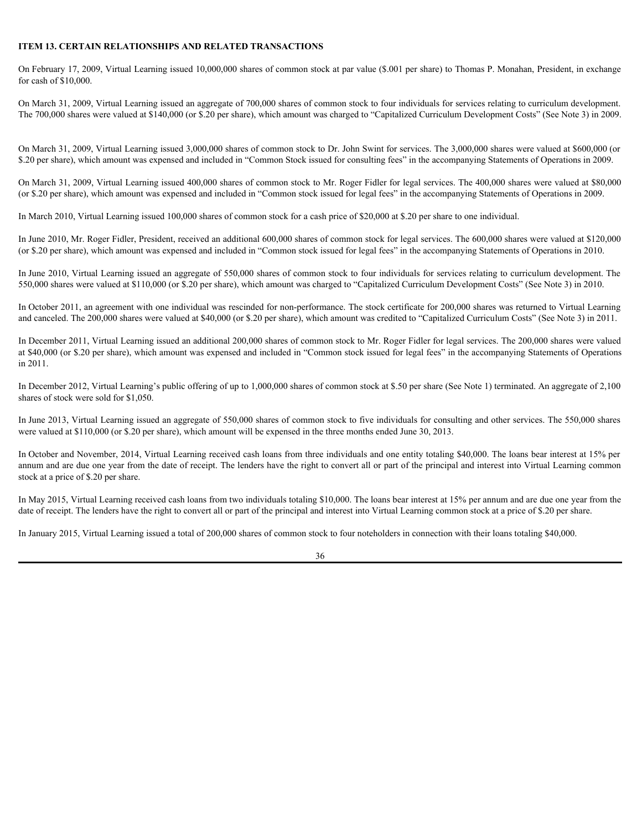### **ITEM 13. CERTAIN RELATIONSHIPS AND RELATED TRANSACTIONS**

On February 17, 2009, Virtual Learning issued 10,000,000 shares of common stock at par value (\$.001 per share) to Thomas P. Monahan, President, in exchange for cash of \$10,000.

On March 31, 2009, Virtual Learning issued an aggregate of 700,000 shares of common stock to four individuals for services relating to curriculum development. The 700,000 shares were valued at \$140,000 (or \$.20 per share), which amount was charged to "Capitalized Curriculum Development Costs" (See Note 3) in 2009.

On March 31, 2009, Virtual Learning issued 3,000,000 shares of common stock to Dr. John Swint for services. The 3,000,000 shares were valued at \$600,000 (or \$.20 per share), which amount was expensed and included in "Common Stock issued for consulting fees" in the accompanying Statements of Operations in 2009.

On March 31, 2009, Virtual Learning issued 400,000 shares of common stock to Mr. Roger Fidler for legal services. The 400,000 shares were valued at \$80,000 (or \$.20 per share), which amount was expensed and included in "Common stock issued for legal fees" in the accompanying Statements of Operations in 2009.

In March 2010, Virtual Learning issued 100,000 shares of common stock for a cash price of \$20,000 at \$.20 per share to one individual.

In June 2010, Mr. Roger Fidler, President, received an additional 600,000 shares of common stock for legal services. The 600,000 shares were valued at \$120,000 (or \$.20 per share), which amount was expensed and included in "Common stock issued for legal fees" in the accompanying Statements of Operations in 2010.

In June 2010, Virtual Learning issued an aggregate of 550,000 shares of common stock to four individuals for services relating to curriculum development. The 550,000 shares were valued at \$110,000 (or \$.20 per share), which amount was charged to "Capitalized Curriculum Development Costs" (See Note 3) in 2010.

In October 2011, an agreement with one individual was rescinded for non-performance. The stock certificate for 200,000 shares was returned to Virtual Learning and canceled. The 200,000 shares were valued at \$40,000 (or \$.20 per share), which amount was credited to "Capitalized Curriculum Costs" (See Note 3) in 2011.

In December 2011, Virtual Learning issued an additional 200,000 shares of common stock to Mr. Roger Fidler for legal services. The 200,000 shares were valued at \$40,000 (or \$.20 per share), which amount was expensed and included in "Common stock issued for legal fees" in the accompanying Statements of Operations in 2011.

In December 2012, Virtual Learning's public offering of up to 1,000,000 shares of common stock at \$.50 per share (See Note 1) terminated. An aggregate of 2,100 shares of stock were sold for \$1,050.

In June 2013, Virtual Learning issued an aggregate of 550,000 shares of common stock to five individuals for consulting and other services. The 550,000 shares were valued at \$110,000 (or \$.20 per share), which amount will be expensed in the three months ended June 30, 2013.

In October and November, 2014, Virtual Learning received cash loans from three individuals and one entity totaling \$40,000. The loans bear interest at 15% per annum and are due one year from the date of receipt. The lenders have the right to convert all or part of the principal and interest into Virtual Learning common stock at a price of \$.20 per share.

In May 2015, Virtual Learning received cash loans from two individuals totaling \$10,000. The loans bear interest at 15% per annum and are due one year from the date of receipt. The lenders have the right to convert all or part of the principal and interest into Virtual Learning common stock at a price of \$.20 per share.

In January 2015, Virtual Learning issued a total of 200,000 shares of common stock to four noteholders in connection with their loans totaling \$40,000.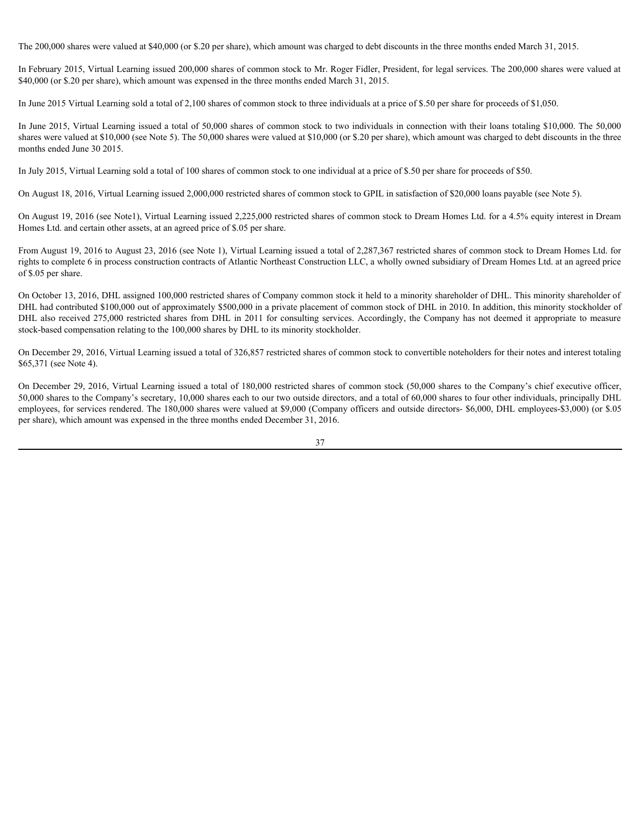The 200,000 shares were valued at \$40,000 (or \$.20 per share), which amount was charged to debt discounts in the three months ended March 31, 2015.

In February 2015, Virtual Learning issued 200,000 shares of common stock to Mr. Roger Fidler, President, for legal services. The 200,000 shares were valued at \$40,000 (or \$.20 per share), which amount was expensed in the three months ended March 31, 2015.

In June 2015 Virtual Learning sold a total of 2,100 shares of common stock to three individuals at a price of \$.50 per share for proceeds of \$1,050.

In June 2015, Virtual Learning issued a total of 50,000 shares of common stock to two individuals in connection with their loans totaling \$10,000. The 50,000 shares were valued at \$10,000 (see Note 5). The 50,000 shares were valued at \$10,000 (or \$.20 per share), which amount was charged to debt discounts in the three months ended June 30 2015.

In July 2015, Virtual Learning sold a total of 100 shares of common stock to one individual at a price of \$.50 per share for proceeds of \$50.

On August 18, 2016, Virtual Learning issued 2,000,000 restricted shares of common stock to GPIL in satisfaction of \$20,000 loans payable (see Note 5).

On August 19, 2016 (see Note1), Virtual Learning issued 2,225,000 restricted shares of common stock to Dream Homes Ltd. for a 4.5% equity interest in Dream Homes Ltd. and certain other assets, at an agreed price of \$.05 per share.

From August 19, 2016 to August 23, 2016 (see Note 1), Virtual Learning issued a total of 2,287,367 restricted shares of common stock to Dream Homes Ltd. for rights to complete 6 in process construction contracts of Atlantic Northeast Construction LLC, a wholly owned subsidiary of Dream Homes Ltd. at an agreed price of \$.05 per share.

On October 13, 2016, DHL assigned 100,000 restricted shares of Company common stock it held to a minority shareholder of DHL. This minority shareholder of DHL had contributed \$100,000 out of approximately \$500,000 in a private placement of common stock of DHL in 2010. In addition, this minority stockholder of DHL also received 275,000 restricted shares from DHL in 2011 for consulting services. Accordingly, the Company has not deemed it appropriate to measure stock-based compensation relating to the 100,000 shares by DHL to its minority stockholder.

On December 29, 2016, Virtual Learning issued a total of 326,857 restricted shares of common stock to convertible noteholders for their notes and interest totaling \$65,371 (see Note 4).

On December 29, 2016, Virtual Learning issued a total of 180,000 restricted shares of common stock (50,000 shares to the Company's chief executive officer, 50,000 shares to the Company's secretary, 10,000 shares each to our two outside directors, and a total of 60,000 shares to four other individuals, principally DHL employees, for services rendered. The 180,000 shares were valued at \$9,000 (Company officers and outside directors- \$6,000, DHL employees-\$3,000) (or \$.05 per share), which amount was expensed in the three months ended December 31, 2016.

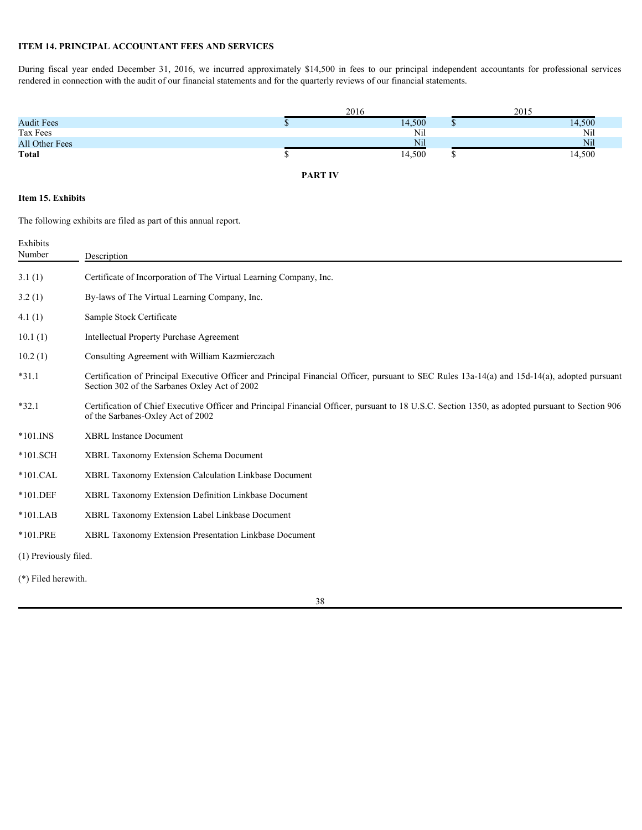### **ITEM 14. PRINCIPAL ACCOUNTANT FEES AND SERVICES**

| ITEM 14. PRINCIPAL ACCOUNTANT FEES AND SERVICES                                                                                                           |                |            |              |            |  |
|-----------------------------------------------------------------------------------------------------------------------------------------------------------|----------------|------------|--------------|------------|--|
|                                                                                                                                                           |                |            |              |            |  |
| During fiscal year ended December 31, 2016, we incurred approximately \$14,500 in fees to our principal independent accountants for professional services |                |            |              |            |  |
| rendered in connection with the audit of our financial statements and for the quarterly reviews of our financial statements.                              |                |            |              |            |  |
|                                                                                                                                                           | 2016           |            | 2015         |            |  |
| <b>Audit Fees</b>                                                                                                                                         | $\mathbb{S}$   | 14,500     | $\mathbb{S}$ | 14,500     |  |
| Tax Fees<br>All Other Fees                                                                                                                                |                | Nil<br>Nil |              | Nil<br>Nil |  |
| <b>Total</b>                                                                                                                                              | S.             | 14,500     | \$           | 14,500     |  |
|                                                                                                                                                           | <b>PART IV</b> |            |              |            |  |
|                                                                                                                                                           |                |            |              |            |  |

### **Item 15. Exhibits**

The following exhibits are filed as part of this annual report.

| Exhibits<br>Number           | Description                                                                                                                                                                                    |
|------------------------------|------------------------------------------------------------------------------------------------------------------------------------------------------------------------------------------------|
| 3.1(1)                       | Certificate of Incorporation of The Virtual Learning Company, Inc.                                                                                                                             |
| 3.2(1)                       | By-laws of The Virtual Learning Company, Inc.                                                                                                                                                  |
| 4.1(1)                       | Sample Stock Certificate                                                                                                                                                                       |
| 10.1(1)                      | Intellectual Property Purchase Agreement                                                                                                                                                       |
| 10.2(1)                      | Consulting Agreement with William Kazmierczach                                                                                                                                                 |
| $*31.1$                      | Certification of Principal Executive Officer and Principal Financial Officer, pursuant to SEC Rules 13a-14(a) and 15d-14(a), adopted pursuant<br>Section 302 of the Sarbanes Oxley Act of 2002 |
| $*32.1$                      | Certification of Chief Executive Officer and Principal Financial Officer, pursuant to 18 U.S.C. Section 1350, as adopted pursuant to Section 906<br>of the Sarbanes-Oxley Act of 2002          |
| $*101$ . INS                 | <b>XBRL</b> Instance Document                                                                                                                                                                  |
| $*101$ .SCH                  | <b>XBRL Taxonomy Extension Schema Document</b>                                                                                                                                                 |
| $*101.CAL$                   | XBRL Taxonomy Extension Calculation Linkbase Document                                                                                                                                          |
| $*101.$ DEF                  | XBRL Taxonomy Extension Definition Linkbase Document                                                                                                                                           |
| $*101$ LAB                   | XBRL Taxonomy Extension Label Linkbase Document                                                                                                                                                |
| $*101.PRE$                   | XBRL Taxonomy Extension Presentation Linkbase Document                                                                                                                                         |
| (1) Previously filed.        |                                                                                                                                                                                                |
| $(45.721 \pm 1.1)$ $(11.71)$ |                                                                                                                                                                                                |

38

(\*) Filed herewith.